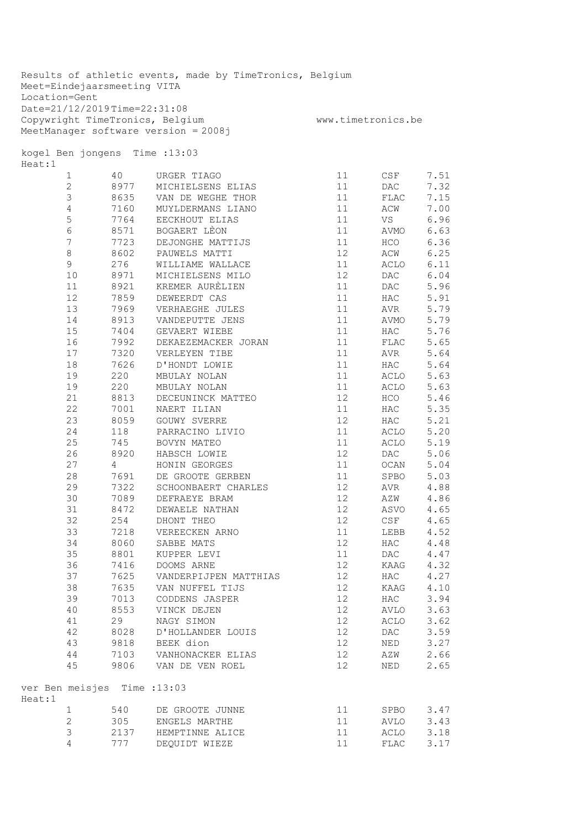| Meet=Eindejaarsmeeting VITA<br>Location=Gent | Date=21/12/2019Time=22:31:08 |             | Results of athletic events, made by TimeTronics, Belgium                  |                    |                             |              |
|----------------------------------------------|------------------------------|-------------|---------------------------------------------------------------------------|--------------------|-----------------------------|--------------|
|                                              |                              |             |                                                                           |                    |                             |              |
|                                              |                              |             | Copywright TimeTronics, Belgium<br>MeetManager software version = $2008j$ | www.timetronics.be |                             |              |
| Heat:1                                       |                              |             | kogel Ben jongens Time : 13:03                                            |                    |                             |              |
|                                              | $\mathbf{1}$                 | 40          | URGER TIAGO                                                               | 11                 | $\mathop{\rm CSF}\nolimits$ | 7.51         |
|                                              | $\overline{2}$               | 8977        | MICHIELSENS ELIAS                                                         | 11                 | DAC                         | 7.32         |
|                                              | $\mathfrak{Z}$               | 8635        | VAN DE WEGHE THOR                                                         | 11                 | FLAC                        | 7.15         |
|                                              | $\overline{4}$               | 7160        | MUYLDERMANS LIANO                                                         | 11                 | ACW                         | 7.00         |
|                                              | 5                            |             | 7764 EECKHOUT ELIAS                                                       | 11                 | VS                          | 6.96         |
|                                              | $\epsilon$                   | 8571        | BOGAERT LEON                                                              | 11                 | AVMO                        | 6.63         |
|                                              | $7\overline{ }$              | 7723        | DEJONGHE MATTIJS                                                          | 11                 | HCO                         | 6.36         |
|                                              | 8                            | 8602        | PAUWELS MATTI                                                             | 12 <sup>°</sup>    | ACW                         | 6.25         |
|                                              | 9                            | 276         | WILLIAME WALLACE                                                          | 11                 | ACLO                        | 6.11         |
|                                              | 10                           | 8971        | MICHIELSENS MILO                                                          | 12                 | DAC                         | 6.04         |
|                                              | 11                           | 8921        | KREMER AURÈLIEN                                                           | 11                 | DAC                         | 5.96         |
|                                              | 12                           | 7859        | DEWEERDT CAS                                                              | 11                 | HAC                         | 5.91         |
|                                              | 13                           | 7969        | VERHAEGHE JULES                                                           | 11                 | AVR                         | 5.79         |
|                                              | 14                           | 8913        | VANDEPUTTE JENS                                                           | 11                 | AVMO                        | 5.79         |
|                                              | 15                           | 7404        | GEVAERT WIEBE                                                             | 11                 | HAC                         | 5.76         |
|                                              | 16                           | 7992        | DEKAEZEMACKER JORAN                                                       | 11                 | FLAC                        | 5.65         |
|                                              | 17                           | 7320        | VERLEYEN TIBE                                                             | 11                 | AVR                         | 5.64         |
|                                              | $18\,$                       | 7626        | D'HONDT LOWIE                                                             | 11                 | HAC                         | 5.64         |
|                                              | 19                           | 220         | MBULAY NOLAN                                                              | 11                 | ACLO                        | 5.63         |
|                                              | 19                           | 220         | MBULAY NOLAN                                                              | 11                 | ACLO                        | 5.63         |
|                                              | 21                           | 8813        |                                                                           | 12                 |                             |              |
|                                              | 22                           |             | DECEUNINCK MATTEO                                                         | 11                 | HCO                         | 5.46<br>5.35 |
|                                              | 23                           | 7001        | NAERT ILIAN<br>GOUWY SVERRE                                               | 12                 | HAC                         |              |
|                                              |                              | 8059        |                                                                           |                    | HAC                         | 5.21         |
|                                              | 24                           | 118         | PARRACINO LIVIO                                                           | 11                 | ACLO                        | 5.20         |
|                                              | 25                           | 745<br>8920 | BOVYN MATEO                                                               | 11                 | ACLO                        | 5.19         |
|                                              | 26                           |             | HABSCH LOWIE                                                              | 12                 | DAC                         | 5.06         |
|                                              | 27                           | 4           | HONIN GEORGES                                                             | 11                 | OCAN                        | 5.04         |
|                                              | 28                           | 7691        | DE GROOTE GERBEN                                                          | 11                 | SPBO                        | 5.03         |
|                                              | 29                           | 7322        | SCHOONBAERT CHARLES                                                       | 12                 | AVR                         | 4.88         |
|                                              | 30                           | 7089        | DEFRAEYE BRAM                                                             | 12                 | AZW                         | 4.86         |
|                                              | 31                           | 8472        | DEWAELE NATHAN                                                            | 12                 | ASVO                        | 4.65         |
|                                              | 32                           | 254         | DHONT THEO                                                                | 12                 | CSE                         | 4.65         |
|                                              | 33                           |             | 7218 VEREECKEN ARNO                                                       | 11                 | LEBB                        | 4.52         |
|                                              | 34                           |             | 8060 SABBE MATS                                                           | 12                 | HAC                         | 4.48         |
|                                              | 35                           |             | 8801 KUPPER LEVI                                                          | 11                 | DAC                         | 4.47         |
|                                              | 36                           |             | 7416 DOOMS ARNE                                                           | 12                 | KAAG 4.32                   |              |
|                                              | 37                           |             | 7625 VANDERPIJPEN MATTHIAS                                                | 12                 | <b>HAC</b>                  | 4.27         |
|                                              | 38                           |             | 7635 VAN NUFFEL TIJS                                                      | 12                 | KAAG                        | 4.10         |
|                                              | 39                           | 7013        | CODDENS JASPER                                                            | 12                 | HAC                         | 3.94         |
|                                              | 40                           | 8553        | VINCK DEJEN                                                               | 12                 | AVLO                        | 3.63         |
|                                              | 41                           | 29          | NAGY SIMON                                                                | 12                 | ACLO                        | 3.62         |
|                                              | 42                           |             | 8028 D'HOLLANDER LOUIS                                                    | 12                 | <b>DAC</b>                  | 3.59         |
|                                              | 43                           |             | 9818 BEEK dion                                                            | 12                 | NED                         | 3.27         |
|                                              | 44                           |             | 7103 VANHONACKER ELIAS                                                    | 12                 | AZW                         | 2.66         |
|                                              | 45                           |             | 9806 VAN DE VEN ROEL                                                      | 12                 | NED                         | 2.65         |
| ver Ben meisjes Time : 13:03<br>Heat:1       |                              |             |                                                                           |                    |                             |              |
|                                              | $1 -$                        |             | 540 DE GROOTE JUNNE                                                       | 11                 | SPBO                        | 3.47         |
|                                              | $2^{\circ}$                  |             | 305 ENGELS MARTHE                                                         | 11                 | <b>AVLO</b>                 | 3.43         |
|                                              | 3                            |             | 2137 HEMPTINNE ALICE                                                      | 11                 | ACLO                        | 3.18         |
|                                              | $4 -$                        |             | 777 DEQUIDT WIEZE                                                         | 11                 | FLAC                        | 3.17         |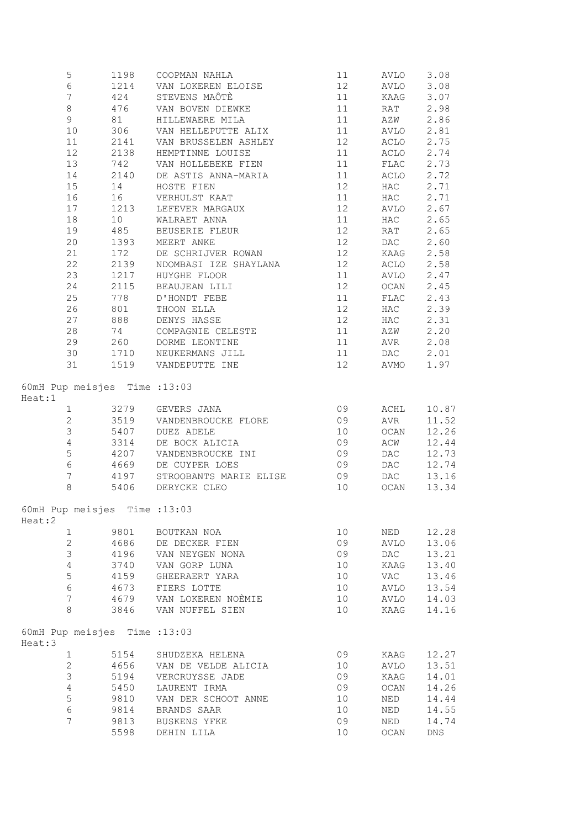|        | 5                             | 1198    | COOPMAN NAHLA                 | 11   | AVLO         | 3.08  |
|--------|-------------------------------|---------|-------------------------------|------|--------------|-------|
|        | $6\,$                         | 1214    | VAN LOKEREN ELOISE            | 12   | <b>AVLO</b>  | 3.08  |
|        | $7\overline{ }$               | 424     | STEVENS MAÔTÈ                 | 11   | KAAG         | 3.07  |
|        | 8                             | 476     | VAN BOVEN DIEWKE              | 11   | RAT          | 2.98  |
|        | 9                             | 81 — 10 | HILLEWAERE MILA               | 11   | AZW          | 2.86  |
|        | 10                            | 306     | VAN HELLEPUTTE ALIX           | 11   | AVLO         | 2.81  |
|        | 11                            | 2141    | VAN BRUSSELEN ASHLEY          | 12   | ACLO         | 2.75  |
|        | 12                            | 2138    | HEMPTINNE LOUISE              | 11   | ACLO         | 2.74  |
|        | 13                            | 742     | VAN HOLLEBEKE FIEN            | 11   | FLAC         | 2.73  |
|        | 14                            | 2140    | DE ASTIS ANNA-MARIA           | 11   | ACLO         | 2.72  |
|        | 15                            | 14      | HOSTE FIEN                    | 12   | $_{\rm HAC}$ | 2.71  |
|        | 16                            | 16      | VERHULST KAAT                 | 11   | HAC          | 2.71  |
|        | 17                            |         | 1213 LEFEVER MARGAUX          | 12   | AVLO         | 2.67  |
|        | 18                            | 10      | WALRAET ANNA                  | 11   | <b>HAC</b>   | 2.65  |
|        | 19                            | 485     | BEUSERIE FLEUR                | 12   | RAT          | 2.65  |
|        | 20                            | 1393    | MEERT ANKE                    | 12   | <b>DAC</b>   | 2.60  |
|        | 21                            | 172     | DE SCHRIJVER ROWAN            | 12   | KAAG         | 2.58  |
|        | 22                            | 2139    | NDOMBASI IZE SHAYLANA         | 12   | ACLO         | 2.58  |
|        | 23                            | 1217    | HUYGHE FLOOR                  | 11   | AVLO         | 2.47  |
|        | 24                            | 2115    | BEAUJEAN LILI                 | 12   | OCAN         | 2.45  |
|        | 25                            | 778     | D'HONDT FEBE                  | 11   | ${\tt FLAC}$ | 2.43  |
|        | 26                            | 801     | THOON ELLA                    | 12   | <b>HAC</b>   | 2.39  |
|        | 27                            | 888     | DENYS HASSE                   | 12   | HAC          | 2.31  |
|        | 28                            | 74      | COMPAGNIE CELESTE             | 11   | AZW          | 2.20  |
|        | 29                            | 260     | DORME LEONTINE                | 11   | AVR          | 2.08  |
|        | 30                            |         | 1710 NEUKERMANS JILL          | 11   | DAC          | 2.01  |
|        | 31                            |         | 1519 VANDEPUTTE INE           | 12   | AVMO         | 1.97  |
| Heat:1 | 60mH Pup meisjes Time : 13:03 |         |                               |      |              |       |
|        | 1                             |         | 3279 GEVERS JANA              | 09   | ACHL         | 10.87 |
|        | $2^{\circ}$                   |         | 3519 VANDENBROUCKE FLORE      | 09   | AVR          | 11.52 |
|        | 3                             |         | 5407 DUEZ ADELE               | 10   | OCAN         | 12.26 |
|        | $\overline{4}$                | 3314    | DE BOCK ALICIA                | 09   | ACW          | 12.44 |
|        | 5                             |         | 4207 VANDENBROUCKE INI        | 09   | DAC          | 12.73 |
|        | 6                             | 4669    | DE CUYPER LOES                | 09   | DAC          | 12.74 |
|        | $7\overline{ }$               | 4197    | STROOBANTS MARIE ELISE        | 09   | DAC          | 13.16 |
|        | 8                             |         | 5406 DERYCKE CLEO             | 10   | OCAN         | 13.34 |
| Heat:2 |                               |         | 60mH Pup meisjes Time : 13:03 |      |              |       |
|        | $\mathbf{1}$                  |         | 9801 BOUTKAN NOA              | 10   | NED          | 12.28 |
|        | $\mathbf{2}^{\prime}$         |         | 4686 DE DECKER FIEN           | 09   | AVLO         | 13.06 |
|        | 3                             |         | 4196 VAN NEYGEN NONA          | 09   | DAC          | 13.21 |
|        | $\overline{4}$                | 3740    | VAN GORP LUNA                 | $10$ | KAAG         | 13.40 |
|        | 5                             | 4159    | GHEERAERT YARA                | $10$ | VAC          | 13.46 |
|        | 6                             | 4673    | FIERS LOTTE                   | $10$ | AVLO         | 13.54 |
|        | 7                             |         | 4679 VAN LOKEREN NOÈMIE       | 10   | AVLO         | 14.03 |
|        | 8                             |         | 3846 VAN NUFFEL SIEN          | $10$ | KAAG         | 14.16 |
|        |                               |         |                               |      |              |       |
| Heat:3 | 60mH Pup meisjes Time : 13:03 |         |                               |      |              |       |
|        | $\mathbf{1}$                  |         | 5154 SHUDZEKA HELENA          | 09   | KAAG         | 12.27 |
|        | $\overline{2}$                |         | 4656 VAN DE VELDE ALICIA      | 10   | AVLO         | 13.51 |
|        | 3                             | 5194    | VERCRUYSSE JADE               | 09   | KAAG         | 14.01 |
|        | $\overline{4}$                | 5450    | LAURENT IRMA                  | 09   | OCAN         | 14.26 |
|        | 5                             | 9810    | VAN DER SCHOOT ANNE           | 10   | NED          | 14.44 |
|        | 6                             |         | 9814 BRANDS SAAR              | 10   | NED          | 14.55 |
|        | 7                             |         | 9813 BUSKENS YFKE             | 09   | NED          | 14.74 |
|        |                               |         | 5598 DEHIN LILA               | 10   | OCAN         | DNS   |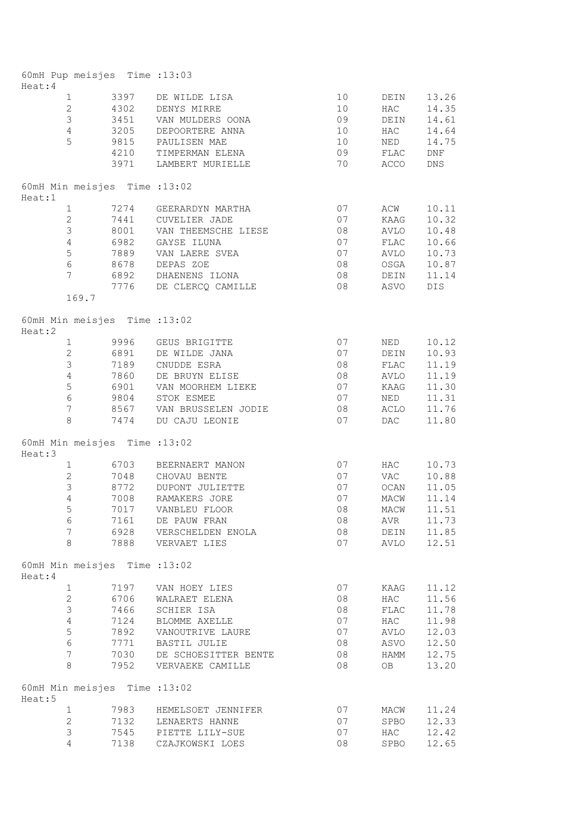|         |                                  | 60mH Pup meisjes Time : 13:03 |                                          |          |            |                |
|---------|----------------------------------|-------------------------------|------------------------------------------|----------|------------|----------------|
| Heat: 4 |                                  |                               |                                          |          |            |                |
|         | $\mathbf{1}$                     | 3397                          | DE WILDE LISA                            | 10       | DEIN       | 13.26          |
|         | $\overline{2}$                   | 4302                          | DENYS MIRRE                              | 10       | HAC        | 14.35          |
|         | $\mathfrak{Z}$<br>$\overline{4}$ | 3451                          | VAN MULDERS OONA                         | 09       | DEIN       | 14.61          |
|         | 5                                | 3205                          | DEPOORTERE ANNA                          | 10       | HAC        | 14.64          |
|         |                                  | 9815                          | PAULISEN MAE                             | 10       | NED        | 14.75          |
|         |                                  | 4210                          | TIMPERMAN ELENA                          | 09       | FLAC       | DNF            |
|         |                                  | 3971                          | LAMBERT MURIELLE                         | 70       | ACCO       | DNS            |
|         |                                  | 60mH Min meisjes Time : 13:02 |                                          |          |            |                |
| Heat:1  |                                  |                               |                                          |          |            |                |
|         | $\mathbf 1$                      | 7274                          | GEERARDYN MARTHA                         | 07       | ACW        | 10.11          |
|         | $\overline{2}$                   |                               | 7441 CUVELIER JADE                       | 07       | KAAG       | 10.32          |
|         | $\mathfrak{Z}$                   | 8001                          | VAN THEEMSCHE LIESE                      | 08       | AVLO       | 10.48          |
|         | $\overline{4}$                   | 6982                          | GAYSE ILUNA                              | 07       | FLAC       | 10.66          |
|         | 5                                | 7889                          | VAN LAERE SVEA                           | 07       | AVLO       | 10.73          |
|         | $\epsilon$                       | 8678                          | DEPAS ZOE                                | 08       | OSGA       | 10.87          |
|         | 7                                | 6892                          | DHAENENS ILONA                           | 08       | DEIN       | 11.14          |
|         |                                  | 7776                          | DE CLERCQ CAMILLE                        | 08       | ASVO       | DIS            |
|         | 169.7                            |                               |                                          |          |            |                |
|         |                                  | 60mH Min meisjes Time : 13:02 |                                          |          |            |                |
| Heat:2  |                                  |                               |                                          |          |            |                |
|         | $\mathbf{1}$                     | 9996                          | GEUS BRIGITTE                            | 07       | NED        | 10.12          |
|         | $\overline{2}$                   | 6891                          | DE WILDE JANA                            | 07       | DEIN       | 10.93          |
|         | $\mathsf 3$                      | 7189                          | CNUDDE ESRA                              | 08       | FLAC       | 11.19          |
|         | $\overline{4}$                   | 7860                          | DE BRUYN ELISE                           | 08       | AVLO       | 11.19          |
|         | $\mathsf S$                      | 6901                          | VAN MOORHEM LIEKE                        | 07       | KAAG       | 11.30          |
|         | 6                                | 9804                          | STOK ESMEE                               | 07       | NED        | 11.31          |
|         | $\boldsymbol{7}$                 |                               | 8567 VAN BRUSSELEN JODIE                 | 08       | ACLO       | 11.76          |
|         | 8                                | 7474                          | DU CAJU LEONIE                           | 07       | DAC        | 11.80          |
|         |                                  | 60mH Min meisjes Time : 13:02 |                                          |          |            |                |
| Heat:3  |                                  |                               |                                          |          |            |                |
|         | $\mathbf{1}$                     | 6703                          | BEERNAERT MANON                          | 07       | HAC        | 10.73          |
|         | $\mathbf{2}$                     | 7048                          | CHOVAU BENTE                             | 07       | VAC        | 10.88          |
|         | $\mathfrak{Z}$                   | 8772                          | DUPONT JULIETTE                          | 07       | OCAN       | 11.05          |
|         | $\sqrt{4}$                       | 7008                          | RAMAKERS JORE                            | 07       | MACW       | 11.14          |
|         | 5                                |                               | 7017 VANBLEU FLOOR                       | 08       | MACW       | 11.51          |
|         | 6                                | 7161                          | DE PAUW FRAN                             | 08       | AVR        | 11.73          |
|         | $\overline{7}$                   | 6928                          | VERSCHELDEN ENOLA                        | 08       | DEIN       | 11.85          |
|         | 8                                | 7888                          | VERVAET LIES                             | 07       | AVLO       | 12.51          |
| Heat: 4 |                                  | 60mH Min meisjes Time : 13:02 |                                          |          |            |                |
|         | $\mathbf 1$                      | 7197                          | VAN HOEY LIES                            | 07       | KAAG       | 11.12          |
|         | $\mathbf{2}$                     | 6706                          | WALRAET ELENA                            | 08       | HAC        | 11.56          |
|         | $\mathsf S$                      | 7466                          | SCHIER ISA                               | 08       | FLAC       | 11.78          |
|         | $\sqrt{4}$                       | 7124                          | BLOMME AXELLE                            | 07       | HAC        | 11.98          |
|         | 5                                | 7892                          | VANOUTRIVE LAURE                         | 07       | AVLO       | 12.03          |
|         | $\epsilon$                       | 7771                          | BASTIL JULIE                             | 08       | ASVO       |                |
|         | $\boldsymbol{7}$                 |                               |                                          |          |            | 12.50          |
|         | $\,8\,$                          | 7030<br>7952                  | DE SCHOESITTER BENTE<br>VERVAEKE CAMILLE | 08<br>08 | HAMM<br>OB | 12.75<br>13.20 |
|         |                                  |                               |                                          |          |            |                |
| Heat:5  |                                  | 60mH Min meisjes Time : 13:02 |                                          |          |            |                |
|         | $\mathbf 1$                      | 7983                          | HEMELSOET JENNIFER                       | 07       | MACW       | 11.24          |
|         | $\overline{c}$                   | 7132                          | LENAERTS HANNE                           | 07       | SPBO       | 12.33          |
|         | $\mathfrak{Z}$                   | 7545                          | PIETTE LILY-SUE                          | 07       | HAC        | 12.42          |
|         | $\overline{4}$                   | 7138                          | CZAJKOWSKI LOES                          | 08       | SPBO       | 12.65          |
|         |                                  |                               |                                          |          |            |                |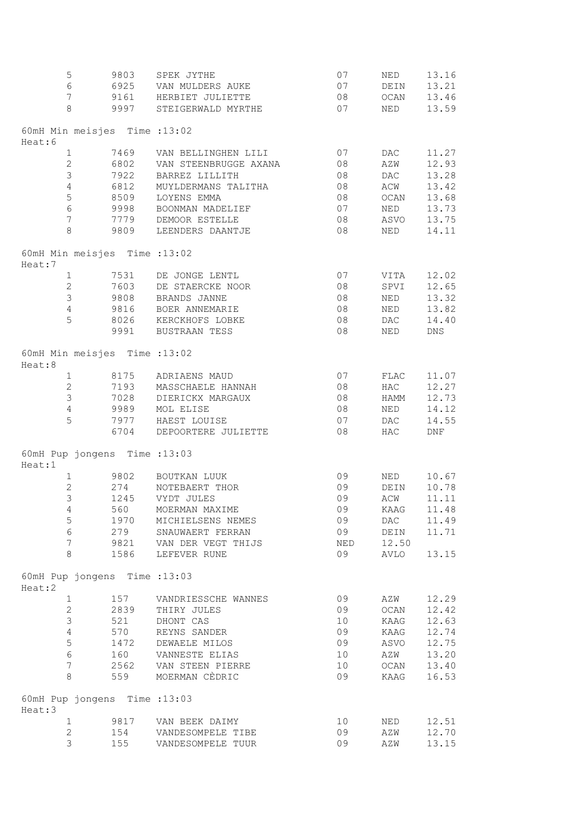|        | 5                | 9803 | SPEK JYTHE                                   | 07  | NED        | 13.16 |
|--------|------------------|------|----------------------------------------------|-----|------------|-------|
|        | $\epsilon$       | 6925 | VAN MULDERS AUKE                             | 07  | DEIN       | 13.21 |
|        | $\boldsymbol{7}$ | 9161 | HERBIET JULIETTE                             | 08  | OCAN       | 13.46 |
|        | $8\,$            | 9997 | STEIGERWALD MYRTHE                           | 07  | NED        | 13.59 |
|        |                  |      | 60mH Min meisjes Time : 13:02                |     |            |       |
| Heat:6 |                  |      |                                              |     |            |       |
|        | $\mathbf{1}$     | 7469 | VAN BELLINGHEN LILI                          | 07  | DAC        | 11.27 |
|        | $\overline{2}$   | 6802 | VAN STEENBRUGGE AXANA                        | 08  | AZW        | 12.93 |
|        | $\mathfrak{Z}$   | 7922 | BARREZ LILLITH                               | 08  | DAC        | 13.28 |
|        | $\overline{4}$   | 6812 | MUYLDERMANS TALITHA                          | 08  | ACW        | 13.42 |
|        | $\mathsf S$      | 8509 | LOYENS EMMA                                  | 08  | OCAN       | 13.68 |
|        | $6\,$            | 9998 | BOONMAN MADELIEF                             | 07  | NED        | 13.73 |
|        | 7                |      | 7779 DEMOOR ESTELLE                          | 08  | ASVO       | 13.75 |
|        | $\,8\,$          |      | 9809 LEENDERS DAANTJE                        | 08  | NED        | 14.11 |
| Heat:7 |                  |      | 60mH Min meisjes Time : 13:02                |     |            |       |
|        | $\mathbf{1}$     | 7531 | DE JONGE LENTL                               | 07  | VITA       | 12.02 |
|        | $\overline{2}$   | 7603 | DE STAERCKE NOOR                             | 08  | SPVI       | 12.65 |
|        | $\mathfrak{Z}$   | 9808 | BRANDS JANNE                                 | 08  | NED        | 13.32 |
|        | $\overline{4}$   | 9816 | BOER ANNEMARIE                               | 08  | NED        | 13.82 |
|        | 5                |      | 8026 KERCKHOFS LOBKE                         | 08  | DAC        | 14.40 |
|        |                  | 9991 | BUSTRAAN TESS                                | 08  | NED        | DNS   |
|        |                  |      |                                              |     |            |       |
| Heat:8 |                  |      | 60mH Min meisjes Time : 13:02                |     |            |       |
|        | $\mathbf{1}$     | 8175 | ADRIAENS MAUD                                | 07  | FLAC       | 11.07 |
|        | $\overline{2}$   | 7193 | MASSCHAELE HANNAH                            | 08  | HAC        | 12.27 |
|        | $\mathfrak{Z}$   | 7028 | DIERICKX MARGAUX                             | 08  | HAMM       | 12.73 |
|        | 4                | 9989 | MOL ELISE                                    | 08  | NED        | 14.12 |
|        | 5                |      | 7977 HAEST LOUISE                            | 07  | DAC        | 14.55 |
|        |                  |      | 6704 DEPOORTERE JULIETTE                     | 08  | HAC        | DNF   |
| Heat:1 |                  |      | 60mH Pup jongens Time :13:03                 |     |            |       |
|        | $\mathbf{1}$     | 9802 |                                              | 09  | NED        | 10.67 |
|        | $\mathbf{2}$     | 274  | BOUTKAN LUUK<br>NOTEBAERT THOR               | 09  | DEIN       | 10.78 |
|        | 3                | 1245 | VYDT JULES                                   | 09  | ACW        | 11.11 |
|        | $4\overline{ }$  |      | 560 MOERMAN MAXIME                           | 09  | KAAG       | 11.48 |
|        | 5                |      | 1970 MICHIELSENS NEMES                       | 09  | <b>DAC</b> | 11.49 |
|        | 6                |      | 279 SNAUWAERT FERRAN                         | 09  | DEIN       | 11.71 |
|        | 7                |      | 9821 VAN DER VEGT THIJS                      | NED | 12.50      |       |
|        | 8                |      | 1586 LEFEVER RUNE                            | 09  | AVLO       | 13.15 |
|        |                  |      | 60mH Pup jongens Time :13:03                 |     |            |       |
| Heat:2 |                  |      |                                              |     |            |       |
|        | $\mathbf{1}$     | 157  | VANDRIESSCHE WANNES                          | 09  | AZW        | 12.29 |
|        | $\mathbf{2}$     |      | 2839 THIRY JULES                             | 09  | OCAN       | 12.42 |
|        | $\mathfrak{Z}$   | 521  | DHONT CAS                                    | 10  | KAAG       | 12.63 |
|        | 4                | 570  | REYNS SANDER                                 | 09  | KAAG       | 12.74 |
|        | 5                |      | 1472 DEWAELE MILOS                           | 09  | ASVO       | 12.75 |
|        | $6\phantom{.}6$  |      | 160 VANNESTE ELIAS                           | 10  | AZW        | 13.20 |
|        | $7\phantom{.}$   | 2562 | VAN STEEN PIERRE                             | 10  | OCAN       | 13.40 |
|        | 8                | 559  | MOERMAN CÈDRIC                               | 09  | KAAG       | 16.53 |
|        |                  |      | 60mH Pup jongens Time :13:03                 |     |            |       |
| Heat:3 |                  |      |                                              |     |            |       |
|        | $\mathbf{1}$     |      | 9817 VAN BEEK DAIMY<br>154 VANDESOMPELE TIBE | 10  | NED        | 12.51 |
|        | $\mathbf{2}$     |      |                                              | 09  | AZW        | 12.70 |
|        | 3                |      | 155 VANDESOMPELE TUUR                        | 09  | AZW        | 13.15 |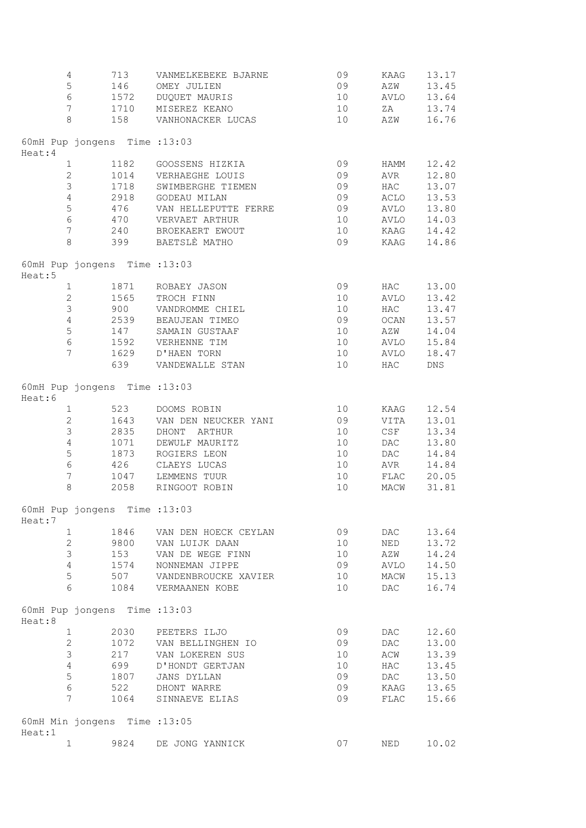|         | 4               | 713                           | VANMELKEBEKE BJARNE           | 09   | KAAG         | 13.17 |
|---------|-----------------|-------------------------------|-------------------------------|------|--------------|-------|
|         | 5               | 146                           | OMEY JULIEN                   | 09   | AZW          | 13.45 |
|         | 6               | 1572                          | DUQUET MAURIS                 | 10   | AVLO         | 13.64 |
|         | $7\phantom{.}$  |                               | 1710 MISEREZ KEANO            | 10   | ZA           | 13.74 |
|         | 8               |                               | 158 VANHONACKER LUCAS         | 10   | AZW          | 16.76 |
| Heat: 4 |                 | 60mH Pup jongens Time :13:03  |                               |      |              |       |
|         | $1 \quad$       |                               | 1182 GOOSSENS HIZKIA          | 09   | HAMM         | 12.42 |
|         | $\overline{2}$  | 1014                          | VERHAEGHE LOUIS               | 09   | AVR          | 12.80 |
|         | $\mathfrak{Z}$  | 1718                          | SWIMBERGHE TIEMEN             | 09   | HAC          | 13.07 |
|         | $\overline{4}$  | 2918                          | <b>GODEAU MILAN</b>           | 09   | ACLO         | 13.53 |
|         | $\mathsf S$     | 476                           | VAN HELLEPUTTE FERRE          | 09   | AVLO         | 13.80 |
|         | 6               |                               | 470 VERVAET ARTHUR            | 10   | AVLO         | 14.03 |
|         | $7\overline{ }$ | 240                           | BROEKAERT EWOUT               | 10   | KAAG         | 14.42 |
|         | 8               |                               | 399 BAETSLÈ MATHO             | 09   | KAAG         | 14.86 |
| Heat:5  |                 | 60mH Pup jongens Time :13:03  |                               |      |              |       |
|         | $\mathbf{1}$    |                               | 1871 ROBAEY JASON             | 09   | HAC          | 13.00 |
|         | $\overline{2}$  |                               | 1565 TROCH FINN               | 10   | AVLO         | 13.42 |
|         | $\mathfrak{Z}$  | 900                           | VANDROMME CHIEL               | 10   | HAC          | 13.47 |
|         | $\overline{4}$  |                               | 2539 BEAUJEAN TIMEO           | 09   | OCAN         | 13.57 |
|         | 5               |                               | 147 SAMAIN GUSTAAF            | 10   | AZW          | 14.04 |
|         | $6\phantom{.}6$ |                               | 1592 VERHENNE TIM             | 10   | AVLO         | 15.84 |
|         | 7               |                               | 1629 D'HAEN TORN              | 10   | AVLO         | 18.47 |
|         |                 | 639                           | VANDEWALLE STAN               | 10   | HAC          | DNS   |
| Heat:6  |                 | 60mH Pup jongens Time : 13:03 |                               |      |              |       |
|         | $\mathbf{1}$    | 523                           | DOOMS ROBIN                   | 10   | KAAG         | 12.54 |
|         | $\mathbf{2}$    | 1643                          | VAN DEN NEUCKER YANI          | 09   | VITA         | 13.01 |
|         | 3               | 2835                          | DHONT ARTHUR                  | 10   | CSE          | 13.34 |
|         | $\overline{4}$  | 1071                          | DEWULF MAURITZ                | 10   | DAC          | 13.80 |
|         | 5               | 1873                          | ROGIERS LEON                  | 10   | DAC          | 14.84 |
|         | $\epsilon$      | 426                           | CLAEYS LUCAS                  | 10   | AVR          | 14.84 |
|         | $7\phantom{.}$  | 1047                          | LEMMENS TUUR                  | 10   | FLAC         | 20.05 |
|         | 8               | 2058                          | RINGOOT ROBIN                 | 10   | MACW         | 31.81 |
| Heat:7  |                 |                               | 60mH Pup jongens Time : 13:03 |      |              |       |
|         | $\mathbf{1}$    |                               | 1846 VAN DEN HOECK CEYLAN     | 09   | DAC          | 13.64 |
|         | $\mathbf{2}$    |                               | 9800 VAN LUIJK DAAN           | 10   | NED          | 13.72 |
|         | $\mathfrak{Z}$  |                               | 153 VAN DE WEGE FINN          | 10   | AZW          | 14.24 |
|         | $\overline{4}$  | 1574                          | NONNEMAN JIPPE                | 09   | AVLO         | 14.50 |
|         | 5               | 507                           | VANDENBROUCKE XAVIER          | 10   | MACW         | 15.13 |
|         | 6               | 1084                          | VERMAANEN KOBE                | 10   | DAC          | 16.74 |
| Heat:8  |                 | 60mH Pup jongens Time :13:03  |                               |      |              |       |
|         | $\mathbf{1}$    |                               | 2030 PEETERS ILJO             | 09   | DAC          | 12.60 |
|         | $2^{\circ}$     |                               | 1072 VAN BELLINGHEN IO        | 09   | DAC          | 13.00 |
|         | $\mathfrak{Z}$  | 217                           | VAN LOKEREN SUS               | $10$ | ACW          | 13.39 |
|         | $\overline{4}$  | 699                           | D'HONDT GERTJAN               | $10$ | HAC          | 13.45 |
|         | 5               | 1807                          | JANS DYLLAN                   | 09   | DAC          | 13.50 |
|         | 6               | 522                           | DHONT WARRE                   | 09   | KAAG         | 13.65 |
|         | 7               | 1064                          | SINNAEVE ELIAS                | 09   | ${\tt FLAC}$ | 15.66 |
|         |                 | 60mH Min jongens Time : 13:05 |                               |      |              |       |
| Heat:1  | 1               |                               | 9824 DE JONG YANNICK          | 07   | NED          | 10.02 |
|         |                 |                               |                               |      |              |       |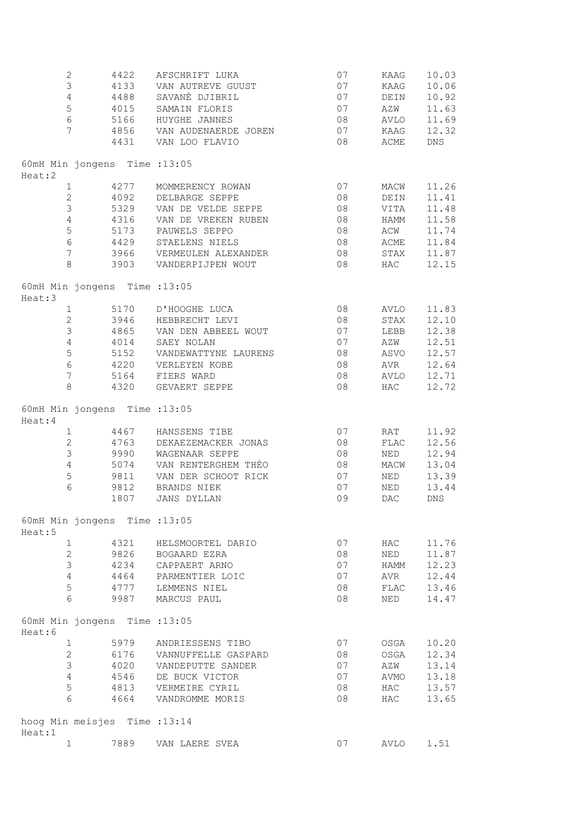|        | $\mathbf{2}$                  | 4422 | AFSCHRIFT LUKA           | 07 | KAAG       | 10.03      |
|--------|-------------------------------|------|--------------------------|----|------------|------------|
|        | $\mathfrak{Z}$                | 4133 | VAN AUTREVE GUUST        | 07 | KAAG       | 10.06      |
|        | $\overline{4}$                | 4488 | SAVANÈ DJIBRIL           | 07 | DEIN       | 10.92      |
|        | $\mathsf S$                   | 4015 | SAMAIN FLORIS            | 07 | AZW        | 11.63      |
|        | $\epsilon$                    | 5166 | HUYGHE JANNES            | 08 | AVLO       | 11.69      |
|        | $\overline{7}$                | 4856 | VAN AUDENAERDE JOREN     | 07 | KAAG       | 12.32      |
|        |                               | 4431 | VAN LOO FLAVIO           | 08 | ACME       | DNS        |
|        |                               |      |                          |    |            |            |
| Heat:2 | 60mH Min jongens Time : 13:05 |      |                          |    |            |            |
|        | $\mathbf{1}$                  | 4277 | MOMMERENCY ROWAN         | 07 | MACW       | 11.26      |
|        | $\mathbf{2}$                  | 4092 | DELBARGE SEPPE           | 08 | DEIN       | 11.41      |
|        | $\mathfrak{Z}$                | 5329 | VAN DE VELDE SEPPE       | 08 | VITA       | 11.48      |
|        | $\sqrt{4}$                    | 4316 | VAN DE VREKEN RUBEN      | 08 | HAMM       | 11.58      |
|        | $\mathsf S$                   | 5173 | PAUWELS SEPPO            | 08 | ACW        | 11.74      |
|        | $\sqrt{6}$                    |      | 4429 STAELENS NIELS      | 08 | ACME       | 11.84      |
|        | 7                             |      | 3966 VERMEULEN ALEXANDER | 08 | STAX       | 11.87      |
|        | $\,8\,$                       |      | 3903 VANDERPIJPEN WOUT   | 08 | HAC        | 12.15      |
|        | 60mH Min jongens Time : 13:05 |      |                          |    |            |            |
| Heat:3 |                               |      |                          |    |            |            |
|        | $\mathbf{1}$                  |      | 5170 D'HOOGHE LUCA       | 08 | AVLO       | 11.83      |
|        | $\mathbf{2}$                  | 3946 | HEBBRECHT LEVI           | 08 | STAX       | 12.10      |
|        | $\mathfrak{Z}$                | 4865 | VAN DEN ABBEEL WOUT      | 07 | LEBB       | 12.38      |
|        | $\sqrt{4}$                    | 4014 | SAEY NOLAN               | 07 | AZW        | 12.51      |
|        | $\mathsf S$                   | 5152 | VANDEWATTYNE LAURENS     | 08 | ASVO       | 12.57      |
|        | $\sqrt{6}$                    | 4220 | VERLEYEN KOBE            | 08 | AVR        | 12.64      |
|        | 7                             | 5164 | FIERS WARD               | 08 | AVLO       | 12.71      |
|        | 8                             | 4320 | GEVAERT SEPPE            | 08 | HAC        | 12.72      |
|        |                               |      |                          |    |            |            |
| Heat:4 | 60mH Min jongens Time : 13:05 |      |                          |    |            |            |
|        | $\mathbf{1}$                  | 4467 | HANSSENS TIBE            | 07 | RAT        | 11.92      |
|        | $\overline{2}$                | 4763 | DEKAEZEMACKER JONAS      | 08 | FLAC       | 12.56      |
|        | $\mathfrak{Z}$                | 9990 | WAGENAAR SEPPE           | 08 | NED        | 12.94      |
|        | 4                             | 5074 | VAN RENTERGHEM THÈO      | 08 | MACW       | 13.04      |
|        | $\mathsf S$                   | 9811 | VAN DER SCHOOT RICK      | 07 | NED        | 13.39      |
|        | $6\phantom{.}6$               | 9812 | BRANDS NIEK              | 07 | NED        | 13.44      |
|        |                               | 1807 | JANS DYLLAN              | 09 | <b>DAC</b> | <b>DNS</b> |
|        | 60mH Min jongens Time : 13:05 |      |                          |    |            |            |
| Heat:5 |                               |      |                          |    |            |            |
|        | $\mathbf{1}$                  | 4321 | HELSMOORTEL DARIO        | 07 | HAC        | 11.76      |
|        | $\overline{2}$                | 9826 | BOGAARD EZRA             | 08 | NED        | 11.87      |
|        | $\mathfrak{Z}$                | 4234 | CAPPAERT ARNO            | 07 | HAMM       | 12.23      |
|        | 4                             | 4464 | PARMENTIER LOIC          | 07 | AVR        | 12.44      |
|        | 5                             | 4777 | LEMMENS NIEL             | 08 | FLAC       | 13.46      |
|        | 6                             | 9987 | MARCUS PAUL              | 08 | NED        | 14.47      |
| Heat:6 | 60mH Min jongens Time : 13:05 |      |                          |    |            |            |
|        | $\mathbf{1}$                  | 5979 | ANDRIESSENS TIBO         | 07 | OSGA       | 10.20      |
|        | $\overline{2}$                | 6176 | VANNUFFELLE GASPARD      | 08 | OSGA       | 12.34      |
|        | $\mathfrak{Z}$                | 4020 | VANDEPUTTE SANDER        | 07 | AZW        | 13.14      |
|        | 4                             | 4546 | DE BUCK VICTOR           | 07 | AVMO       | 13.18      |
|        | 5                             | 4813 | VERMEIRE CYRIL           | 08 | HAC        | 13.57      |
|        | 6                             | 4664 | VANDROMME MORIS          | 08 | HAC        | 13.65      |
|        |                               |      |                          |    |            |            |
| Heat:1 | hoog Min meisjes Time : 13:14 |      |                          |    |            |            |
|        | $\mathbf 1$                   | 7889 | VAN LAERE SVEA           | 07 | AVLO       | 1.51       |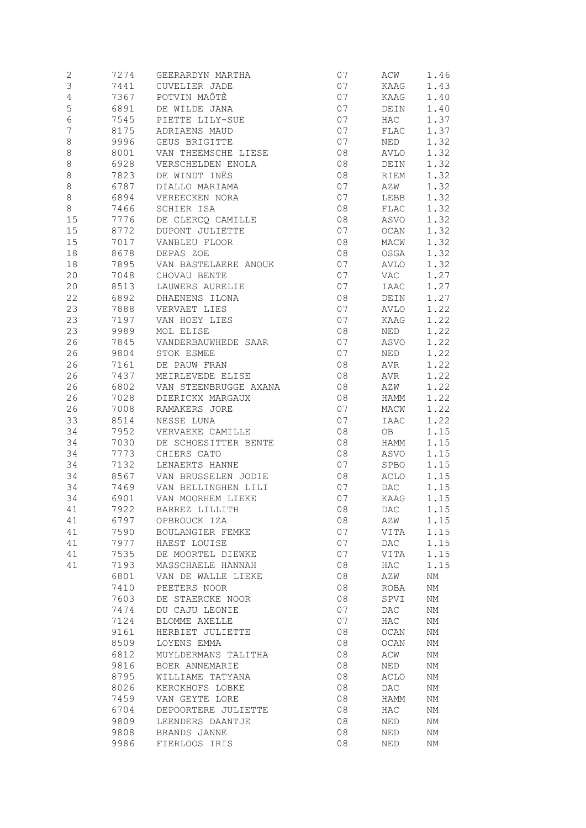| $\sqrt{2}$       | 7274 | GEERARDYN MARTHA      | 07 | ACW  | 1.46 |
|------------------|------|-----------------------|----|------|------|
| $\mathfrak{Z}$   | 7441 | CUVELIER JADE         | 07 | KAAG | 1.43 |
| $\overline{4}$   | 7367 | POTVIN MAÔTÈ          | 07 | KAAG | 1.40 |
| 5                | 6891 | DE WILDE JANA         | 07 | DEIN | 1.40 |
| $\epsilon$       | 7545 | PIETTE LILY-SUE       | 07 | HAC  | 1.37 |
| $\boldsymbol{7}$ | 8175 | ADRIAENS MAUD         | 07 | FLAC | 1.37 |
| $\,8\,$          | 9996 | GEUS BRIGITTE         | 07 | NED  | 1.32 |
| $\,8\,$          | 8001 | VAN THEEMSCHE LIESE   | 08 | AVLO | 1.32 |
| $\,8\,$          | 6928 | VERSCHELDEN ENOLA     | 08 | DEIN | 1.32 |
| $\,8\,$          | 7823 | DE WINDT INËS         | 08 | RIEM | 1.32 |
| $\,8\,$          | 6787 | DIALLO MARIAMA        | 07 | AZW  | 1.32 |
| $\,8\,$          | 6894 | VEREECKEN NORA        | 07 | LEBB | 1.32 |
| $8\,$            | 7466 | SCHIER ISA            | 08 | FLAC | 1.32 |
| 15               | 7776 | DE CLERCQ CAMILLE     | 08 | ASVO | 1.32 |
| 15               | 8772 | DUPONT JULIETTE       | 07 | OCAN | 1.32 |
| 15               | 7017 | VANBLEU FLOOR         | 08 | MACW | 1.32 |
| 18               | 8678 | DEPAS ZOE             | 08 | OSGA | 1.32 |
| 18               | 7895 | VAN BASTELAERE ANOUK  | 07 | AVLO | 1.32 |
| 20               | 7048 | CHOVAU BENTE          | 07 | VAC  | 1.27 |
| 20               | 8513 | LAUWERS AURELIE       | 07 | IAAC | 1.27 |
| 22               | 6892 | DHAENENS ILONA        | 08 | DEIN | 1.27 |
| 23               | 7888 | VERVAET LIES          | 07 | AVLO | 1.22 |
| 23               | 7197 | VAN HOEY LIES         | 07 | KAAG | 1.22 |
| 23               | 9989 | MOL ELISE             | 08 | NED  | 1.22 |
| 26               | 7845 | VANDERBAUWHEDE SAAR   | 07 | ASVO | 1.22 |
| 26               | 9804 | STOK ESMEE            | 07 | NED  | 1.22 |
| 26               | 7161 |                       | 08 |      | 1.22 |
|                  |      | DE PAUW FRAN          |    | AVR  |      |
| 26               | 7437 | MEIRLEVEDE ELISE      | 08 | AVR  | 1.22 |
| 26               | 6802 | VAN STEENBRUGGE AXANA | 08 | AZW  | 1.22 |
| 26               | 7028 | DIERICKX MARGAUX      | 08 | HAMM | 1.22 |
| 26               | 7008 | RAMAKERS JORE         | 07 | MACW | 1.22 |
| 33               | 8514 | NESSE LUNA            | 07 | IAAC | 1.22 |
| 34               | 7952 | VERVAEKE CAMILLE      | 08 | ОB   | 1.15 |
| 34               | 7030 | DE SCHOESITTER BENTE  | 08 | HAMM | 1.15 |
| 34               | 7773 | CHIERS CATO           | 08 | ASVO | 1.15 |
| 34               | 7132 | LENAERTS HANNE        | 07 | SPBO | 1.15 |
| 34               | 8567 | VAN BRUSSELEN JODIE   | 08 | ACLO | 1.15 |
| 34               | 7469 | VAN BELLINGHEN LILI   | 07 | DAC  | 1.15 |
| 34               | 6901 | VAN MOORHEM LIEKE     | 07 | KAAG | 1.15 |
| 41               |      | 7922 BARREZ LILLITH   | 08 | DAC  | 1.15 |
| 41               | 6797 | OPBROUCK IZA          | 08 | AZW  | 1.15 |
| 41               | 7590 | BOULANGIER FEMKE      | 07 | VITA | 1.15 |
| 41               | 7977 | HAEST LOUISE          | 07 | DAC  | 1.15 |
| 41               | 7535 | DE MOORTEL DIEWKE     | 07 | VITA | 1.15 |
| 41               | 7193 | MASSCHAELE HANNAH     | 08 | HAC  | 1.15 |
|                  | 6801 | VAN DE WALLE LIEKE    | 08 | AZW  | ΝM   |
|                  | 7410 | PEETERS NOOR          | 08 | ROBA | NΜ   |
|                  | 7603 | DE STAERCKE NOOR      | 08 | SPVI | NΜ   |
|                  | 7474 | DU CAJU LEONIE        | 07 | DAC  | ΝM   |
|                  | 7124 | BLOMME AXELLE         | 07 | HAC  | ΝM   |
|                  | 9161 | HERBIET JULIETTE      | 08 | OCAN | ΝM   |
|                  | 8509 | LOYENS EMMA           | 08 | OCAN | ΝM   |
|                  | 6812 | MUYLDERMANS TALITHA   | 08 | ACW  | ΝM   |
|                  | 9816 | BOER ANNEMARIE        | 08 | NED  | ΝM   |
|                  | 8795 | WILLIAME TATYANA      | 08 | ACLO | ΝM   |
|                  | 8026 | KERCKHOFS LOBKE       | 08 | DAC  | ΝM   |
|                  | 7459 | VAN GEYTE LORE        | 08 | HAMM | ΝM   |
|                  | 6704 | DEPOORTERE JULIETTE   | 08 | HAC  | ΝM   |
|                  | 9809 | LEENDERS DAANTJE      | 08 | NED  | ΝM   |
|                  | 9808 | BRANDS JANNE          | 08 | NED  | ΝM   |
|                  | 9986 | FIERLOOS IRIS         | 08 | NED  | ΝM   |
|                  |      |                       |    |      |      |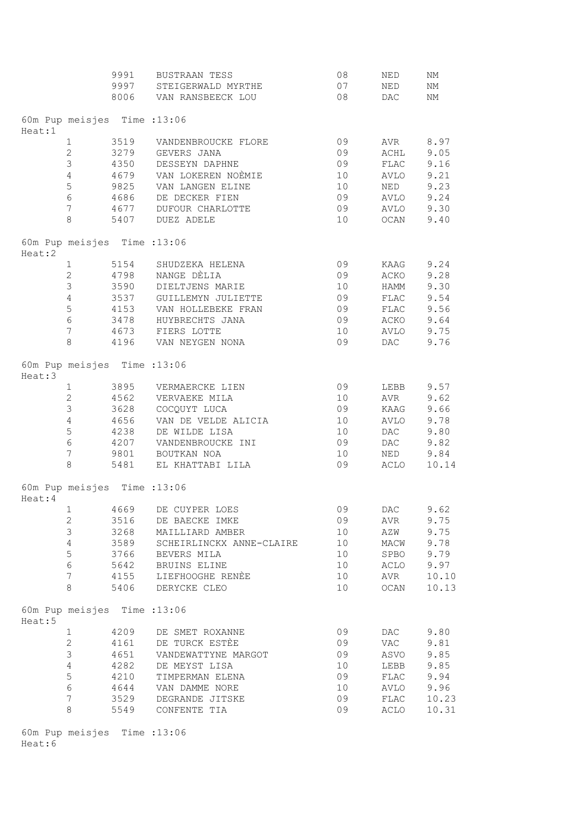|                                         |                              | 9991 | BUSTRAAN TESS            | 08   | NED  | ΝM    |
|-----------------------------------------|------------------------------|------|--------------------------|------|------|-------|
|                                         |                              | 9997 | STEIGERWALD MYRTHE       | 07   | NED  | ΝM    |
|                                         |                              |      | 8006 VAN RANSBEECK LOU   | 08   | DAC  | ΝM    |
|                                         |                              |      |                          |      |      |       |
|                                         | 60m Pup meisjes Time : 13:06 |      |                          |      |      |       |
| Heat:1                                  |                              |      |                          |      |      |       |
|                                         | $\mathbf 1$                  | 3519 | VANDENBROUCKE FLORE      | 09   | AVR  | 8.97  |
|                                         | $\overline{2}$               | 3279 | GEVERS JANA              | 09   | ACHL | 9.05  |
|                                         | 3                            | 4350 | DESSEYN DAPHNE           | 09   | FLAC | 9.16  |
|                                         | $\overline{4}$               | 4679 | VAN LOKEREN NOÈMIE       | 10   | AVLO | 9.21  |
|                                         |                              |      |                          |      |      |       |
|                                         | 5                            | 9825 | VAN LANGEN ELINE         | 10   | NED  | 9.23  |
|                                         | $6\,$                        | 4686 | DE DECKER FIEN           | 09   | AVLO | 9.24  |
|                                         | 7                            | 4677 | DUFOUR CHARLOTTE         | 09   | AVLO | 9.30  |
|                                         | 8                            |      | 5407 DUEZ ADELE          | 10   | OCAN | 9.40  |
| Heat:2                                  | 60m Pup meisjes Time : 13:06 |      |                          |      |      |       |
|                                         | $\mathbf{1}$                 | 5154 | SHUDZEKA HELENA          | 09   | KAAG | 9.24  |
|                                         | $\mathbf{2}$                 | 4798 | NANGE DÈLIA              | 09   | ACKO | 9.28  |
|                                         | $\mathfrak{Z}$               | 3590 | DIELTJENS MARIE          | $10$ | HAMM | 9.30  |
|                                         | 4                            | 3537 |                          | 09   |      | 9.54  |
|                                         |                              |      | GUILLEMYN JULIETTE       |      | FLAC |       |
|                                         | $\mathsf S$                  | 4153 | VAN HOLLEBEKE FRAN       | 09   | FLAC | 9.56  |
|                                         | 6                            | 3478 | HUYBRECHTS JANA          | 09   | ACKO | 9.64  |
|                                         | 7                            |      | 4673 FIERS LOTTE         | 10   | AVLO | 9.75  |
|                                         | 8                            | 4196 | VAN NEYGEN NONA          | 09   | DAC  | 9.76  |
| Heat:3                                  | 60m Pup meisjes Time : 13:06 |      |                          |      |      |       |
|                                         | $\mathbf{1}$                 | 3895 | VERMAERCKE LIEN          | 09   | LEBB | 9.57  |
|                                         | $\overline{2}$               | 4562 | VERVAEKE MILA            | 10   | AVR  | 9.62  |
|                                         | $\mathsf 3$                  | 3628 | COCQUYT LUCA             | 09   | KAAG | 9.66  |
|                                         |                              |      |                          |      |      |       |
|                                         | $\overline{4}$               | 4656 | VAN DE VELDE ALICIA      | 10   | AVLO | 9.78  |
|                                         | $\mathsf S$                  | 4238 | DE WILDE LISA            | 10   | DAC  | 9.80  |
|                                         | $6\,$                        | 4207 | VANDENBROUCKE INI        | 09   | DAC  | 9.82  |
|                                         | $\boldsymbol{7}$             | 9801 | BOUTKAN NOA              | 10   | NED  | 9.84  |
|                                         | 8                            | 5481 | EL KHATTABI LILA         | 09   | ACLO | 10.14 |
| 60m Pup meisjes Time : 13:06<br>Heat: 4 |                              |      |                          |      |      |       |
|                                         |                              |      | 1 4669 DE CUYPER LOES    | 09   | DAC  | 9.62  |
|                                         | 2                            | 3516 | DE BAECKE IMKE           | 09   | AVR  | 9.75  |
|                                         | 3                            |      | 3268 MAILLIARD AMBER     | 10   | AZW  | 9.75  |
|                                         | $\overline{4}$               | 3589 | SCHEIRLINCKX ANNE-CLAIRE | 10   | MACW | 9.78  |
|                                         |                              |      |                          |      |      |       |
|                                         | 5                            |      | 3766 BEVERS MILA         | 10   | SPBO | 9.79  |
|                                         | $\epsilon$                   |      | 5642 BRUINS ELINE        | 10   | ACLO | 9.97  |
|                                         | $7\phantom{.0}$              |      | 4155 LIEFHOOGHE RENÈE    | 10   | AVR  | 10.10 |
|                                         | $\,8\,$                      | 5406 | DERYCKE CLEO             | 10   | OCAN | 10.13 |
| Heat:5                                  | 60m Pup meisjes Time : 13:06 |      |                          |      |      |       |
|                                         | $\mathbf{1}$                 |      | 4209 DE SMET ROXANNE     | 09   | DAC  | 9.80  |
|                                         | $\overline{2}$               | 4161 | DE TURCK ESTÈE           | 09   | VAC  | 9.81  |
|                                         | 3                            | 4651 | VANDEWATTYNE MARGOT      | 09   | ASVO | 9.85  |
|                                         | $\overline{4}$               | 4282 | DE MEYST LISA            | $10$ | LEBB | 9.85  |
|                                         | 5                            |      | TIMPERMAN ELENA          |      |      |       |
|                                         |                              | 4210 |                          | 09   | FLAC | 9.94  |
|                                         | $\epsilon$                   | 4644 | VAN DAMME NORE           | 10   | AVLO | 9.96  |
|                                         | 7                            | 3529 | DEGRANDE JITSKE          | 09   | FLAC | 10.23 |
|                                         | 8                            | 5549 | CONFENTE TIA             | 09   | ACLO | 10.31 |

60m Pup meisjes Time :13:06 Heat:6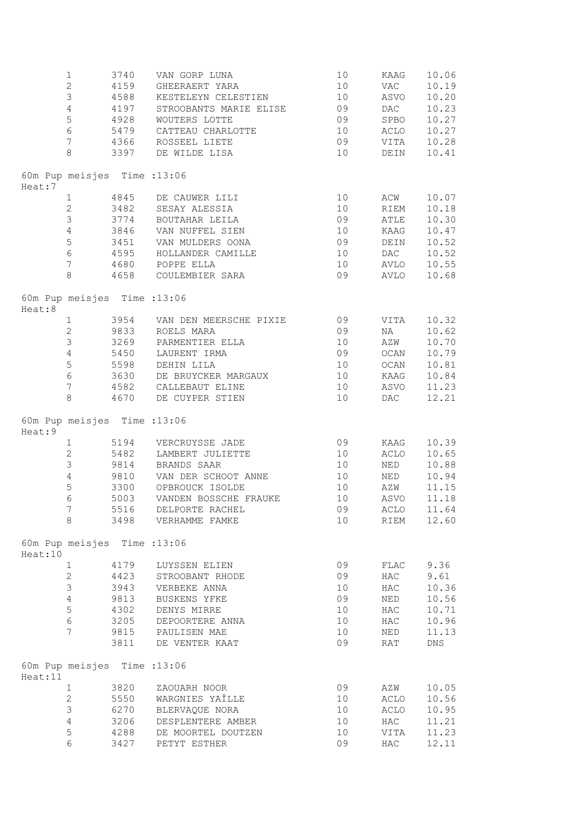|         | $\mathbf{1}$<br>$\overline{c}$<br>$\mathfrak{Z}$ | 3740<br>4159<br>4588 | VAN GORP LUNA<br>GHEERAERT YARA<br>KESTELEYN CELESTIEN | 10<br>10<br>10 | KAAG<br>VAC<br>ASVO | 10.06<br>10.19<br>10.20 |
|---------|--------------------------------------------------|----------------------|--------------------------------------------------------|----------------|---------------------|-------------------------|
|         | $\overline{4}$                                   | 4197                 | STROOBANTS MARIE ELISE                                 | 09             | DAC                 | 10.23                   |
|         | $\mathsf S$                                      | 4928                 | WOUTERS LOTTE                                          | 09             | SPBO                | 10.27                   |
|         | $\sqrt{6}$                                       | 5479                 | CATTEAU CHARLOTTE                                      | 10             | ACLO                | 10.27                   |
|         | $7\phantom{.0}$                                  | 4366                 | ROSSEEL LIETE                                          | 09             | VITA                | 10.28                   |
|         | $8\,$                                            | 3397                 | DE WILDE LISA                                          | 10             | DEIN                | 10.41                   |
| Heat:7  | 60m Pup meisjes Time : 13:06                     |                      |                                                        |                |                     |                         |
|         | $\mathbf{1}$                                     | 4845                 | DE CAUWER LILI                                         | 10             | ACW                 | 10.07                   |
|         | $\overline{2}$                                   | 3482                 | SESAY ALESSIA                                          | 10             | RIEM                | 10.18                   |
|         | $\mathsf 3$                                      | 3774                 | BOUTAHAR LEILA                                         | 09             | ATLE                | 10.30                   |
|         | $\overline{4}$                                   | 3846                 | VAN NUFFEL SIEN                                        | 10             | KAAG                | 10.47                   |
|         | $\mathsf S$                                      | 3451                 | VAN MULDERS OONA                                       | 09             | DEIN                | 10.52                   |
|         | $6\,$                                            | 4595                 | HOLLANDER CAMILLE                                      | 10             | DAC                 | 10.52                   |
|         | 7<br>8                                           |                      | 4680 POPPE ELLA<br>4658 COULEMBIER SARA                | 10<br>09       | AVLO<br>AVLO        | 10.55<br>10.68          |
|         |                                                  |                      |                                                        |                |                     |                         |
| Heat:8  | 60m Pup meisjes Time : 13:06                     |                      |                                                        |                |                     |                         |
|         | $\mathbf{1}$                                     |                      | 3954 VAN DEN MEERSCHE PIXIE                            | 09             | VITA                | 10.32                   |
|         | $\mathbf{2}$                                     | 9833                 | ROELS MARA                                             | 09             | NA                  | 10.62                   |
|         | $\mathfrak{Z}$                                   | 3269                 | PARMENTIER ELLA                                        | 10             | AZW                 | 10.70                   |
|         | $\overline{4}$                                   | 5450                 | LAURENT IRMA                                           | 09             | OCAN                | 10.79                   |
|         | $\mathsf S$                                      | 5598                 | DEHIN LILA                                             | 10             | OCAN                | 10.81                   |
|         | $\sqrt{6}$                                       | 3630                 | DE BRUYCKER MARGAUX                                    | 10             | KAAG                | 10.84                   |
|         | $7\phantom{.}$<br>8                              | 4670                 | 4582 CALLEBAUT ELINE<br>DE CUYPER STIEN                | 10<br>10       | ASVO<br>DAC         | 11.23<br>12.21          |
|         |                                                  |                      |                                                        |                |                     |                         |
| Heat: 9 | 60m Pup meisjes Time : 13:06                     |                      |                                                        |                |                     |                         |
|         | $\mathbf 1$                                      | 5194                 | VERCRUYSSE JADE                                        | 09             | KAAG                | 10.39                   |
|         | $\overline{2}$                                   | 5482                 | LAMBERT JULIETTE                                       | 10             | ACLO                | 10.65                   |
|         | $\mathsf 3$                                      | 9814                 | BRANDS SAAR                                            | 10             | NED                 | 10.88                   |
|         | $\overline{4}$                                   | 9810                 | VAN DER SCHOOT ANNE                                    | 10             | NED                 | 10.94                   |
|         | $\mathsf S$                                      | 3300                 | OPBROUCK ISOLDE                                        | 10             | AZW                 | 11.15                   |
|         | $6\,$                                            | 5003                 | VANDEN BOSSCHE FRAUKE                                  | 10             | ASVO                | 11.18                   |
|         | $7\overline{ }$                                  |                      | 5516 DELPORTE RACHEL                                   | 09             | ACLO                | 11.64                   |
|         | 8                                                | 3498                 | VERHAMME FAMKE                                         | 10             | RIEM                | 12.60                   |
| Heat:10 | 60m Pup meisjes Time : 13:06                     |                      |                                                        |                |                     |                         |
|         | 1                                                | 4179                 | LUYSSEN ELIEN                                          | 09             | FLAC                | 9.36                    |
|         | $\overline{2}$                                   | 4423                 | STROOBANT RHODE                                        | 09             | HAC                 | 9.61                    |
|         | $\mathfrak{Z}$                                   | 3943                 | VERBEKE ANNA                                           | 10             | HAC                 | 10.36                   |
|         | $\overline{4}$                                   | 9813                 | BUSKENS YFKE                                           | 09             | NED                 | 10.56                   |
|         | $\mathsf S$                                      | 4302                 | DENYS MIRRE                                            | 10             | HAC                 | 10.71                   |
|         | $\epsilon$                                       | 3205                 | DEPOORTERE ANNA                                        | 10             | $_{\rm HAC}$        | 10.96                   |
|         | 7                                                | 9815                 | PAULISEN MAE                                           | 10             | NED                 | 11.13                   |
|         |                                                  | 3811                 | DE VENTER KAAT                                         | 09             | RAT                 | DNS                     |
| Heat:11 | 60m Pup meisjes Time : 13:06                     |                      |                                                        |                |                     |                         |
|         | $\mathbf{1}$                                     | 3820                 | ZAOUARH NOOR                                           | 09             | AZW                 | 10.05                   |
|         | $\mathbf{2}$                                     | 5550                 | WARGNIES YAÎLLE                                        | 10             | ACLO                | 10.56                   |
|         | $\mathsf 3$                                      | 6270                 | BLERVAQUE NORA                                         | 10             | ACLO                | 10.95                   |
|         | $\sqrt{4}$                                       | 3206                 | DESPLENTERE AMBER                                      | 10             | HAC                 | 11.21                   |
|         | 5                                                | 4288                 | DE MOORTEL DOUTZEN                                     | 10             | VITA                | 11.23                   |
|         | $\epsilon$                                       | 3427                 | PETYT ESTHER                                           | 09             | HAC                 | 12.11                   |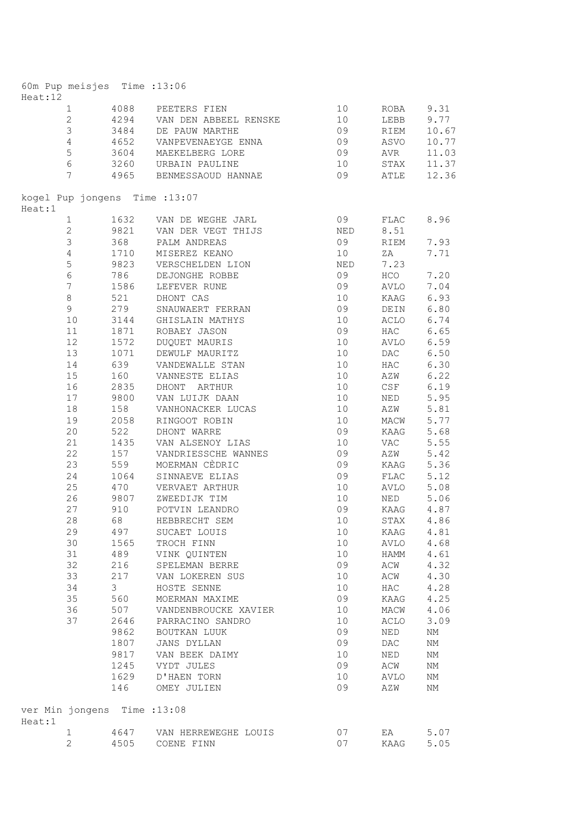| Heat:12 | 60m Pup meisjes Time : 13:06 |             |                                |                 |              |              |
|---------|------------------------------|-------------|--------------------------------|-----------------|--------------|--------------|
|         | $\mathbf{1}$                 |             | 4088 PEETERS FIEN              | 10              | ROBA         | 9.31         |
|         | $\mathbf{2}$                 | 4294        | VAN DEN ABBEEL RENSKE          | 10              | LEBB         | 9.77         |
|         | $\mathfrak{Z}$               | 3484        | DE PAUW MARTHE                 | 09              | RIEM         | 10.67        |
|         | $\overline{4}$               | 4652        | VANPEVENAEYGE ENNA             | 09              | ASVO         | 10.77        |
|         | 5                            | 3604        | MAEKELBERG LORE                | 09              | AVR          | 11.03        |
|         | $6\overline{6}$              | 3260        | URBAIN PAULINE                 | 10              | STAX         | 11.37        |
|         | 7                            |             | 4965 BENMESSAOUD HANNAE        | 09              | ATLE         | 12.36        |
| Heat:1  |                              |             | kogel Pup jongens Time : 13:07 |                 |              |              |
|         | $\mathbf{1}$                 | 1632        | VAN DE WEGHE JARL              | 09              | FLAC         | 8.96         |
|         | $\mathbf{2}$                 |             | 9821 VAN DER VEGT THIJS        | NED             | 8.51         |              |
|         | $\mathfrak{Z}$               | 368         | PALM ANDREAS                   | 09              | RIEM         | 7.93         |
|         | $\overline{4}$               | 1710        | MISEREZ KEANO                  | 10              | ΖA           | 7.71         |
|         | 5                            | 9823        | VERSCHELDEN LION               | NED             | 7.23         |              |
|         | $6\,$                        | 786         | DEJONGHE ROBBE                 | 09              | HCO          | 7.20         |
|         | $\boldsymbol{7}$             | 1586        | LEFEVER RUNE                   | 09              | AVLO         | 7.04         |
|         | $8\,$                        | 521         | DHONT CAS                      | 10              | KAAG         | 6.93         |
|         | 9                            | 279         | SNAUWAERT FERRAN               | 09              | DEIN         | 6.80         |
|         | 10                           | 3144        | GHISLAIN MATHYS                | 10              | ACLO         | 6.74         |
|         | 11                           | 1871        | ROBAEY JASON                   | 09              | HAC          | 6.65         |
|         | 12                           | 1572        | DUQUET MAURIS                  | 10              | AVLO         | 6.59         |
|         | 13                           | 1071        | DEWULF MAURITZ                 | 10              | DAC          | 6.50         |
|         | 14                           | 639         | VANDEWALLE STAN                | 10              | HAC          | 6.30         |
|         | 15                           | 160         | VANNESTE ELIAS                 | 10              | AZW          | 6.22         |
|         | 16                           | 2835        | DHONT ARTHUR                   | 10              | CSE          | 6.19         |
|         | 17                           | 9800        | VAN LUIJK DAAN                 | 10              | NED          | 5.95         |
|         | 18                           | 158         | VANHONACKER LUCAS              | 10              | AZW          | 5.81         |
|         | 19                           | 2058        | RINGOOT ROBIN                  | 10              | MACW         | 5.77         |
|         | 20                           | 522         | DHONT WARRE                    | 09              | KAAG         | 5.68         |
|         | 21                           | 1435        | VAN ALSENOY LIAS               | 10              | VAC          | 5.55         |
|         | 22                           | 157         | VANDRIESSCHE WANNES            | 09              | AZW          | 5.42         |
|         | 23                           | 559         | MOERMAN CÈDRIC                 | 09              | KAAG         | 5.36         |
|         | 24                           | 1064        | SINNAEVE ELIAS                 | 09              | FLAC         | 5.12         |
|         | 25                           | 470         | VERVAET ARTHUR                 | 10              | AVLO         | 5.08         |
|         | 26                           | 9807        | ZWEEDIJK TIM                   | 10              | NED          | 5.06         |
|         | 27                           | 910         | POTVIN LEANDRO                 | 09              | KAAG         | 4.87         |
|         | 28                           |             | 68 HEBBRECHT SEM               | 10 <sub>1</sub> | STAX         | 4.86         |
|         |                              |             |                                |                 |              |              |
|         | 29<br>30                     | 497         | SUCAET LOUIS                   | 10              | KAAG         | 4.81<br>4.68 |
|         | 31                           | 1565<br>489 | TROCH FINN<br>VINK QUINTEN     | 10<br>10        | AVLO<br>HAMM | 4.61         |
|         |                              |             |                                |                 |              |              |
|         | 32                           | 216         | SPELEMAN BERRE                 | 09              | ACW          | 4.32         |
|         | 33                           | 217         | VAN LOKEREN SUS                | 10              | ACW          | 4.30         |
|         | 34                           | 3           | HOSTE SENNE                    | 10              | HAC          | 4.28         |
|         | 35                           | 560         | MOERMAN MAXIME                 | 09              | KAAG         | 4.25         |
|         | 36                           | 507         | VANDENBROUCKE XAVIER           | 10              | MACW         | 4.06         |
|         | 37                           | 2646        | PARRACINO SANDRO               | 10              | ACLO         | 3.09         |
|         |                              | 9862        | BOUTKAN LUUK                   | 09              | NED          | NΜ           |
|         |                              | 1807        | JANS DYLLAN                    | 09              | DAC          | NΜ           |
|         |                              | 9817        | VAN BEEK DAIMY                 | 10              | NED          | NΜ           |
|         |                              | 1245        | VYDT JULES                     | 09              | ACW          | NΜ           |
|         |                              | 1629        | D'HAEN TORN                    | 10              | AVLO         | ΝM           |
|         |                              | 146         | OMEY JULIEN                    | 09              | AZW          | NΜ           |
| Heat:1  | ver Min jongens Time : 13:08 |             |                                |                 |              |              |
|         | $\mathbf{1}$                 | 4647        | VAN HERREWEGHE LOUIS           | 07              | EA           | 5.07         |
|         | $\mathbf{2}$                 | 4505        | COENE FINN                     | 07              | KAAG         | 5.05         |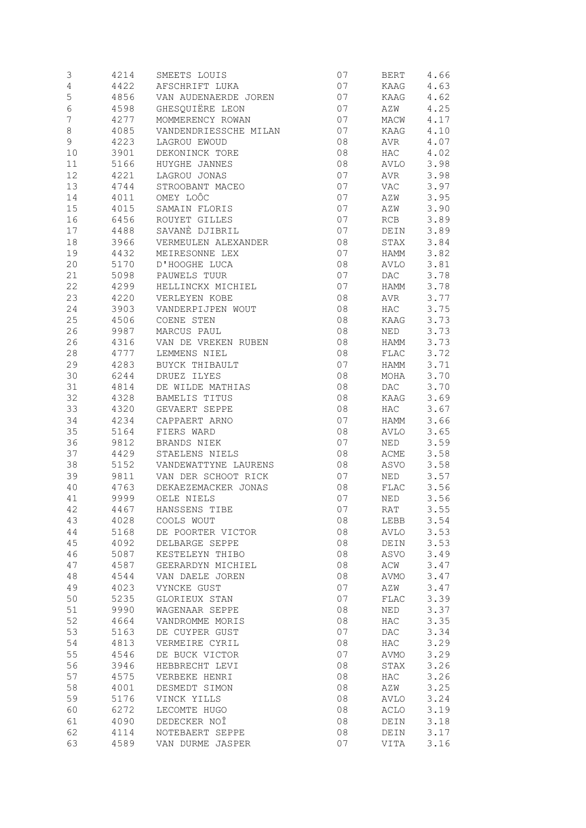| 3                | 4214 | SMEETS LOUIS                          | 07 | BERT | 4.66 |
|------------------|------|---------------------------------------|----|------|------|
| $\overline{4}$   | 4422 | AFSCHRIFT LUKA                        | 07 | KAAG | 4.63 |
| $\mathsf S$      | 4856 | VAN AUDENAERDE JOREN                  | 07 | KAAG | 4.62 |
| $\epsilon$       | 4598 | GHESQUIËRE LEON                       | 07 | AZW  | 4.25 |
| $\boldsymbol{7}$ | 4277 | MOMMERENCY ROWAN                      | 07 | MACW | 4.17 |
| $\,8\,$          | 4085 | VANDENDRIESSCHE MILAN                 | 07 | KAAG | 4.10 |
| 9                | 4223 | LAGROU EWOUD                          | 08 | AVR  | 4.07 |
| 10               | 3901 | DEKONINCK TORE                        | 08 | HAC  | 4.02 |
| 11               | 5166 | HUYGHE JANNES                         | 08 | AVLO | 3.98 |
| 12               | 4221 | LAGROU JONAS                          | 07 | AVR  | 3.98 |
| 13               | 4744 | STROOBANT MACEO                       | 07 | VAC  | 3.97 |
| 14               | 4011 | OMEY LOÔC                             | 07 | AZW  | 3.95 |
| 15               | 4015 | SAMAIN FLORIS                         | 07 | AZW  | 3.90 |
| 16               | 6456 | ROUYET GILLES                         | 07 | RCB  | 3.89 |
| 17               | 4488 | SAVANÈ DJIBRIL                        | 07 | DEIN | 3.89 |
| 18               |      |                                       | 08 |      |      |
| 19               | 3966 | VERMEULEN ALEXANDER<br>MEIRESONNE LEX | 07 | STAX | 3.84 |
|                  | 4432 |                                       |    | HAMM | 3.82 |
| 20               | 5170 | D'HOOGHE LUCA                         | 08 | AVLO | 3.81 |
| 21               | 5098 | PAUWELS TUUR                          | 07 | DAC  | 3.78 |
| 22               | 4299 | HELLINCKX MICHIEL                     | 07 | HAMM | 3.78 |
| 23               | 4220 | VERLEYEN KOBE                         | 08 | AVR  | 3.77 |
| 24               | 3903 | VANDERPIJPEN WOUT                     | 08 | HAC  | 3.75 |
| 25               | 4506 | COENE STEN                            | 08 | KAAG | 3.73 |
| 26               | 9987 | MARCUS PAUL                           | 08 | NED  | 3.73 |
| 26               | 4316 | VAN DE VREKEN RUBEN                   | 08 | HAMM | 3.73 |
| 28               | 4777 | LEMMENS NIEL                          | 08 | FLAC | 3.72 |
| 29               | 4283 | BUYCK THIBAULT                        | 07 | HAMM | 3.71 |
| $30$             | 6244 | DRUEZ ILYES                           | 08 | MOHA | 3.70 |
| 31               | 4814 | DE WILDE MATHIAS                      | 08 | DAC  | 3.70 |
| 32               | 4328 | BAMELIS TITUS                         | 08 | KAAG | 3.69 |
| 33               | 4320 | GEVAERT SEPPE                         | 08 | HAC  | 3.67 |
| 34               | 4234 | CAPPAERT ARNO                         | 07 | HAMM | 3.66 |
| 35               | 5164 | FIERS WARD                            | 08 | AVLO | 3.65 |
| 36               | 9812 | BRANDS NIEK                           | 07 | NED  | 3.59 |
| 37               | 4429 | STAELENS NIELS                        | 08 | ACME | 3.58 |
| 38               | 5152 | VANDEWATTYNE LAURENS                  | 08 | ASVO | 3.58 |
| 39               | 9811 | VAN DER SCHOOT RICK                   | 07 | NED  | 3.57 |
| 40               | 4763 | DEKAEZEMACKER JONAS                   | 08 | FLAC | 3.56 |
| 41               | 9999 | OELE NIELS                            | 07 | NED  | 3.56 |
| 42               |      | 4467 HANSSENS TIBE                    | 07 | RAT  | 3.55 |
| 43               | 4028 | COOLS WOUT                            | 08 | LEBB | 3.54 |
| 44               | 5168 | DE POORTER VICTOR                     | 08 | AVLO | 3.53 |
| 45               | 4092 | DELBARGE SEPPE                        | 08 | DEIN | 3.53 |
| 46               | 5087 | KESTELEYN THIBO                       | 08 | ASVO | 3.49 |
| 47               | 4587 | GEERARDYN MICHIEL                     | 08 | ACW  | 3.47 |
| 48               | 4544 | VAN DAELE JOREN                       | 08 | AVMO | 3.47 |
|                  |      |                                       |    |      |      |
| 49               | 4023 | VYNCKE GUST                           | 07 | AZW  | 3.47 |
| 50               | 5235 | GLORIEUX STAN                         | 07 | FLAC | 3.39 |
| 51               | 9990 | WAGENAAR SEPPE                        | 08 | NED  | 3.37 |
| 52               | 4664 | VANDROMME MORIS                       | 08 | HAC  | 3.35 |
| 53               | 5163 | DE CUYPER GUST                        | 07 | DAC  | 3.34 |
| 54               | 4813 | VERMEIRE CYRIL                        | 08 | HAC  | 3.29 |
| 55               | 4546 | DE BUCK VICTOR                        | 07 | AVMO | 3.29 |
| 56               | 3946 | HEBBRECHT LEVI                        | 08 | STAX | 3.26 |
| 57               | 4575 | VERBEKE HENRI                         | 08 | HAC  | 3.26 |
| 58               | 4001 | DESMEDT SIMON                         | 08 | AZW  | 3.25 |
| 59               | 5176 | VINCK YILLS                           | 08 | AVLO | 3.24 |
| 60               | 6272 | LECOMTE HUGO                          | 08 | ACLO | 3.19 |
| 61               | 4090 | DEDECKER NOÎ                          | 08 | DEIN | 3.18 |
| 62               | 4114 | NOTEBAERT SEPPE                       | 08 | DEIN | 3.17 |
| 63               | 4589 | VAN DURME JASPER                      | 07 | VITA | 3.16 |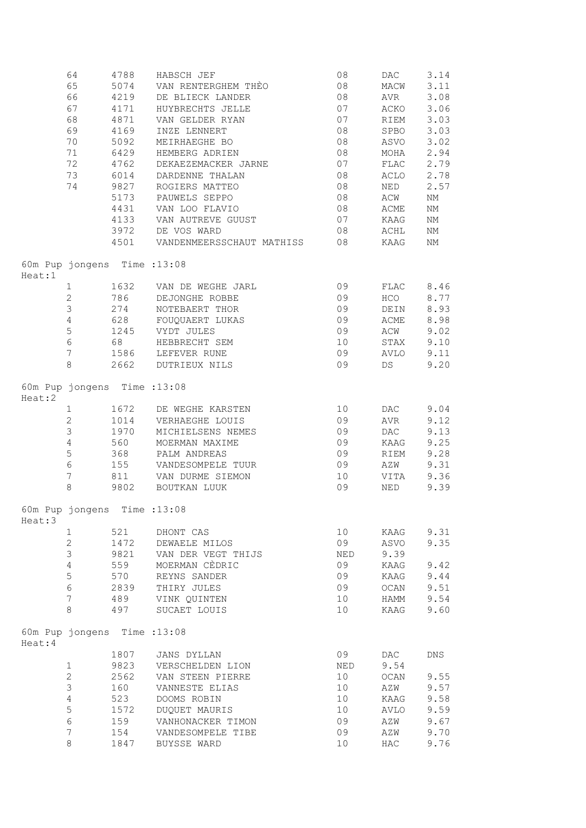|        | 64                           | 4788    | HABSCH JEF                                | 08         | DAC  | 3.14     |
|--------|------------------------------|---------|-------------------------------------------|------------|------|----------|
|        | 65                           | 5074    | VAN RENTERGHEM THÈO                       | 08         | MACW | 3.11     |
|        | 66                           | 4219    | DE BLIECK LANDER                          | 08         | AVR  | 3.08     |
|        | 67                           | 4171    | HUYBRECHTS JELLE                          | 07         | ACKO | 3.06     |
|        | 68                           | 4871    | VAN GELDER RYAN                           | 07         | RIEM | 3.03     |
|        | 69                           | 4169    | INZE LENNERT                              | 08         | SPBO | 3.03     |
|        | 70                           | 5092    | MEIRHAEGHE BO                             | 08         | ASVO | 3.02     |
|        | 71                           | 6429    | HEMBERG ADRIEN                            | 08         | MOHA | 2.94     |
|        | 72                           | 4762    | DEKAEZEMACKER JARNE                       | 07         | FLAC | 2.79     |
|        | 73                           | 6014    | DARDENNE THALAN                           | 08         | ACLO | 2.78     |
|        | 74                           | 9827    | ROGIERS MATTEO                            | 08         | NED  | 2.57     |
|        |                              | 5173    | PAUWELS SEPPO                             | 08         | ACW  |          |
|        |                              |         | 4431 VAN LOO FLAVIO                       | 08         | ACME | ΝM<br>NΜ |
|        |                              |         |                                           |            |      |          |
|        |                              |         | 4133 VAN AUTREVE GUUST                    | 07         | KAAG | NΜ       |
|        |                              |         | 3972 DE VOS WARD                          | 08         | ACHL | ΝM       |
|        |                              |         | 4501 VANDENMEERSSCHAUT MATHISS 08         |            | KAAG | ΝM       |
| Heat:1 | 60m Pup jongens Time : 13:08 |         |                                           |            |      |          |
|        | $\mathbf{1}$                 |         | 1632 VAN DE WEGHE JARL                    | 09         | FLAC | 8.46     |
|        | $\mathbf{2}$                 | 786     | DEJONGHE ROBBE                            | 09         | HCO  | 8.77     |
|        | $\mathsf 3$                  | 274     | NOTEBAERT THOR                            | 09         | DEIN | 8.93     |
|        | 4                            | 628     | FOUQUAERT LUKAS                           | 09         | ACME | 8.98     |
|        | $\mathsf S$                  |         | 1245 VYDT JULES                           | 09         | ACW  | 9.02     |
|        | $\epsilon$                   | 68 — 10 | HEBBRECHT SEM                             | 10         | STAX | 9.10     |
|        | $7\phantom{.}$               |         | 1586 LEFEVER RUNE                         | 09         | AVLO | 9.11     |
|        | 8                            |         | 2662 DUTRIEUX NILS                        | 09         | DS   | 9.20     |
| Heat:2 | 60m Pup jongens Time : 13:08 |         |                                           |            |      |          |
|        | $\mathbf{1}$                 |         | 1672 DE WEGHE KARSTEN                     | 10         | DAC  | 9.04     |
|        | $\mathbf{2}$                 |         |                                           | 09         | AVR  | 9.12     |
|        |                              |         | 1014 VERHAEGHE LOUIS<br>MICHIELSENS NEMES |            |      |          |
|        | $\mathfrak{Z}$               | 1970    |                                           | 09         | DAC  | 9.13     |
|        | 4                            | 560     | MOERMAN MAXIME                            | 09         | KAAG | 9.25     |
|        | $\mathsf S$                  | 368     | PALM ANDREAS                              | 09         | RIEM | 9.28     |
|        | $\epsilon$                   | 155     | VANDESOMPELE TUUR                         | 09         | AZW  | 9.31     |
|        | $\overline{7}$               | 811     | VAN DURME SIEMON                          | 10         | VITA | 9.36     |
|        | $\,8\,$                      | 9802    | BOUTKAN LUUK                              | 09         | NED  | 9.39     |
| Heat:3 | 60m Pup jongens Time : 13:08 |         |                                           |            |      |          |
|        | 1                            | 521     | DHONT CAS                                 | 10         | KAAG | 9.31     |
|        | $\overline{2}$               | 1472    | DEWAELE MILOS                             | 09         | ASVO | 9.35     |
|        | $\mathfrak{Z}$               | 9821    | VAN DER VEGT THIJS                        | <b>NED</b> | 9.39 |          |
|        | $\overline{4}$               | 559     | MOERMAN CÈDRIC                            | 09         | KAAG | 9.42     |
|        | $\mathsf S$                  | 570     | REYNS SANDER                              | 09         | KAAG | 9.44     |
|        | $\epsilon$                   | 2839    | THIRY JULES                               | 09         | OCAN | 9.51     |
|        | 7                            | 489     | VINK QUINTEN                              | 10         | HAMM | 9.54     |
|        | 8                            | 497     | SUCAET LOUIS                              | 10         | KAAG | 9.60     |
| Heat:4 | 60m Pup jongens Time : 13:08 |         |                                           |            |      |          |
|        |                              | 1807    | JANS DYLLAN                               | 09         | DAC  | DNS      |
|        | $\mathbf{1}$                 | 9823    | VERSCHELDEN LION                          | NED        | 9.54 |          |
|        | $\mathbf{2}$                 | 2562    | VAN STEEN PIERRE                          | 10         | OCAN | 9.55     |
|        | $\mathsf 3$                  | 160     | VANNESTE ELIAS                            | 10         | AZW  | 9.57     |
|        | $\overline{4}$               | 523     | DOOMS ROBIN                               | 10         | KAAG | 9.58     |
|        | $\mathsf S$                  | 1572    | DUQUET MAURIS                             | 10         | AVLO | 9.59     |
|        | $\epsilon$                   | 159     | VANHONACKER TIMON                         | 09         |      |          |
|        |                              |         |                                           |            | AZW  | 9.67     |
|        | 7                            | 154     | VANDESOMPELE TIBE                         | 09         | AZW  | 9.70     |
|        | $\,8\,$                      | 1847    | BUYSSE WARD                               | 10         | HAC  | 9.76     |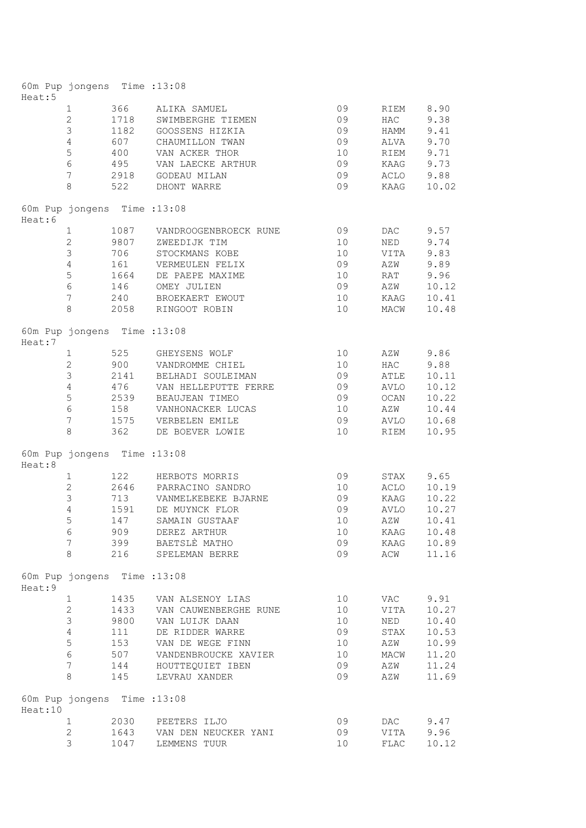| Heat:5  | 60m Pup jongens Time : 13:08 |      |                            |    |      |       |
|---------|------------------------------|------|----------------------------|----|------|-------|
|         | $\mathbf{1}$                 | 366  | ALIKA SAMUEL               | 09 | RIEM | 8.90  |
|         | $\mathbf{2}$                 | 1718 | SWIMBERGHE TIEMEN          | 09 | HAC  | 9.38  |
|         | $\mathfrak{Z}$               | 1182 | GOOSSENS HIZKIA            | 09 | HAMM | 9.41  |
|         | $\overline{4}$               | 607  | CHAUMILLON TWAN            | 09 | ALVA | 9.70  |
|         | 5                            | 400  | VAN ACKER THOR             | 10 | RIEM | 9.71  |
|         | $6\phantom{.}6$              | 495  | VAN LAECKE ARTHUR          | 09 | KAAG | 9.73  |
|         | $7\phantom{.}$               | 2918 | GODEAU MILAN               | 09 | ACLO | 9.88  |
|         | 8                            | 522  | DHONT WARRE                | 09 | KAAG | 10.02 |
| Heat:6  | 60m Pup jongens Time : 13:08 |      |                            |    |      |       |
|         | 1                            |      | 1087 VANDROOGENBROECK RUNE | 09 | DAC  | 9.57  |
|         | $\mathbf{2}$                 |      | 9807 ZWEEDIJK TIM          | 10 | NED  | 9.74  |
|         | $\mathfrak{Z}$               | 706  | STOCKMANS KOBE             | 10 | VITA | 9.83  |
|         | $\overline{4}$               | 161  | VERMEULEN FELIX            | 09 | AZW  | 9.89  |
|         | 5                            | 1664 | DE PAEPE MAXIME            | 10 | RAT  | 9.96  |
|         | $6\,$                        | 146  | OMEY JULIEN                | 09 | AZW  | 10.12 |
|         | 7                            | 240  | BROEKAERT EWOUT            | 10 | KAAG | 10.41 |
|         | 8                            | 2058 | RINGOOT ROBIN              | 10 | MACW | 10.48 |
| Heat:7  | 60m Pup jongens Time : 13:08 |      |                            |    |      |       |
|         | $\mathbf{1}$                 | 525  | GHEYSENS WOLF              | 10 | AZW  | 9.86  |
|         | $\overline{2}$               | 900  | VANDROMME CHIEL            | 10 | HAC  | 9.88  |
|         | $\mathfrak{Z}$               | 2141 | BELHADI SOULEIMAN          | 09 | ATLE | 10.11 |
|         | $\overline{4}$               | 476  | VAN HELLEPUTTE FERRE       | 09 | AVLO | 10.12 |
|         | $\mathsf S$                  | 2539 | BEAUJEAN TIMEO             | 09 | OCAN | 10.22 |
|         | 6                            | 158  | VANHONACKER LUCAS          | 10 | AZW  | 10.44 |
|         | $7\phantom{.0}$              |      | 1575 VERBELEN EMILE        | 09 | AVLO | 10.68 |
|         | 8                            |      | 362 DE BOEVER LOWIE        | 10 | RIEM | 10.95 |
| Heat:8  | 60m Pup jongens Time : 13:08 |      |                            |    |      |       |
|         | $\mathbf{1}$                 | 122  | HERBOTS MORRIS             | 09 | STAX | 9.65  |
|         | $\overline{2}$               | 2646 | PARRACINO SANDRO           | 10 | ACLO | 10.19 |
|         | $\mathsf 3$                  | 713  | VANMELKEBEKE BJARNE        | 09 | KAAG | 10.22 |
|         | $\overline{4}$               | 1591 | DE MUYNCK FLOR             | 09 | AVLO | 10.27 |
|         | 5                            |      | 147 SAMAIN GUSTAAF         | 10 | AZW  | 10.41 |
|         | 6                            | 909  | DEREZ ARTHUR               | 10 | KAAG | 10.48 |
|         | $\overline{7}$               |      | 399 BAETSLÈ MATHO          | 09 | KAAG | 10.89 |
|         | 8                            | 216  | SPELEMAN BERRE             | 09 | ACW  | 11.16 |
| Heat: 9 | 60m Pup jongens Time : 13:08 |      |                            |    |      |       |
|         | $\mathbf{1}$                 | 1435 | VAN ALSENOY LIAS           | 10 | VAC  | 9.91  |
|         | $\mathbf{2}$                 | 1433 | VAN CAUWENBERGHE RUNE      | 10 | VITA | 10.27 |
|         | 3                            | 9800 | VAN LUIJK DAAN             | 10 | NED  | 10.40 |
|         | 4                            | 111  | DE RIDDER WARRE            | 09 | STAX | 10.53 |
|         | 5                            | 153  | VAN DE WEGE FINN           | 10 | AZW  | 10.99 |
|         | 6                            | 507  | VANDENBROUCKE XAVIER       | 10 | MACW | 11.20 |
|         | 7                            | 144  | HOUTTEQUIET IBEN           | 09 | AZW  | 11.24 |
|         | $\,8\,$                      | 145  | LEVRAU XANDER              | 09 | AZW  | 11.69 |
| Heat:10 | 60m Pup jongens Time : 13:08 |      |                            |    |      |       |
|         | $\mathbf{1}$                 |      | 2030 PEETERS ILJO          | 09 | DAC  | 9.47  |
|         | $\mathbf{2}$                 |      | 1643 VAN DEN NEUCKER YANI  | 09 | VITA | 9.96  |
|         | 3                            |      | 1047 LEMMENS TUUR          | 10 | FLAC | 10.12 |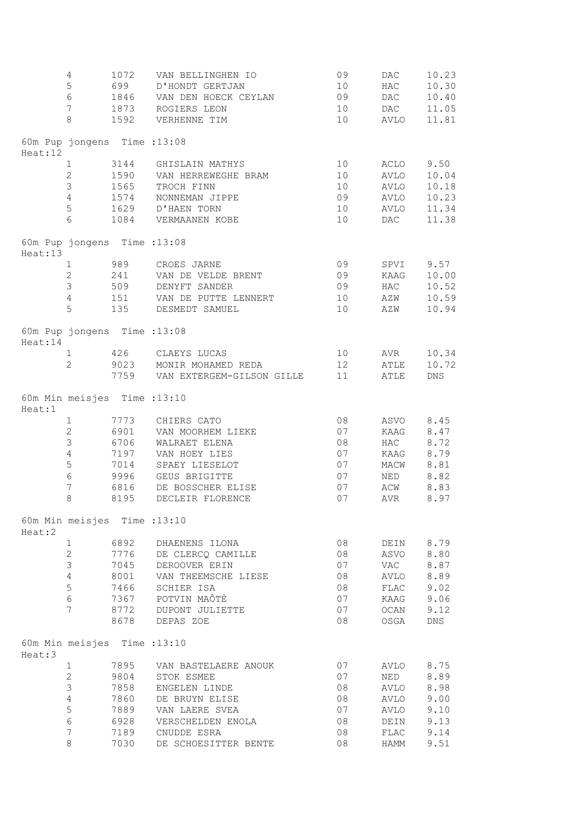|         | 4                            | 1072 | VAN BELLINGHEN IO              | 09 | DAC  | 10.23 |
|---------|------------------------------|------|--------------------------------|----|------|-------|
|         | 5                            | 699  | D'HONDT GERTJAN                | 10 | HAC  | 10.30 |
|         | $\epsilon$                   | 1846 | VAN DEN HOECK CEYLAN           | 09 | DAC  | 10.40 |
|         | $\boldsymbol{7}$             | 1873 | ROGIERS LEON                   | 10 | DAC  | 11.05 |
|         | 8                            | 1592 | VERHENNE TIM                   | 10 | AVLO | 11.81 |
| Heat:12 | 60m Pup jongens Time : 13:08 |      |                                |    |      |       |
|         | 1                            |      | 3144 GHISLAIN MATHYS           | 10 | ACLO | 9.50  |
|         | $\overline{2}$               |      | 1590 VAN HERREWEGHE BRAM       | 10 | AVLO | 10.04 |
|         | 3                            | 1565 | TROCH FINN                     | 10 | AVLO | 10.18 |
|         | $\overline{4}$               | 1574 | NONNEMAN JIPPE                 | 09 | AVLO | 10.23 |
|         | 5                            |      | 1629 D'HAEN TORN               | 10 | AVLO | 11.34 |
|         | 6                            |      | 1084 VERMAANEN KOBE            | 10 | DAC  | 11.38 |
| Heat:13 | 60m Pup jongens Time : 13:08 |      |                                |    |      |       |
|         | 1                            | 989  | CROES JARNE                    | 09 | SPVI | 9.57  |
|         | $\overline{2}$               | 241  | VAN DE VELDE BRENT             | 09 | KAAG | 10.00 |
|         | 3                            | 509  | DENYFT SANDER                  | 09 | HAC  | 10.52 |
|         | $\overline{4}$               | 151  | VAN DE PUTTE LENNERT           | 10 | AZW  | 10.59 |
|         | 5                            | 135  | DESMEDT SAMUEL                 | 10 | AZW  | 10.94 |
| Heat:14 | 60m Pup jongens Time : 13:08 |      |                                |    |      |       |
|         | 1                            |      | 426 CLAEYS LUCAS               | 10 | AVR  | 10.34 |
|         | $\overline{2}$               |      | 9023 MONIR MOHAMED REDA        | 12 | ATLE | 10.72 |
|         |                              |      | 7759 VAN EXTERGEM-GILSON GILLE | 11 | ATLE | DNS   |
| Heat:1  | 60m Min meisjes Time : 13:10 |      |                                |    |      |       |
|         | $\mathbf{1}$                 |      | 7773 CHIERS CATO               | 08 | ASVO | 8.45  |
|         | $\overline{2}$               |      | 6901 VAN MOORHEM LIEKE         | 07 | KAAG | 8.47  |
|         | 3                            | 6706 | WALRAET ELENA                  | 08 | HAC  | 8.72  |
|         | $\overline{4}$               | 7197 | VAN HOEY LIES                  | 07 | KAAG | 8.79  |
|         | 5                            | 7014 | SPAEY LIESELOT                 | 07 | MACW | 8.81  |
|         | $\epsilon$                   | 9996 | GEUS BRIGITTE                  | 07 | NED  | 8.82  |
|         | $\boldsymbol{7}$             | 6816 | DE BOSSCHER ELISE              | 07 | ACW  | 8.83  |
|         | 8                            | 8195 | DECLEIR FLORENCE               | 07 | AVR  | 8.97  |
| Heat:2  | 60m Min meisjes Time : 13:10 |      |                                |    |      |       |
|         | $\mathbf 1$                  | 6892 | DHAENENS ILONA                 | 08 | DEIN | 8.79  |
|         | $\overline{c}$               | 7776 | DE CLERCQ CAMILLE              | 08 | ASVO | 8.80  |
|         | 3                            | 7045 | DEROOVER ERIN                  | 07 | VAC  | 8.87  |
|         | $\overline{4}$               | 8001 | VAN THEEMSCHE LIESE            | 08 | AVLO | 8.89  |
|         | 5                            | 7466 | SCHIER ISA                     | 08 | FLAC | 9.02  |
|         | $\epsilon$                   | 7367 | POTVIN MAÔTÈ                   | 07 | KAAG | 9.06  |
|         | $\overline{7}$               | 8772 | DUPONT JULIETTE                | 07 | OCAN | 9.12  |
|         |                              | 8678 | DEPAS ZOE                      | 08 | OSGA | DNS   |
| Heat:3  | 60m Min meisjes Time : 13:10 |      |                                |    |      |       |
|         | $\mathbf{1}$                 | 7895 | VAN BASTELAERE ANOUK           | 07 | AVLO | 8.75  |
|         | $\overline{c}$               | 9804 | STOK ESMEE                     | 07 | NED  | 8.89  |
|         | 3                            | 7858 | ENGELEN LINDE                  | 08 | AVLO | 8.98  |
|         | $\sqrt{4}$                   | 7860 | DE BRUYN ELISE                 | 08 | AVLO | 9.00  |
|         | 5                            | 7889 | VAN LAERE SVEA                 | 07 | AVLO | 9.10  |
|         | $\epsilon$                   | 6928 | VERSCHELDEN ENOLA              | 08 | DEIN | 9.13  |
|         | 7                            | 7189 | CNUDDE ESRA                    | 08 | FLAC | 9.14  |
|         | 8                            | 7030 | DE SCHOESITTER BENTE           | 08 | HAMM | 9.51  |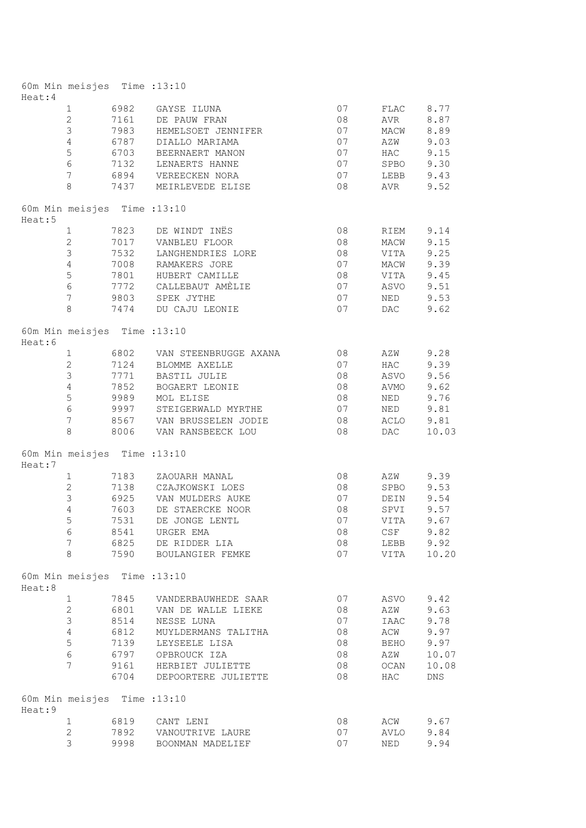| Heat: 4 | 60m Min meisjes Time : 13:10 |      |                                              |          |                |              |
|---------|------------------------------|------|----------------------------------------------|----------|----------------|--------------|
|         | $\mathbf{1}$                 | 6982 | GAYSE ILUNA                                  | 07       | FLAC           | 8.77         |
|         | $\mathbf{2}$                 | 7161 | DE PAUW FRAN                                 | 08       | AVR            | 8.87         |
|         | $\mathfrak{Z}$               |      | 7983 HEMELSOET JENNIFER                      | 07       | MACW           | 8.89         |
|         | $\overline{4}$               |      | 6787 DIALLO MARIAMA                          | 07       | AZW            | 9.03         |
|         | 5                            |      | 6703 BEERNAERT MANON                         | 07       | HAC            | 9.15         |
|         | $\epsilon$                   | 7132 | LENAERTS HANNE                               | 07       | SPBO           | 9.30         |
|         | $7\phantom{.}$               |      |                                              | 07       | LEBB           | 9.43         |
|         | $\,8\,$                      |      | 6894 VEREECKEN NORA<br>7437 MEIRLEVEDE ELISE | 08       | AVR            | 9.52         |
|         |                              |      |                                              |          |                |              |
|         | 60m Min meisjes Time : 13:10 |      |                                              |          |                |              |
| Heat:5  |                              |      |                                              |          |                |              |
|         | $\mathbf{1}$                 | 7823 | DE WINDT INËS                                | 08       | RIEM           | 9.14         |
|         | $\mathbf{2}$                 | 7017 | VANBLEU FLOOR                                | 08       | MACW           | 9.15         |
|         | $\mathfrak{Z}$               | 7532 | LANGHENDRIES LORE                            | 08       | VITA           | 9.25         |
|         | $\overline{4}$               | 7008 | RAMAKERS JORE                                | 07       | MACW           | 9.39         |
|         | 5                            |      | 7801 HUBERT CARLES<br>7772 CALLEBAUT AMÈLIE  | 08       | VITA           | 9.45         |
|         | $\epsilon$                   |      |                                              | 07       | ASVO           | 9.51         |
|         | 7                            | 9803 | SPEK JYTHE                                   | 07       | NED            | 9.53         |
|         | 8                            |      | 7474 DU CAJU LEONIE                          | 07       | DAC            | 9.62         |
|         |                              |      |                                              |          |                |              |
| Heat:6  | 60m Min meisjes Time : 13:10 |      |                                              |          |                |              |
|         | $\mathbf{1}$                 |      | 6802 VAN STEENBRUGGE AXANA                   | 08       | AZW            | 9.28         |
|         | $\mathbf{2}$                 |      | 7124 BLOMME AXELLE                           | 07       | HAC            | 9.39         |
|         | $\mathfrak{Z}$               | 7771 | BASTIL JULIE                                 | 08       | ASVO           | 9.56         |
|         | $\overline{4}$               | 7852 | BOGAERT LEONIE                               | 08       | AVMO           | 9.62         |
|         | 5                            | 9989 | MOL ELISE                                    | 08       | NED            | 9.76         |
|         | $6\,$                        |      | 9997 STEIGERWALD MYRTHE                      | 07       | NED            | 9.81         |
|         | 7                            |      | 8567 VAN BRUSSELEN JODIE                     | 08       | ACLO           | 9.81         |
|         | 8                            |      | 8006 VAN RANSBEECK LOU                       | 08       | DAC            | 10.03        |
|         |                              |      |                                              |          |                |              |
| Heat:7  | 60m Min meisjes Time : 13:10 |      |                                              |          |                |              |
|         | $\mathbf{1}$                 |      | 7183 ZAOUARH MANAL                           | 08       | AZW            | 9.39         |
|         | $\overline{2}$               | 7138 | CZAJKOWSKI LOES                              | 08       | SPBO           | 9.53         |
|         | $\mathsf 3$                  | 6925 | VAN MULDERS AUKE                             | 07       | DEIN           | 9.54         |
|         | 4                            | 7603 | DE STAERCKE NOOR                             | 08       | SPVI           | 9.57         |
|         | 5                            |      | 7531 DE JONGE LENTL                          | 07       | VITA           | 9.67         |
|         | 6                            |      | 8541 URGER EMA                               | 08       | CSF 9.82       |              |
|         | 7                            |      | 6825 DE RIDDER LIA                           | 08       | LEBB 9.92      |              |
|         | 8                            |      | 7590 BOULANGIER FEMKE                        | 07       | VITA           | 10.20        |
| Heat:8  | 60m Min meisjes Time : 13:10 |      |                                              |          |                |              |
|         | $\mathbf{1}$                 | 7845 | VANDERBAUWHEDE SAAR                          | 07       | ASVO           | 9.42         |
|         | $\overline{2}$               | 6801 | VAN DE WALLE LIEKE                           | 08       | AZW            | 9.63         |
|         | 3                            | 8514 | NESSE LUNA                                   | 07       | IAAC           | 9.78         |
|         | $\overline{4}$               | 6812 | MUYLDERMANS TALITHA                          | 08       | ACW            | 9.97         |
|         | 5                            |      | 7139 LEYSEELE LISA                           | 08       | BEHO           | 9.97         |
|         |                              |      |                                              |          |                |              |
|         | 6                            |      | 6797 OPBROUCK IZA                            | 08       | $\mathtt{AZW}$ | 10.07        |
|         | $7\overline{ }$              | 6704 | 9161 HERBIET JULIETTE<br>DEPOORTERE JULIETTE | 08<br>08 | OCAN<br>HAC    | 10.08<br>DNS |
|         |                              |      |                                              |          |                |              |
| Heat: 9 | 60m Min meisjes Time : 13:10 |      |                                              |          |                |              |
|         | $\mathbf{1}$                 |      | 6819 CANT LENI                               | 08       | ACW            | 9.67         |
|         | $\mathbf{2}^{\prime}$        |      | 7892 VANOUTRIVE LAURE                        | 07       | AVLO           | 9.84         |
|         | 3                            | 9998 | BOONMAN MADELIEF                             | 07       | NED            | 9.94         |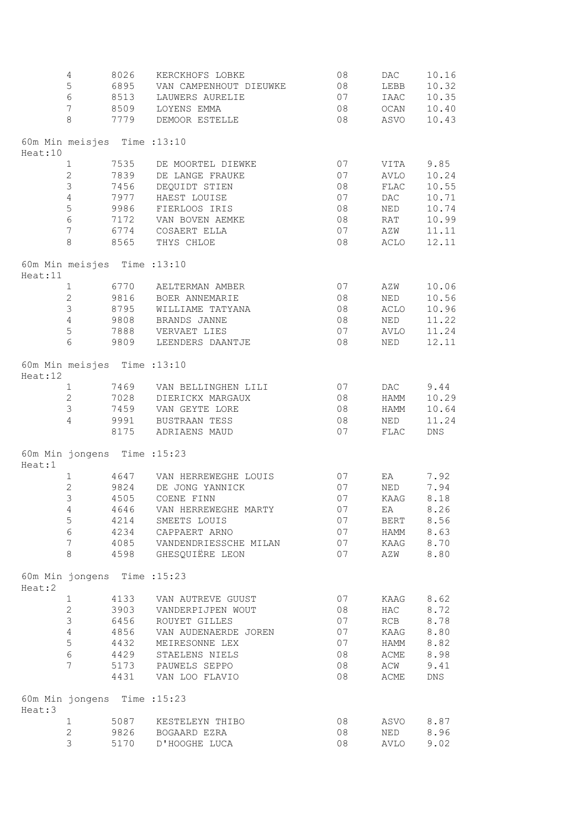|         | 4<br>5<br>6<br>$\boldsymbol{7}$<br>8 | 8026<br>6895<br>8513<br>8509<br>7779 | KERCKHOFS LOBKE<br>VAN CAMPENHOUT DIEUWKE<br>LAUWERS AURELIE<br>LOYENS EMMA<br>DEMOOR ESTELLE | 08<br>08<br>07<br>$0\,8$<br>08 | DAC<br>LEBB<br>IAAC<br>OCAN<br>ASVO | 10.16<br>10.32<br>10.35<br>10.40<br>10.43 |
|---------|--------------------------------------|--------------------------------------|-----------------------------------------------------------------------------------------------|--------------------------------|-------------------------------------|-------------------------------------------|
| Heat:10 | 60m Min meisjes Time : 13:10         |                                      |                                                                                               |                                |                                     |                                           |
|         | 1                                    | 7535                                 | DE MOORTEL DIEWKE                                                                             | 07                             | VITA                                | 9.85                                      |
|         | $\overline{2}$                       | 7839                                 | DE LANGE FRAUKE                                                                               | 07                             | AVLO                                | 10.24                                     |
|         | 3                                    | 7456                                 | DEQUIDT STIEN                                                                                 | 08                             | FLAC                                | 10.55                                     |
|         | $\sqrt{4}$                           | 7977                                 | HAEST LOUISE                                                                                  | 07                             | DAC                                 | 10.71                                     |
|         | $\mathsf S$                          | 9986                                 | FIERLOOS IRIS<br>7172 VAN BOVEN AEMKE                                                         | $0\,8$                         | NED                                 | 10.74                                     |
|         | $\epsilon$<br>7                      |                                      | 6774 COSAERT ELLA                                                                             | 08<br>07                       | RAT<br>AZW                          | 10.99<br>11.11                            |
|         | 8                                    |                                      | 8565 THYS CHLOE                                                                               | 08                             | ACLO                                | 12.11                                     |
| Heat:11 | 60m Min meisjes Time : 13:10         |                                      |                                                                                               |                                |                                     |                                           |
|         | $\mathbf{1}$                         | 6770                                 | AELTERMAN AMBER                                                                               | 07                             | AZW                                 | 10.06                                     |
|         | $\overline{2}$                       | 9816                                 | BOER ANNEMARIE                                                                                | 08                             | NED                                 | 10.56                                     |
|         | $\mathsf S$                          | 8795                                 | WILLIAME TATYANA                                                                              | 08                             | ACLO                                | 10.96                                     |
|         | 4                                    | 9808                                 | BRANDS JANNE                                                                                  | 08                             | NED                                 | 11.22                                     |
|         | $\mathsf S$                          |                                      | 7888 VERVAET LIES                                                                             | 07                             | AVLO                                | 11.24                                     |
|         | 6                                    | 9809                                 | LEENDERS DAANTJE                                                                              | 08                             | NED                                 | 12.11                                     |
| Heat:12 | 60m Min meisjes Time : 13:10         |                                      |                                                                                               |                                |                                     |                                           |
|         | $\mathbf{1}$                         |                                      | 7469 VAN BELLINGHEN LILI                                                                      | 07                             | DAC                                 | 9.44                                      |
|         | $\mathbf{2}$<br>$\mathfrak{Z}$       | 7028                                 | DIERICKX MARGAUX<br>7459 VAN GEYTE LORE                                                       | 08<br>08                       | HAMM<br>HAMM                        | 10.29<br>10.64                            |
|         | $\overline{4}$                       | 9991                                 | BUSTRAAN TESS                                                                                 | 08                             | NED                                 | 11.24                                     |
|         |                                      | 8175                                 | ADRIAENS MAUD                                                                                 | 07                             | FLAC                                | ${\rm DNS}$                               |
| Heat:1  | 60m Min jongens Time : 15:23         |                                      |                                                                                               |                                |                                     |                                           |
|         | $\mathbf{1}$                         |                                      | 4647 VAN HERREWEGHE LOUIS                                                                     | 07                             | ΕA                                  | 7.92                                      |
|         | $\overline{2}$                       | 9824                                 | DE JONG YANNICK                                                                               | 07                             | <b>NED</b>                          | 7.94                                      |
|         | 3                                    | 4505                                 | COENE FINN                                                                                    | 07                             | KAAG                                | 8.18                                      |
|         | $4\overline{ }$                      |                                      | 4646 VAN HERREWEGHE MARTY                                                                     | 07                             | EA                                  | 8.26                                      |
|         | 5                                    | 4214                                 | SMEETS LOUIS                                                                                  | 07                             | BERT 8.56                           |                                           |
|         | 6<br>7                               |                                      | 4234 CAPPAERT ARNO<br>4085 VANDENDRIESSCHE MILAN                                              | 07<br>07                       | <b>HAMM</b><br>KAAG                 | 8.63<br>8.70                              |
|         | 8                                    |                                      | 4598 GHESQUIËRE LEON                                                                          | 07                             | AZW                                 | 8.80                                      |
| Heat:2  | 60m Min jongens Time : 15:23         |                                      |                                                                                               |                                |                                     |                                           |
|         | $\mathbf{1}$                         |                                      | 4133 VAN AUTREVE GUUST                                                                        | 07                             | KAAG                                | 8.62                                      |
|         | $\overline{2}$                       | 3903                                 | VANDERPIJPEN WOUT                                                                             | 08                             | HAC                                 | 8.72                                      |
|         | 3                                    | 6456                                 | ROUYET GILLES                                                                                 | 07                             | RCB                                 | 8.78                                      |
|         | $\overline{4}$                       |                                      | 4856 VAN AUDENAERDE JOREN                                                                     | 07                             | KAAG                                | 8.80                                      |
|         | 5<br>6                               | 4432                                 | MEIRESONNE LEX                                                                                | 07                             | <b>HAMM</b>                         | 8.82                                      |
|         | $7\overline{ }$                      |                                      | 4429 STAELENS NIELS<br>5173 PAUWELS SEPPO                                                     | 08<br>08                       | ACME<br>ACW                         | 8.98<br>9.41                              |
|         |                                      |                                      | 4431 VAN LOO FLAVIO                                                                           | 08                             | ACME                                | DNS                                       |
| Heat:3  | 60m Min jongens Time : 15:23         |                                      |                                                                                               |                                |                                     |                                           |
|         | $\mathbf{1}$                         |                                      | 5087 KESTELEYN THIBO                                                                          | 08                             | ASVO                                | 8.87                                      |
|         | 2                                    |                                      | 9826 BOGAARD EZRA                                                                             | 08                             | NED                                 | 8.96                                      |
|         | 3                                    |                                      | 5170 D'HOOGHE LUCA                                                                            | 08                             | AVLO                                | 9.02                                      |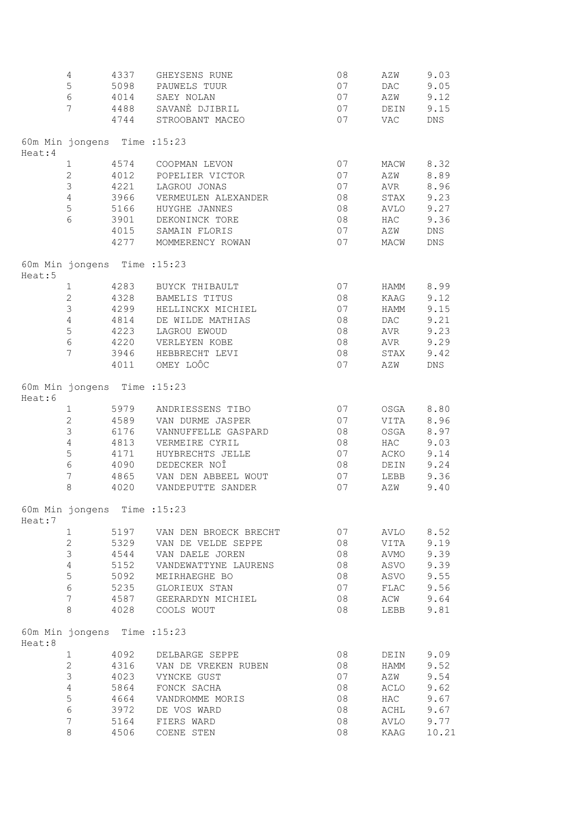|         | 4                            | 4337 | GHEYSENS RUNE         | 08     | AZW        | 9.03  |
|---------|------------------------------|------|-----------------------|--------|------------|-------|
|         | 5                            | 5098 | PAUWELS TUUR          | 07     | DAC        | 9.05  |
|         | 6                            | 4014 | SAEY NOLAN            | 07     | AZW        | 9.12  |
|         | 7                            |      | 4488 SAVANÈ DJIBRIL   | 07     | DEIN       | 9.15  |
|         |                              |      | 4744 STROOBANT MACEO  | 07     | <b>VAC</b> | DNS   |
| Heat: 4 | 60m Min jongens Time : 15:23 |      |                       |        |            |       |
|         | $\mathbf 1$                  | 4574 | COOPMAN LEVON         | 07     | MACW       | 8.32  |
|         | $\overline{2}$               | 4012 | POPELIER VICTOR       | 07     | AZW        | 8.89  |
|         | 3                            | 4221 | LAGROU JONAS          | 07     | AVR        | 8.96  |
|         | $\overline{4}$               | 3966 | VERMEULEN ALEXANDER   | $0\,8$ | STAX       | 9.23  |
|         | 5                            | 5166 | HUYGHE JANNES         | 08     | AVLO       | 9.27  |
|         | 6                            |      | 3901 DEKONINCK TORE   | 08     | HAC        | 9.36  |
|         |                              |      | 4015 SAMAIN FLORIS    | 07     | AZW        | DNS   |
|         |                              |      | 4277 MOMMERENCY ROWAN | 07     | MACW       | DNS   |
| Heat:5  | 60m Min jongens Time : 15:23 |      |                       |        |            |       |
|         | $\mathbf{1}$                 | 4283 | BUYCK THIBAULT        | 07     | HAMM       | 8.99  |
|         | $\overline{2}$               | 4328 | BAMELIS TITUS         | $0\,8$ | KAAG       | 9.12  |
|         | 3                            | 4299 | HELLINCKX MICHIEL     | 07     | HAMM       | 9.15  |
|         | 4                            | 4814 | DE WILDE MATHIAS      | 08     | DAC        | 9.21  |
|         | 5                            | 4223 | LAGROU EWOUD          | 08     | AVR        | 9.23  |
|         | 6                            | 4220 | VERLEYEN KOBE         | $0\,8$ | AVR        | 9.29  |
|         | $\overline{7}$               |      | 3946 HEBBRECHT LEVI   | 08     | STAX       | 9.42  |
|         |                              | 4011 | OMEY LOÔC             | 07     | AZW        | DNS   |
| Heat:6  | 60m Min jongens Time : 15:23 |      |                       |        |            |       |
|         | $\mathbf{1}$                 |      | 5979 ANDRIESSENS TIBO | 07     | OSGA       | 8.80  |
|         | $\mathbf{2}$                 |      | 4589 VAN DURME JASPER | 07     | VITA       | 8.96  |
|         | $\mathfrak{Z}$               | 6176 | VANNUFFELLE GASPARD   | 08     | OSGA       | 8.97  |
|         | 4                            | 4813 | VERMEIRE CYRIL        | 08     | HAC        | 9.03  |
|         | 5                            | 4171 | HUYBRECHTS JELLE      | 07     | ACKO       | 9.14  |
|         | $\epsilon$                   | 4090 | DEDECKER NOÎ          | 08     | DEIN       | 9.24  |
|         | $\overline{7}$               | 4865 | VAN DEN ABBEEL WOUT   | 07     | LEBB       | 9.36  |
|         | 8                            | 4020 | VANDEPUTTE SANDER     | 07     | AZW        | 9.40  |
| Heat:7  | 60m Min jongens Time : 15:23 |      |                       |        |            |       |
|         | $\mathbf{1}$                 | 5197 | VAN DEN BROECK BRECHT | 07     | AVLO       | 8.52  |
|         | $\mathbf{2}$                 | 5329 | VAN DE VELDE SEPPE    | 08     | VITA       | 9.19  |
|         | 3                            | 4544 | VAN DAELE JOREN       | 08     | AVMO       | 9.39  |
|         | $\overline{4}$               | 5152 | VANDEWATTYNE LAURENS  | 08     | ASVO       | 9.39  |
|         | 5                            | 5092 | MEIRHAEGHE BO         | 08     | ASVO       | 9.55  |
|         | $\epsilon$                   | 5235 | GLORIEUX STAN         | 07     | FLAC       | 9.56  |
|         | $\boldsymbol{7}$             | 4587 | GEERARDYN MICHIEL     | 08     | ACW        | 9.64  |
|         | 8                            | 4028 | COOLS WOUT            | 08     | LEBB       | 9.81  |
| Heat:8  | 60m Min jongens Time : 15:23 |      |                       |        |            |       |
|         | 1                            | 4092 | DELBARGE SEPPE        | 08     | DEIN       | 9.09  |
|         | $\overline{2}$               | 4316 | VAN DE VREKEN RUBEN   | 08     | HAMM       | 9.52  |
|         | 3                            | 4023 | VYNCKE GUST           | 07     | AZW        | 9.54  |
|         | $\overline{4}$               | 5864 | FONCK SACHA           | 08     | ACLO       | 9.62  |
|         | 5                            | 4664 | VANDROMME MORIS       | 08     | HAC        | 9.67  |
|         | 6                            | 3972 | DE VOS WARD           | 08     | ACHL       | 9.67  |
|         | 7                            | 5164 | FIERS WARD            | 08     | AVLO       | 9.77  |
|         | 8                            | 4506 | COENE STEN            | 08     | KAAG       | 10.21 |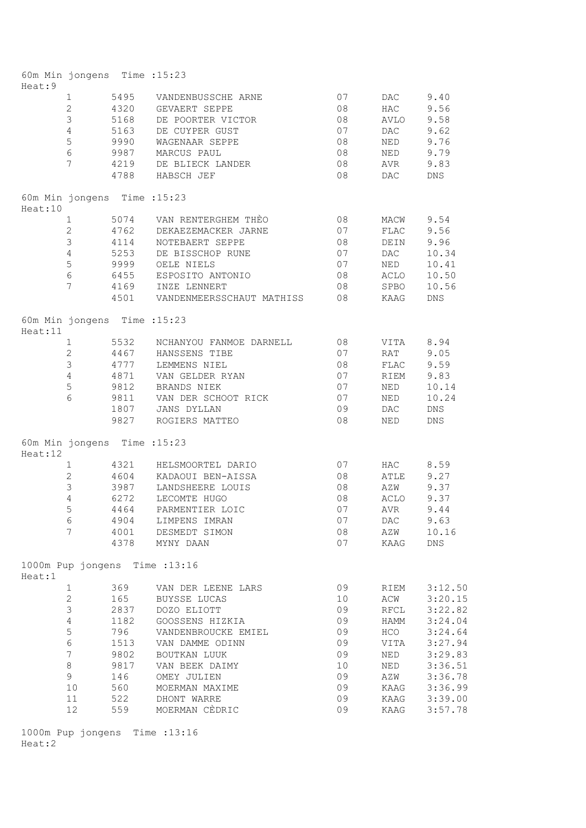| Heat: 9 | 60m Min jongens Time : 15:23 |      |                               |      |      |                    |
|---------|------------------------------|------|-------------------------------|------|------|--------------------|
|         | $\mathbf{1}$                 | 5495 | VANDENBUSSCHE ARNE            | 07   | DAC  | 9.40               |
|         | $\overline{c}$               |      | 4320 GEVAERT SEPPE            | 08   | HAC  | 9.56               |
|         | 3                            | 5168 | DE POORTER VICTOR             | 08   | AVLO | 9.58               |
|         | $\overline{4}$               | 5163 | DE CUYPER GUST                | 07   | DAC  | 9.62               |
|         | 5                            | 9990 | WAGENAAR SEPPE                | 08   | NED  | 9.76               |
|         | $\sqrt{6}$                   | 9987 | MARCUS PAUL                   | 08   | NED  | 9.79               |
|         | 7                            | 4219 | DE BLIECK LANDER              | 08   | AVR  | 9.83               |
|         |                              | 4788 | HABSCH JEF                    | 08   | DAC  | <b>DNS</b>         |
| Heat:10 | 60m Min jongens Time : 15:23 |      |                               |      |      |                    |
|         | 1                            |      | 5074 VAN RENTERGHEM THÈO      | 08   | MACW | 9.54               |
|         | $\overline{2}$               | 4762 | DEKAEZEMACKER JARNE           | 07   | FLAC | 9.56               |
|         | 3                            | 4114 | NOTEBAERT SEPPE               | 08   | DEIN | 9.96               |
|         | $\overline{4}$               | 5253 | DE BISSCHOP RUNE              | 07   | DAC  | 10.34              |
|         | 5                            | 9999 | OELE NIELS                    | 07   | NED  | 10.41              |
|         | $\epsilon$                   | 6455 | ESPOSITO ANTONIO              | 08   | ACLO | 10.50              |
|         | 7                            |      | 4169 INZE LENNERT             | 08   | SPBO | 10.56              |
|         |                              | 4501 | VANDENMEERSSCHAUT MATHISS     | 08   | KAAG | <b>DNS</b>         |
| Heat:11 | 60m Min jongens Time : 15:23 |      |                               |      |      |                    |
|         | 1                            | 5532 | NCHANYOU FANMOE DARNELL       | 08   | VITA | 8.94               |
|         | $\overline{c}$               | 4467 | HANSSENS TIBE                 | 07   | RAT  | 9.05               |
|         | 3                            | 4777 | LEMMENS NIEL                  | 08   | FLAC | 9.59               |
|         | 4                            | 4871 | VAN GELDER RYAN               | 07   | RIEM | 9.83               |
|         | $\mathsf S$                  | 9812 | BRANDS NIEK                   | 07   | NED  | 10.14              |
|         | $6\phantom{.}6$              | 9811 | VAN DER SCHOOT RICK           | 07   | NED  | 10.24              |
|         |                              | 1807 | JANS DYLLAN                   | 09   | DAC  | DNS                |
|         |                              | 9827 | ROGIERS MATTEO                | 08   | NED  | ${\tt DNS}$        |
| Heat:12 | 60m Min jongens Time : 15:23 |      |                               |      |      |                    |
|         | $\mathbf{1}$                 | 4321 | HELSMOORTEL DARIO             | 07   | HAC  | 8.59               |
|         | $\mathbf{2}$                 | 4604 | KADAOUI BEN-AISSA             | 08   | ATLE | 9.27               |
|         | $\mathsf 3$                  | 3987 | LANDSHEERE LOUIS              | 08   | AZW  | 9.37               |
|         | 4                            | 6272 | LECOMTE HUGO                  | 08   | ACLO | 9.37               |
|         | 5                            | 4464 | PARMENTIER LOIC               | 07   | AVR  | 9.44               |
|         | 6                            | 4904 | LIMPENS IMRAN                 | 07   | DAC  | 9.63               |
|         | 7                            | 4001 | DESMEDT SIMON                 | 08   | AZW  | 10.16              |
|         |                              | 4378 | MYNY DAAN                     | 07   | KAAG | $\mathop{\rm DNS}$ |
| Heat:1  |                              |      | 1000m Pup jongens Time :13:16 |      |      |                    |
|         | $\mathbf 1$                  | 369  | VAN DER LEENE LARS            | 09   | RIEM | 3:12.50            |
|         | $\mathbf{2}$                 | 165  | <b>BUYSSE LUCAS</b>           | 10   | ACW  | 3:20.15            |
|         | $\mathsf 3$                  | 2837 | DOZO ELIOTT                   | 09   | RFCL | 3:22.82            |
|         | $\sqrt{4}$                   | 1182 | GOOSSENS HIZKIA               | 09   | HAMM | 3:24.04            |
|         | 5                            | 796  | VANDENBROUCKE EMIEL           | 09   | HCO  | 3:24.64            |
|         | $\epsilon$                   | 1513 | VAN DAMME ODINN               | 09   | VITA | 3:27.94            |
|         | $\boldsymbol{7}$             | 9802 | BOUTKAN LUUK                  | 09   | NED  | 3:29.83            |
|         | $\,8\,$                      | 9817 | VAN BEEK DAIMY                | $10$ | NED  | 3:36.51            |
|         | 9                            | 146  | OMEY JULIEN                   | 09   | AZW  | 3:36.78            |
|         | 10                           | 560  | MOERMAN MAXIME                | 09   | KAAG | 3:36.99            |
|         | 11                           | 522  | DHONT WARRE                   | 09   | KAAG | 3:39.00            |
|         | 12                           | 559  | MOERMAN CÈDRIC                | 09   | KAAG | 3:57.78            |

1000m Pup jongens Time :13:16 Heat:2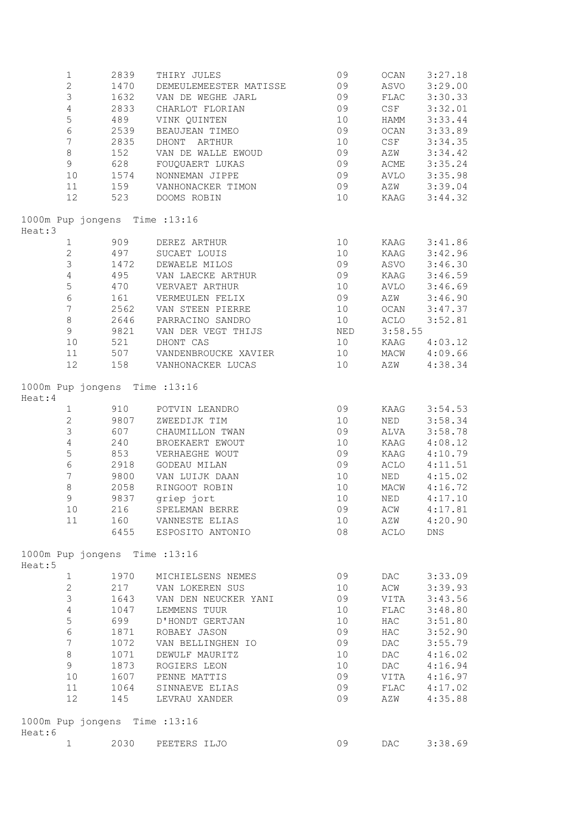|         | $1\,$                    | 2839                           | THIRY JULES                   | 09   | OCAN         | 3:27.18            |
|---------|--------------------------|--------------------------------|-------------------------------|------|--------------|--------------------|
|         | $\overline{c}$           | 1470                           | DEMEULEMEESTER MATISSE        | 09   | ASVO         | 3:29.00            |
|         | $\mathsf S$              | 1632                           | VAN DE WEGHE JARL             | 09   | FLAC         | 3:30.33            |
|         | $\overline{4}$           | 2833                           | CHARLOT FLORIAN               | 09   | CSE          | 3:32.01            |
|         | 5                        | 489                            | VINK QUINTEN                  | $10$ | HAMM         | 3:33.44            |
|         | $\sqrt{6}$               | 2539                           |                               | 09   | OCAN         | 3:33.89            |
|         | $\boldsymbol{7}$         |                                | BEAUJEAN TIMEO                |      |              |                    |
|         |                          | 2835                           | DHONT ARTHUR                  | 10   | CSF          | 3:34.35            |
|         | $\,8\,$                  | 152                            | VAN DE WALLE EWOUD            | 09   | AZW          | 3:34.42            |
|         | 9                        | 628                            | FOUQUAERT LUKAS               | 09   | ACME         | 3:35.24            |
|         | 10                       | 1574                           | NONNEMAN JIPPE                | 09   | AVLO         | 3:35.98            |
|         | 11                       | 159                            | VANHONACKER TIMON             | 09   | AZW          | 3:39.04            |
|         | 12                       | 523                            | DOOMS ROBIN                   | 10   | KAAG         | 3:44.32            |
| Heat:3  |                          |                                | 1000m Pup jongens Time :13:16 |      |              |                    |
|         | $\mathbf{1}$             | 909                            | DEREZ ARTHUR                  | 10   | KAAG         | 3:41.86            |
|         | $\overline{2}$           | 497                            | SUCAET LOUIS                  | 10   | KAAG         | 3:42.96            |
|         |                          |                                |                               |      |              |                    |
|         | 3                        | 1472                           | DEWAELE MILOS                 | 09   | ASVO         | 3:46.30            |
|         | $\overline{4}$           | 495                            | VAN LAECKE ARTHUR             | 09   | KAAG         | 3:46.59            |
|         | 5                        | 470                            | VERVAET ARTHUR                | 10   | AVLO         | 3:46.69            |
|         | $\,$ 6 $\,$              | 161                            | VERMEULEN FELIX               | 09   | AZW          | 3:46.90            |
|         | $\boldsymbol{7}$         | 2562                           | VAN STEEN PIERRE              | $10$ | OCAN         | 3:47.37            |
|         | $\,8\,$                  | 2646                           | PARRACINO SANDRO              | 10   | ACLO         | 3:52.81            |
|         | 9                        | 9821                           | VAN DER VEGT THIJS            | NED  | 3:58.55      |                    |
|         | 10                       | 521                            | DHONT CAS                     | 10   | KAAG         | 4:03.12            |
|         | 11                       | 507                            | VANDENBROUCKE XAVIER          | 10   | MACW         | 4:09.66            |
|         | 12                       | 158                            | VANHONACKER LUCAS             | 10   | AZW          | 4:38.34            |
| Heat: 4 |                          |                                | 1000m Pup jongens Time :13:16 |      |              |                    |
|         | $\mathbf{1}$             | 910                            | POTVIN LEANDRO                | 09   | KAAG         | 3:54.53            |
|         | $\mathbf{2}$             | 9807                           | ZWEEDIJK TIM                  | 10   | NED          | 3:58.34            |
|         | $\mathsf 3$              | 607                            | CHAUMILLON TWAN               | 09   | ALVA         | 3:58.78            |
|         | $\sqrt{4}$               | 240                            | BROEKAERT EWOUT               | 10   | KAAG         | 4:08.12            |
|         | $\mathsf S$              | 853                            | VERHAEGHE WOUT                | 09   | KAAG         | 4:10.79            |
|         | $6\phantom{a}$           | 2918                           | GODEAU MILAN                  | 09   | ACLO         | 4:11.51            |
|         | $\overline{\phantom{a}}$ | 9800                           | VAN LUIJK DAAN                | 10   | NED          | 4:15.02            |
|         | $\,8\,$                  | 2058                           | RINGOOT ROBIN                 | $10$ | MACW         |                    |
|         |                          |                                |                               |      |              | 4:16.72            |
|         | 9                        | 9837                           | griep jort                    | $10$ | NED          | 4:17.10            |
|         | 10                       |                                | 216 SPELEMAN BERRE            | 09   | ACW          | 4:17.81            |
|         | 11                       | 160                            | VANNESTE ELIAS                | 10   | AZW          | 4:20.90            |
|         |                          |                                | 6455 ESPOSITO ANTONIO         | 08   | ACLO         | $\mathop{\rm DNS}$ |
| Heat:5  |                          | 1000m Pup jongens Time : 13:16 |                               |      |              |                    |
|         | $\mathbf{1}$             | 1970                           | MICHIELSENS NEMES             | 09   | <b>DAC</b>   | 3:33.09            |
|         | $\overline{2}$           | 217                            | VAN LOKEREN SUS               | 10   | ACW          | 3:39.93            |
|         | $\mathsf S$              | 1643                           | VAN DEN NEUCKER YANI          | 09   | VITA         | 3:43.56            |
|         | $\sqrt{4}$               | 1047                           | LEMMENS TUUR                  | $10$ | FLAC         | 3:48.80            |
|         | 5                        | 699                            | D'HONDT GERTJAN               | $10$ | HAC          | 3:51.80            |
|         | 6                        | 1871                           | ROBAEY JASON                  | 09   | HAC          | 3:52.90            |
|         | $\boldsymbol{7}$         | 1072                           |                               | 09   |              |                    |
|         |                          |                                | VAN BELLINGHEN IO             |      | DAC          | 3:55.79            |
|         | $\,8\,$                  | 1071                           | DEWULF MAURITZ                | $10$ | DAC          | 4:16.02            |
|         | 9                        | 1873                           | ROGIERS LEON                  | $10$ | DAC          | 4:16.94            |
|         | 10                       | 1607                           | PENNE MATTIS                  | 09   | VITA         | 4:16.97            |
|         | 11                       | 1064                           | SINNAEVE ELIAS                | 09   | ${\tt FLAC}$ | 4:17.02            |
|         | 12                       | 145                            | LEVRAU XANDER                 | 09   | AZW          | 4:35.88            |
| Heat:6  |                          | 1000m Pup jongens Time : 13:16 |                               |      |              |                    |
|         | $\mathbf{1}$             | 2030                           | PEETERS ILJO                  | 09   | DAC          | 3:38.69            |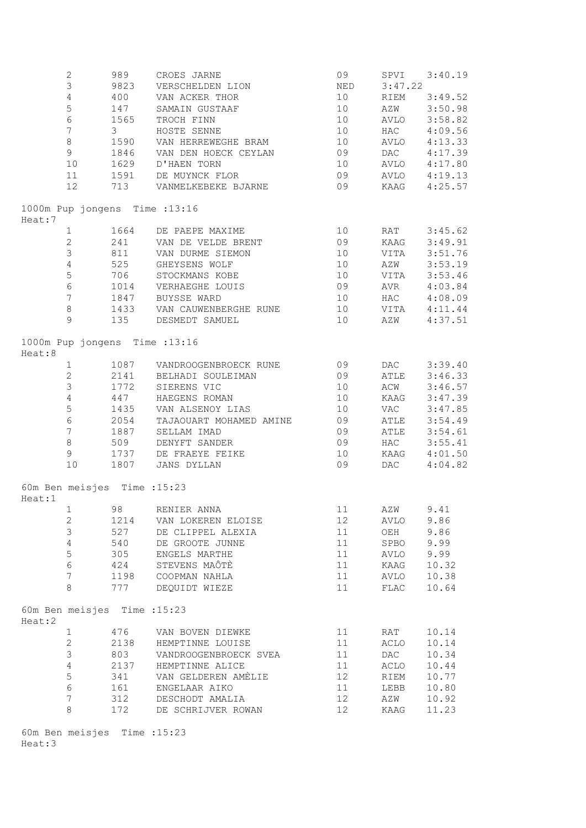|        | $\mathbf{2}$     | 989                          | CROES JARNE                   | 09  | SPVI 3:40.19 |         |
|--------|------------------|------------------------------|-------------------------------|-----|--------------|---------|
|        | 3                | 9823                         | VERSCHELDEN LION              | NED | 3:47.22      |         |
|        | $\sqrt{4}$       | 400                          | VAN ACKER THOR                | 10  | RIEM         | 3:49.52 |
|        | 5                | 147                          | SAMAIN GUSTAAF                | 10  | AZW          | 3:50.98 |
|        | $\epsilon$       | 1565                         | TROCH FINN                    | 10  | AVLO         | 3:58.82 |
|        | $\boldsymbol{7}$ | $\mathcal{S}$                | HOSTE SENNE                   | 10  | HAC          | 4:09.56 |
|        | $\,8\,$          | 1590                         | VAN HERREWEGHE BRAM           | 10  |              | 4:13.33 |
|        |                  |                              |                               |     | AVLO         |         |
|        | $\mathfrak g$    | 1846                         | VAN DEN HOECK CEYLAN 09       |     | <b>DAC</b>   | 4:17.39 |
|        | 10               | 1629                         | D'HAEN TORN                   | 10  | AVLO         | 4:17.80 |
|        | 11               | 1591                         | DE MUYNCK FLOR                | 09  | AVLO         | 4:19.13 |
|        | 12               | 713                          | VANMELKEBEKE BJARNE           | 09  | KAAG         | 4:25.57 |
|        |                  |                              | 1000m Pup jongens Time :13:16 |     |              |         |
| Heat:7 |                  |                              |                               |     |              |         |
|        | $\mathbf{1}$     |                              | 1664 DE PAEPE MAXIME          | 10  | RAT          | 3:45.62 |
|        | $\overline{2}$   | 241                          | VAN DE VELDE BRENT            | 09  | KAAG         | 3:49.91 |
|        | $\mathfrak{Z}$   | 811                          | VAN DURME SIEMON              | 10  | VITA         | 3:51.76 |
|        | $\overline{4}$   |                              | 525 GHEYSENS WOLF             | 10  | AZW          | 3:53.19 |
|        | $\mathsf S$      | 706                          | STOCKMANS KOBE                | 10  | VITA         | 3:53.46 |
|        | $\epsilon$       | 1014                         | VERHAEGHE LOUIS               | 09  | AVR          | 4:03.84 |
|        | $\boldsymbol{7}$ | 1847                         | BUYSSE WARD                   | 10  | HAC          | 4:08.09 |
|        |                  |                              |                               |     | VITA 4:11.44 |         |
|        | $\,8\,$          | 1433                         | VAN CAUWENBERGHE RUNE         | 10  |              |         |
|        | $\mathsf 9$      | 135                          | DESMEDT SAMUEL                | 10  | AZW          | 4:37.51 |
| Heat:8 |                  |                              | 1000m Pup jongens Time :13:16 |     |              |         |
|        | $\mathbf{1}$     |                              | 1087 VANDROOGENBROECK RUNE 09 |     | DAC          | 3:39.40 |
|        | $\mathbf{2}$     | 2141                         | BELHADI SOULEIMAN             | 09  | ATLE         | 3:46.33 |
|        | $\mathsf 3$      |                              |                               |     |              |         |
|        |                  | 1772                         | SIERENS VIC                   | 10  | ACW          | 3:46.57 |
|        | $\overline{4}$   | 447                          | HAEGENS ROMAN                 | 10  | KAAG         | 3:47.39 |
|        | $\mathsf S$      | 1435                         | VAN ALSENOY LIAS              | 10  | VAC          | 3:47.85 |
|        | $\epsilon$       | 2054                         | TAJAOUART MOHAMED AMINE 09    |     | <b>ATLE</b>  | 3:54.49 |
|        | $\overline{7}$   | 1887                         | SELLAM IMAD                   | 09  | ATLE         | 3:54.61 |
|        | $\,8\,$          | 509                          | DENYFT SANDER                 | 09  | <b>HAC</b>   | 3:55.41 |
|        | 9                |                              | 1737 DE FRAEYE FEIKE          | 10  | KAAG         | 4:01.50 |
|        | 10               | 1807                         | JANS DYLLAN                   | 09  | <b>DAC</b>   | 4:04.82 |
|        |                  | 60m Ben meisjes Time : 15:23 |                               |     |              |         |
| Heat:1 |                  |                              |                               |     |              |         |
|        |                  |                              | 1 98 RENIER ANNA              | 11  | AZW 9.41     |         |
|        | $\mathbf{2}$     | 1214                         | VAN LOKEREN ELOISE            | 12  | AVLO         | 9.86    |
|        | 3                | 527                          | DE CLIPPEL ALEXIA             | 11  | OEH          | 9.86    |
|        | $\sqrt{4}$       | 540                          | DE GROOTE JUNNE               | 11  | SPBO         | 9.99    |
|        | $\mathsf S$      | 305                          | ENGELS MARTHE                 | 11  | AVLO         | 9.99    |
|        | $\sqrt{6}$       |                              | 424 STEVENS MAÔTÈ             | 11  | KAAG         | 10.32   |
|        | 7                | 1198                         | COOPMAN NAHLA                 | 11  | AVLO         | 10.38   |
|        | 8                | 777                          | DEQUIDT WIEZE                 | 11  | FLAC         | 10.64   |
| Heat:2 |                  | 60m Ben meisjes Time : 15:23 |                               |     |              |         |
|        | $\mathbf{1}$     | 476                          | VAN BOVEN DIEWKE              | 11  | RAT          | 10.14   |
|        | $\overline{2}$   |                              | 2138 HEMPTINNE LOUISE         | 11  | ACLO         | 10.14   |
|        |                  |                              |                               |     |              |         |
|        | 3                | 803                          | VANDROOGENBROECK SVEA         | 11  | DAC          | 10.34   |
|        | $\overline{4}$   | 2137                         | HEMPTINNE ALICE               | 11  | ACLO         | 10.44   |
|        | $\mathsf S$      | 341                          | VAN GELDEREN AMÈLIE           | 12  | RIEM         | 10.77   |
|        | $\epsilon$       | 161                          | ENGELAAR AIKO                 | 11  | LEBB         | 10.80   |
|        | $\boldsymbol{7}$ | 312                          | DESCHODT AMALIA               | 12  | AZW          | 10.92   |
|        | 8                | 172                          | DE SCHRIJVER ROWAN            | 12  | KAAG         | 11.23   |
|        |                  |                              |                               |     |              |         |

60m Ben meisjes Time :15:23 Heat:3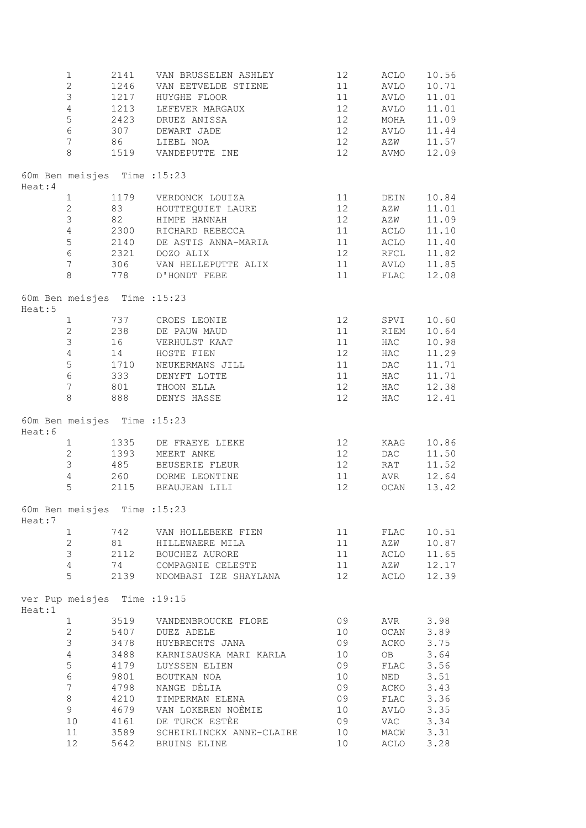|        | $\mathbf{1}$<br>$\overline{2}$<br>$\mathfrak{Z}$<br>$\overline{4}$<br>$\mathsf S$<br>$\sqrt{6}$<br>$\overline{7}$<br>$\,8\,$ | 2141<br>1246<br>1217<br>1213<br>2423<br>307<br>86 10 | VAN BRUSSELEN ASHLEY<br>VAN EETVELDE STIENE<br>HUYGHE FLOOR<br>LEFEVER MARGAUX<br>DRUEZ ANISSA<br>DEWART JADE<br>LIEBL NOA<br>1519 VANDEPUTTE INE | 12<br>11<br>11<br>12<br>12<br>12<br>12<br>12 | ACLO<br>AVLO<br>AVLO<br>AVLO<br>MOHA<br>AVLO<br>AZW<br>AVMO | 10.56<br>10.71<br>11.01<br>11.01<br>11.09<br>11.44<br>11.57<br>12.09 |
|--------|------------------------------------------------------------------------------------------------------------------------------|------------------------------------------------------|---------------------------------------------------------------------------------------------------------------------------------------------------|----------------------------------------------|-------------------------------------------------------------|----------------------------------------------------------------------|
| Heat:4 | 60m Ben meisjes Time : 15:23                                                                                                 |                                                      |                                                                                                                                                   |                                              |                                                             |                                                                      |
|        | $\mathbf{1}$                                                                                                                 | 1179                                                 | VERDONCK LOUIZA                                                                                                                                   | 11                                           | DEIN                                                        | 10.84                                                                |
|        | $\mathbf{2}$                                                                                                                 | 83                                                   | HOUTTEQUIET LAURE                                                                                                                                 | 12                                           | AZW                                                         | 11.01                                                                |
|        | $\mathsf 3$                                                                                                                  | 82                                                   | HIMPE HANNAH                                                                                                                                      | 12                                           | AZW                                                         | 11.09                                                                |
|        | $\overline{4}$                                                                                                               | 2300                                                 | RICHARD REBECCA                                                                                                                                   | 11                                           | ACLO                                                        | 11.10                                                                |
|        | $\mathsf S$                                                                                                                  | 2140                                                 | DE ASTIS ANNA-MARIA                                                                                                                               | 11                                           | ACLO                                                        | 11.40                                                                |
|        | $\epsilon$                                                                                                                   |                                                      | 2321 DOZO ALIX                                                                                                                                    | 12                                           | RFCL                                                        | 11.82                                                                |
|        | 7                                                                                                                            | 306                                                  | VAN HELLEPUTTE ALIX                                                                                                                               | 11                                           | AVLO                                                        | 11.85                                                                |
|        | 8                                                                                                                            | 778                                                  | D'HONDT FEBE                                                                                                                                      | 11                                           | FLAC                                                        | 12.08                                                                |
| Heat:5 | 60m Ben meisjes Time : 15:23                                                                                                 |                                                      |                                                                                                                                                   |                                              |                                                             |                                                                      |
|        | $\mathbf{1}$                                                                                                                 | 737                                                  | CROES LEONIE                                                                                                                                      | 12                                           | SPVI                                                        | 10.60                                                                |
|        | $\sqrt{2}$                                                                                                                   | 238                                                  | DE PAUW MAUD                                                                                                                                      | 11                                           | RIEM                                                        | 10.64                                                                |
|        | $\mathsf 3$                                                                                                                  | 16                                                   | VERHULST KAAT                                                                                                                                     | 11                                           | HAC                                                         | 10.98                                                                |
|        | $\overline{4}$                                                                                                               | 14                                                   | HOSTE FIEN                                                                                                                                        | 12                                           | HAC                                                         | 11.29                                                                |
|        | $\mathsf S$                                                                                                                  | 1710                                                 | NEUKERMANS JILL                                                                                                                                   | 11                                           | DAC                                                         | 11.71                                                                |
|        | $6\,$                                                                                                                        |                                                      | 333 DENYFT LOTTE                                                                                                                                  | 11                                           | HAC                                                         | 11.71                                                                |
|        | $\overline{7}$                                                                                                               | 801                                                  | THOON ELLA                                                                                                                                        | 12                                           | HAC                                                         | 12.38                                                                |
|        | $\,8\,$                                                                                                                      | 888                                                  | DENYS HASSE                                                                                                                                       | 12                                           | HAC                                                         | 12.41                                                                |
| Heat:6 | 60m Ben meisjes Time : 15:23                                                                                                 |                                                      |                                                                                                                                                   |                                              |                                                             |                                                                      |
|        | $\mathbf{1}$                                                                                                                 |                                                      | 1335 DE FRAEYE LIEKE                                                                                                                              | 12                                           | KAAG                                                        | 10.86                                                                |
|        | $\overline{2}$                                                                                                               |                                                      | 1393 MEERT ANKE                                                                                                                                   | 12                                           | DAC                                                         | 11.50                                                                |
|        | $\mathfrak{Z}$                                                                                                               | 485                                                  | BEUSERIE FLEUR                                                                                                                                    | 12                                           | RAT                                                         | 11.52                                                                |
|        | $\overline{4}$                                                                                                               | 260                                                  | DORME LEONTINE                                                                                                                                    | 11                                           | AVR                                                         | 12.64                                                                |
|        | 5                                                                                                                            | 2115                                                 | BEAUJEAN LILI                                                                                                                                     | 12                                           | OCAN                                                        | 13.42                                                                |
| Heat:7 | 60m Ben meisjes Time : 15:23                                                                                                 |                                                      |                                                                                                                                                   |                                              |                                                             |                                                                      |
|        | 1                                                                                                                            | 742                                                  | VAN HOLLEBEKE FIEN                                                                                                                                | 11                                           | FLAC                                                        | 10.51                                                                |
|        | $\mathbf{2}$                                                                                                                 | 81 — 10                                              | HILLEWAERE MILA                                                                                                                                   | 11                                           | AZW                                                         | 10.87                                                                |
|        | 3                                                                                                                            |                                                      | 2112 BOUCHEZ AURORE                                                                                                                               | 11                                           | ACLO                                                        | 11.65                                                                |
|        | $\overline{4}$                                                                                                               | 74                                                   | COMPAGNIE CELESTE                                                                                                                                 | 11                                           | AZW                                                         | 12.17                                                                |
|        | 5                                                                                                                            |                                                      | 2139 NDOMBASI IZE SHAYLANA                                                                                                                        | 12                                           | ACLO                                                        | 12.39                                                                |
| Heat:1 | ver Pup meisjes Time : 19:15                                                                                                 |                                                      |                                                                                                                                                   |                                              |                                                             |                                                                      |
|        | $\mathbf 1$                                                                                                                  | 3519                                                 | VANDENBROUCKE FLORE                                                                                                                               | 09                                           | AVR                                                         | 3.98                                                                 |
|        | $\mathbf{2}$                                                                                                                 | 5407                                                 | DUEZ ADELE                                                                                                                                        | 10                                           | OCAN                                                        | 3.89                                                                 |
|        | $\mathfrak{Z}$                                                                                                               | 3478                                                 | HUYBRECHTS JANA                                                                                                                                   | 09                                           | ACKO                                                        | 3.75                                                                 |
|        | $\overline{4}$                                                                                                               | 3488                                                 | KARNISAUSKA MARI KARLA                                                                                                                            | 10                                           | OB                                                          | 3.64                                                                 |
|        | $\mathsf S$                                                                                                                  | 4179                                                 | LUYSSEN ELIEN                                                                                                                                     | 09                                           | FLAC                                                        | 3.56                                                                 |
|        | $6\,$                                                                                                                        | 9801                                                 | BOUTKAN NOA                                                                                                                                       | 10                                           | NED                                                         | 3.51                                                                 |
|        | $7\phantom{.}$                                                                                                               | 4798                                                 | NANGE DÈLIA                                                                                                                                       | 09                                           | ACKO                                                        | 3.43                                                                 |
|        | $8\,$                                                                                                                        | 4210                                                 | TIMPERMAN ELENA                                                                                                                                   | 09                                           | FLAC                                                        | 3.36                                                                 |
|        | 9                                                                                                                            | 4679                                                 | VAN LOKEREN NOÈMIE                                                                                                                                | 10                                           | AVLO                                                        | 3.35                                                                 |
|        | 10                                                                                                                           | 4161                                                 | DE TURCK ESTÈE                                                                                                                                    | 09                                           | VAC                                                         | 3.34                                                                 |
|        | 11                                                                                                                           | 3589                                                 | SCHEIRLINCKX ANNE-CLAIRE                                                                                                                          | 10                                           | MACW                                                        | 3.31                                                                 |
|        | 12 <sup>°</sup>                                                                                                              | 5642                                                 | BRUINS ELINE                                                                                                                                      | 10                                           | ACLO                                                        | 3.28                                                                 |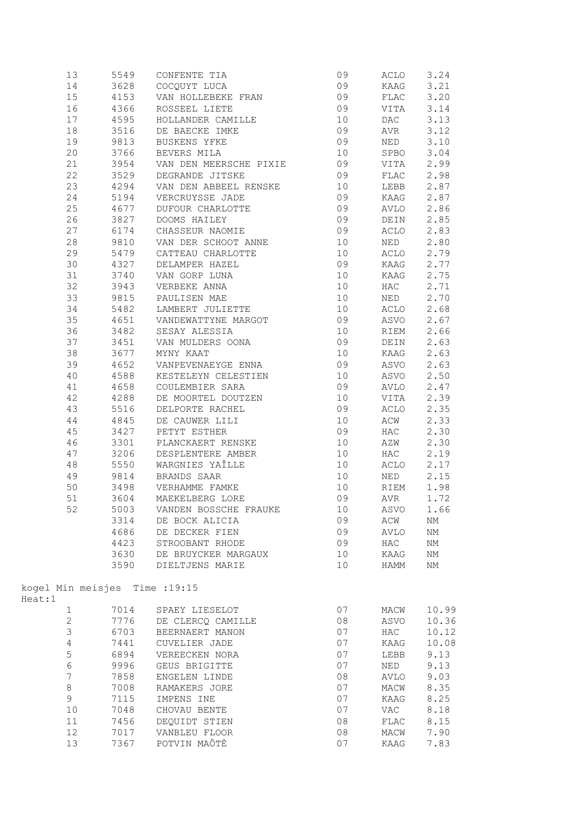| 13                                       | 5549    | CONFENTE TIA<br>COCQUYT LUCA                                                                                      | 09        | ACLO                         | 3.24      |
|------------------------------------------|---------|-------------------------------------------------------------------------------------------------------------------|-----------|------------------------------|-----------|
| 14                                       | 3628    |                                                                                                                   | 09        | KAAG                         | 3.21      |
| 15                                       | 4153    | VAN HOLLEBEKE FRAN 09                                                                                             |           | ${\tt FLAC}$                 | 3.20      |
| 16                                       | 4366    | ROSSEEL LIETE                                                                                                     | $\sim$ 09 | VITA                         | 3.14      |
| 17                                       | 4595    | HOLLANDER CAMILLE                                                                                                 | 10        | DAC                          | 3.13      |
| 18                                       | 3516    | DE BAECKE IMKE                                                                                                    | 09        | AVR                          | 3.12      |
| 19                                       | 9813    | BUSKENS YFKE                                                                                                      | 09        | NED                          | 3.10      |
| 20                                       | 3766    | BEVERS MILA                                                                                                       | 10        | SPBO                         | 3.04      |
| 21                                       | 3954    | VAN DEN MEERSCHE PIXIE                                                                                            | 09        | VITA                         | 2.99      |
| 22                                       | 3529    | DEGRANDE JITSKE                                                                                                   | 09        | ${\tt FLAC}$                 | 2.98      |
| 23                                       | 4294    | VAN DEN ABBEEL RENSKE                                                                                             | 10        | LEBB                         | 2.87      |
| 24                                       | 5194    | VERCRUYSSE JADE                                                                                                   | 09        | KAAG                         | 2.87      |
|                                          | 25 4677 | DUFOUR CHARLOTTE                                                                                                  | 09        | AVLO                         | 2.86      |
| 26                                       |         |                                                                                                                   |           |                              |           |
|                                          | 3827    | DOOMS HAILEY                                                                                                      | 09        | DEIN                         | 2.85      |
| 27                                       | 6174    | CHASSEUR NAOMIE                                                                                                   | 09        | ACLO                         | 2.83      |
| 28                                       | 9810    | VAN DER SCHOOT ANNE                                                                                               | 10        | NED                          | 2.80      |
| 29                                       | 5479    | -<br>CATTEAU CHARLOTTE                                                                                            | 10        | ACLO                         | 2.79      |
| 30                                       | 4327    | DELAMPER HAZEL<br>VAN GORP LUNA<br>VERBEKE ANNA<br>PAULISEN MAE                                                   | 09        | KAAG                         | 2.77      |
| 31                                       | 3740    |                                                                                                                   | 10        | KAAG                         | 2.75      |
| 32                                       | 3943    |                                                                                                                   | 10        | HAC                          | 2.71      |
| 33                                       | 9815    |                                                                                                                   | 10        | NED                          | 2.70      |
| 34                                       | 5482    | LAMBERT JULIETTE                                                                                                  | 10        | ACLO                         | 2.68      |
| 35                                       | 4651    | VANDEWATTYNE MARGOT                                                                                               | 09        | ASVO                         | 2.67      |
| 36                                       | 3482    | SESAY ALESSIA                                                                                                     | 10        | RIEM                         | 2.66      |
| 37                                       | 3451    | VAN MULDERS OONA                                                                                                  | 09        | $\mathop{\rm DEIN}\nolimits$ | 2.63      |
| 38                                       | 3677    | MYNY KAAT                                                                                                         | 10        | KAAG                         | 2.63      |
| 39                                       | 4652    | VANPEVENAEYGE ENNA                                                                                                | 09        | ASVO                         | 2.63      |
| 40                                       | 4588    | KESTELEYN CELESTIEN                                                                                               | 10        | ASVO                         | 2.50      |
| 41                                       | 4658    | COULEMBIER SARA                                                                                                   | 09        | AVLO                         | 2.47      |
|                                          | 42 4288 | DE MOORTEL DOUTZEN                                                                                                | 10        | VITA                         | 2.39      |
|                                          | 43 5516 | DELPORTE RACHEL                                                                                                   | 09        | ACLO                         | 2.35      |
| 44                                       | 4845    | DE CAUWER LILI                                                                                                    | 10        | ACW                          | 2.33      |
| 45                                       | 3427    | PETYT ESTHER                                                                                                      | 09        | HAC                          | 2.30      |
| 46                                       | 3301    | PLANCKAERT RENSKE                                                                                                 | 10        | AZW                          | 2.30      |
| 47                                       |         |                                                                                                                   | 10        | HAC                          | 2.19      |
| 48                                       |         |                                                                                                                   | 10        | ACLO                         | 2.17      |
| 49                                       |         | 3206 DESPLENTERE AMBER<br>5550 WARGNIES YAÎLLE<br>9814 BRANDS SAAR<br>3498 VERHAMME FAMKE<br>3604 MAEKELBERG LORE | 10        | NED                          | 2.15      |
| 50                                       |         |                                                                                                                   | 10        | RIEM                         |           |
| 51                                       |         |                                                                                                                   | 09        | AVR                          | 1.98      |
|                                          |         |                                                                                                                   |           |                              | 1.72      |
| 52                                       |         | 5003 VANDEN BOSSCHE FRAUKE                                                                                        | 10        |                              | ASVO 1.66 |
|                                          | 3314    | DE BOCK ALICIA                                                                                                    | 09        | ACW                          | ΝM        |
|                                          | 4686    | DE DECKER FIEN                                                                                                    | 09        | AVLO                         | ΝM        |
|                                          | 4423    | STROOBANT RHODE                                                                                                   | 09        | HAC                          | NM        |
|                                          | 3630    | DE BRUYCKER MARGAUX                                                                                               | 10        | KAAG                         | ΝM        |
|                                          | 3590    | DIELTJENS MARIE                                                                                                   | 10        | HAMM                         | ΝM        |
| kogel Min meisjes Time : 19:15<br>Heat:1 |         |                                                                                                                   |           |                              |           |
| 1                                        | 7014    | SPAEY LIESELOT                                                                                                    | 07        | MACW                         | 10.99     |
| $\mathbf 2$                              | 7776    | DE CLERCQ CAMILLE                                                                                                 | 08        | ASVO                         | 10.36     |
| $\mathfrak{Z}$                           | 6703    | BEERNAERT MANON                                                                                                   | 07        | HAC                          | 10.12     |
| $\sqrt{4}$                               | 7441    | CUVELIER JADE                                                                                                     | 07        | KAAG                         | 10.08     |
| 5                                        | 6894    | VEREECKEN NORA                                                                                                    | 07        | LEBB                         | 9.13      |
| $\sqrt{6}$                               | 9996    |                                                                                                                   | 07        |                              | 9.13      |
| $\boldsymbol{7}$                         |         | GEUS BRIGITTE                                                                                                     |           | NED                          |           |
|                                          | 7858    | ENGELEN LINDE                                                                                                     | 08        | AVLO                         | 9.03      |
| $\,8\,$                                  | 7008    | RAMAKERS JORE                                                                                                     | 07        | MACW                         | 8.35      |
| $\mathsf 9$                              | 7115    | IMPENS INE                                                                                                        | 07        | KAAG                         | 8.25      |
| 10                                       | 7048    | CHOVAU BENTE                                                                                                      | 07        | VAC                          | 8.18      |
| 11                                       | 7456    | DEQUIDT STIEN                                                                                                     | 08        | FLAC                         | 8.15      |
| 12                                       | 7017    | VANBLEU FLOOR                                                                                                     | 08        | MACW                         | 7.90      |
| 13                                       | 7367    | POTVIN MAÔTÈ                                                                                                      | 07        | KAAG                         | 7.83      |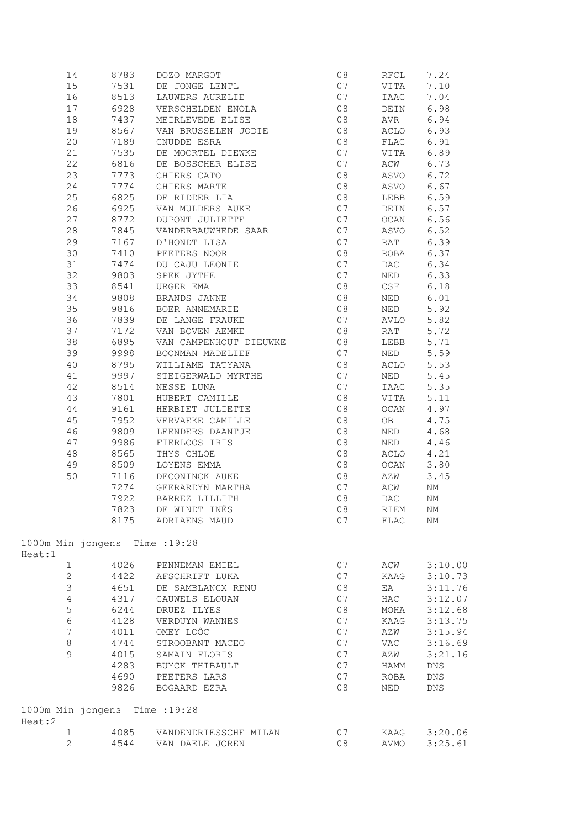| 14                                       |      |                                                                                     | 08 | RFCL       | 7.24    |
|------------------------------------------|------|-------------------------------------------------------------------------------------|----|------------|---------|
| 15                                       | 7531 | 8783 DOZO MARGOT<br>7531 DE JONGE LENTL<br>8513 LAUWERS AURELIE                     | 07 | VITA       | 7.10    |
| 16                                       |      |                                                                                     | 07 | IAAC       | 7.04    |
| 17                                       |      | 6928 VERSCHELDEN ENOLA                                                              | 08 | DEIN       | 6.98    |
| 18                                       | 7437 | MEIRLEVEDE ELISE                                                                    | 08 | AVR        | 6.94    |
| 19                                       | 8567 | VAN BRUSSELEN JODIE                                                                 | 08 | ACLO       | 6.93    |
| 20                                       | 7189 | CNUDDE ESRA                                                                         | 08 | FLAC       | 6.91    |
| 21                                       | 7535 | DE MOORTEL DIEWKE                                                                   | 07 | VITA       | 6.89    |
| 22                                       | 6816 | DE BOSSCHER ELISE                                                                   | 07 | ACW        | 6.73    |
| 23                                       | 7773 | CHIERS CATO                                                                         | 08 | ASVO       | 6.72    |
| 24                                       | 7774 | CHIERS MARTE                                                                        | 08 | ASVO       | 6.67    |
| 25                                       | 6825 | DE RIDDER LIA                                                                       | 08 | LEBB       | 6.59    |
| 26                                       |      | 6925 VAN MULDERS AUKE                                                               | 07 | DEIN       | 6.57    |
| 27                                       | 8772 | DUPONT JULIETTE                                                                     | 07 | OCAN       | 6.56    |
| 28                                       | 7845 | VANDERBAUWHEDE SAAR                                                                 | 07 | ASVO       | 6.52    |
| 29                                       | 7167 | D'HONDT LISA                                                                        | 07 | RAT        | 6.39    |
| 30                                       | 7410 | PEETERS NOOR                                                                        | 08 | ROBA       | 6.37    |
|                                          |      |                                                                                     | 07 |            |         |
| 31                                       | 7474 |                                                                                     |    | DAC        | 6.34    |
| 32                                       | 9803 |                                                                                     | 07 | NED        | 6.33    |
| 33                                       | 8541 | DU CAJU LEONIE<br>SPEK JYTHE<br>URGER EMA<br>BRANDS JANNE<br>BOER ANNEMARIE         | 08 | CSE        | 6.18    |
| 34                                       | 9808 |                                                                                     | 08 | NED        | 6.01    |
| 35                                       | 9816 |                                                                                     | 08 | NED        | 5.92    |
| 36                                       | 7839 | DE LANGE FRAUKE                                                                     | 07 | AVLO       | 5.82    |
| 37                                       | 7172 | VAN BOVEN AEMKE                                                                     | 08 | RAT        | 5.72    |
| 38                                       | 6895 | VAN CAMPENHOUT DIEUWKE                                                              | 08 | LEBB       | 5.71    |
| 39                                       | 9998 | BOONMAN MADELIEF                                                                    | 07 | NED        | 5.59    |
| 40                                       | 8795 | WILLIAME TATYANA                                                                    | 08 | ACLO       | 5.53    |
| 41                                       | 9997 | STEIGERWALD MYRTHE                                                                  | 07 | NED        | 5.45    |
| 42                                       | 8514 | NESSE LUNA                                                                          | 07 | IAAC       | 5.35    |
| 43                                       |      | 7801 HUBERT CAMILLE                                                                 | 08 | VITA       | 5.11    |
| 44                                       |      | 9161 HERBIET JULIETTE                                                               | 08 | OCAN       | 4.97    |
| 45                                       |      | 7952 VERVAEKE CAMILLE                                                               | 08 | OB         | 4.75    |
| 46                                       | 9809 |                                                                                     | 08 | NED        | 4.68    |
| 47                                       | 9986 | LEENDERS DAANTJE<br>FIERLOOS IRIS<br>------ ---- --- ---<br>FIERLOOS IRIS           | 08 | NED        | 4.46    |
| 48                                       |      |                                                                                     | 08 | ACLO       | 4.21    |
| 49                                       |      |                                                                                     | 08 | OCAN       | 3.80    |
| 50                                       |      | 8565 THYS CHLOE<br>8509 LOYENS EMMA<br>7116 DECONINCK AUKE<br>7274 GEERARDYN MARTHA | 08 | AZW        | 3.45    |
|                                          |      |                                                                                     | 07 | ACW        | NΜ      |
|                                          |      | 7922 BARREZ LILLITH                                                                 | 08 | <b>DAC</b> | ΝM      |
|                                          |      | 7823 DE WINDT INËS                                                                  |    | 08 RIEM    | ΝM      |
|                                          |      | 8175 ADRIAENS MAUD                                                                  | 07 | FLAC       | NΜ      |
|                                          |      |                                                                                     |    |            |         |
| 1000m Min jongens Time : 19:28<br>Heat:1 |      |                                                                                     |    |            |         |
| $\mathbf{1}$                             | 4026 | PENNEMAN EMIEL                                                                      | 07 | ACW        | 3:10.00 |
| $\mathbf{2}$                             | 4422 | AFSCHRIFT LUKA                                                                      | 07 | KAAG       | 3:10.73 |
| 3                                        | 4651 | DE SAMBLANCX RENU                                                                   | 08 | ΕA         | 3:11.76 |
| $\sqrt{4}$                               | 4317 | CAUWELS ELOUAN                                                                      | 07 | HAC        | 3:12.07 |
|                                          |      |                                                                                     |    |            |         |
| $\mathsf S$                              | 6244 | DRUEZ ILYES                                                                         | 08 | MOHA       | 3:12.68 |
| $\epsilon$                               | 4128 | VERDUYN WANNES                                                                      | 07 | KAAG       | 3:13.75 |
| $\boldsymbol{7}$                         | 4011 | OMEY LOÔC                                                                           | 07 | AZW        | 3:15.94 |
| $\,8\,$                                  | 4744 | STROOBANT MACEO                                                                     | 07 | VAC        | 3:16.69 |
| $\mathsf 9$                              | 4015 | SAMAIN FLORIS                                                                       | 07 | AZW        | 3:21.16 |
|                                          | 4283 | BUYCK THIBAULT                                                                      | 07 | HAMM       | DNS     |
|                                          | 4690 | PEETERS LARS                                                                        | 07 | ROBA       | DNS     |
|                                          | 9826 | BOGAARD EZRA                                                                        | 08 | NED        | DNS     |
| 1000m Min jongens Time : 19:28           |      |                                                                                     |    |            |         |
| Heat:2                                   |      |                                                                                     |    |            |         |
| $\mathbf 1$                              | 4085 | VANDENDRIESSCHE MILAN                                                               | 07 | KAAG       | 3:20.06 |
| $\overline{2}$                           |      | 4544 VAN DAELE JOREN                                                                | 08 | AVMO       | 3:25.61 |
|                                          |      |                                                                                     |    |            |         |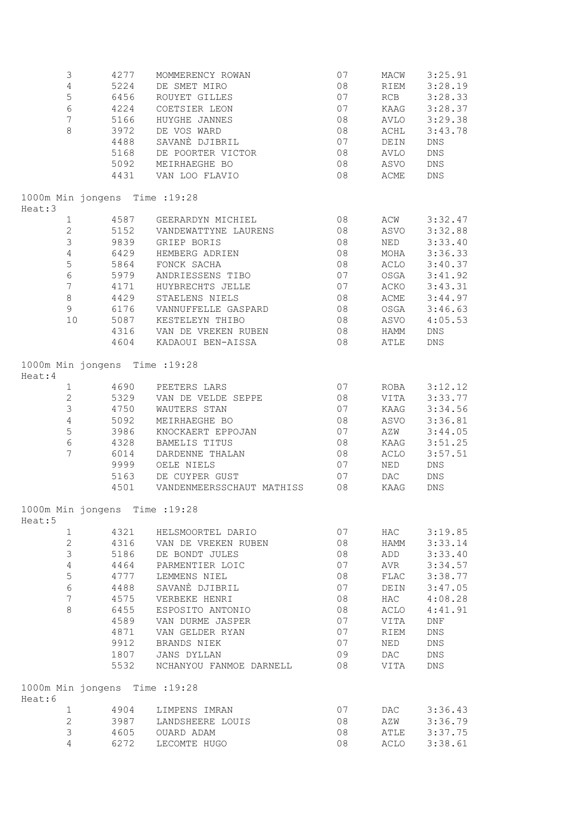| 3                      | 4277                           | MOMMERENCY ROWAN          | 07 | MACW | 3:25.91            |
|------------------------|--------------------------------|---------------------------|----|------|--------------------|
| $\sqrt{4}$             | 5224                           | DE SMET MIRO              | 08 | RIEM | 3:28.19            |
| 5                      | 6456                           | ROUYET GILLES             | 07 | RCB  | 3:28.33            |
| $\sqrt{6}$             | 4224                           | COETSIER LEON             | 07 | KAAG | 3:28.37            |
| $\boldsymbol{7}$       | 5166                           | HUYGHE JANNES             | 08 | AVLO | 3:29.38            |
| $\,8\,$                | 3972                           | DE VOS WARD               | 08 | ACHL | 3:43.78            |
|                        | 4488                           | SAVANÈ DJIBRIL            | 07 | DEIN | ${\tt DNS}$        |
|                        | 5168                           | DE POORTER VICTOR         | 08 | AVLO | DNS                |
|                        | 5092                           | MEIRHAEGHE BO             | 08 | ASVO | ${\rm DNS}$        |
|                        | 4431                           | VAN LOO FLAVIO            | 08 | ACME | DNS                |
|                        | 1000m Min jongens Time : 19:28 |                           |    |      |                    |
| Heat:3<br>$\mathbf{1}$ |                                | 4587 GEERARDYN MICHIEL    | 08 | ACW  | 3:32.47            |
| $\mathbf{2}$           |                                | 5152 VANDEWATTYNE LAURENS | 08 | ASVO | 3:32.88            |
| $\mathsf 3$            | 9839                           | GRIEP BORIS               | 08 |      | 3:33.40            |
| $\overline{4}$         | 6429                           |                           | 08 | NED  |                    |
|                        |                                | HEMBERG ADRIEN            |    | MOHA | 3:36.33            |
| 5                      | 5864                           | FONCK SACHA               | 08 | ACLO | 3:40.37            |
| $\epsilon$             | 5979                           | ANDRIESSENS TIBO          | 07 | OSGA | 3:41.92            |
| $\boldsymbol{7}$       | 4171                           | HUYBRECHTS JELLE          | 07 | ACKO | 3:43.31            |
| $\,8\,$                | 4429                           | STAELENS NIELS            | 08 | ACME | 3:44.97            |
| $\mathsf 9$            | 6176                           | VANNUFFELLE GASPARD       | 08 | OSGA | 3:46.63            |
| 10                     | 5087                           | KESTELEYN THIBO           | 08 | ASVO | 4:05.53            |
|                        | 4316                           | VAN DE VREKEN RUBEN       | 08 | HAMM | DNS                |
|                        | 4604                           | KADAOUI BEN-AISSA         | 08 | ATLE | DNS                |
| Heat:4                 | 1000m Min jongens Time : 19:28 |                           |    |      |                    |
| $\mathbf{1}$           | 4690                           | PEETERS LARS              | 07 | ROBA | 3:12.12            |
| $\mathbf{2}$           | 5329                           | VAN DE VELDE SEPPE        | 08 | VITA | 3:33.77            |
| $\mathfrak{Z}$         | 4750                           | WAUTERS STAN              | 07 | KAAG | 3:34.56            |
| $\sqrt{4}$             | 5092                           | MEIRHAEGHE BO             | 08 | ASVO | 3:36.81            |
| 5                      | 3986                           | KNOCKAERT EPPOJAN         | 07 | AZW  | 3:44.05            |
| $\epsilon$             | 4328                           | BAMELIS TITUS             | 08 | KAAG | 3:51.25            |
| $7\overline{ }$        | 6014                           | DARDENNE THALAN           | 08 | ACLO | 3:57.51            |
|                        | 9999                           | OELE NIELS                | 07 | NED  | DNS                |
|                        | 5163                           | DE CUYPER GUST            | 07 | DAC  | DNS                |
|                        | 4501                           | VANDENMEERSSCHAUT MATHISS | 08 | KAAG | DNS                |
|                        | 1000m Min jongens Time : 19:28 |                           |    |      |                    |
| Heat:5<br>1            | 4321                           | HELSMOORTEL DARIO         | 07 | HAC  | 3:19.85            |
| $\mathbf{2}$           | 4316                           | VAN DE VREKEN RUBEN       | 08 | HAMM | 3:33.14            |
| 3                      |                                |                           | 08 | ADD  |                    |
| $\overline{4}$         | 5186                           | DE BONDT JULES            |    |      | 3:33.40            |
|                        | 4464                           | PARMENTIER LOIC           | 07 | AVR  | 3:34.57            |
| 5                      | 4777                           | LEMMENS NIEL              | 08 | FLAC | 3:38.77            |
| $\epsilon$             | 4488                           | SAVANÈ DJIBRIL            | 07 | DEIN | 3:47.05            |
| $\boldsymbol{7}$       | 4575                           | VERBEKE HENRI             | 08 | HAC  | 4:08.28            |
| $\,8\,$                | 6455                           | ESPOSITO ANTONIO          | 08 | ACLO | 4:41.91            |
|                        | 4589                           | VAN DURME JASPER          | 07 | VITA | $\mathop{\rm DNF}$ |
|                        | 4871                           | VAN GELDER RYAN           | 07 | RIEM | DNS                |
|                        | 9912                           | BRANDS NIEK               | 07 | NED  | DNS                |
|                        | 1807                           | JANS DYLLAN               | 09 | DAC  | DNS                |
|                        | 5532                           | NCHANYOU FANMOE DARNELL   | 08 | VITA | DNS                |
| Heat:6                 | 1000m Min jongens Time : 19:28 |                           |    |      |                    |
| 1                      | 4904                           | LIMPENS IMRAN             | 07 | DAC  | 3:36.43            |
| $\mathbf{2}$           | 3987                           | LANDSHEERE LOUIS          | 08 | AZW  | 3:36.79            |
| 3                      | 4605                           | OUARD ADAM                | 08 | ATLE | 3:37.75            |
| 4                      | 6272                           | LECOMTE HUGO              | 08 | ACLO | 3:38.61            |
|                        |                                |                           |    |      |                    |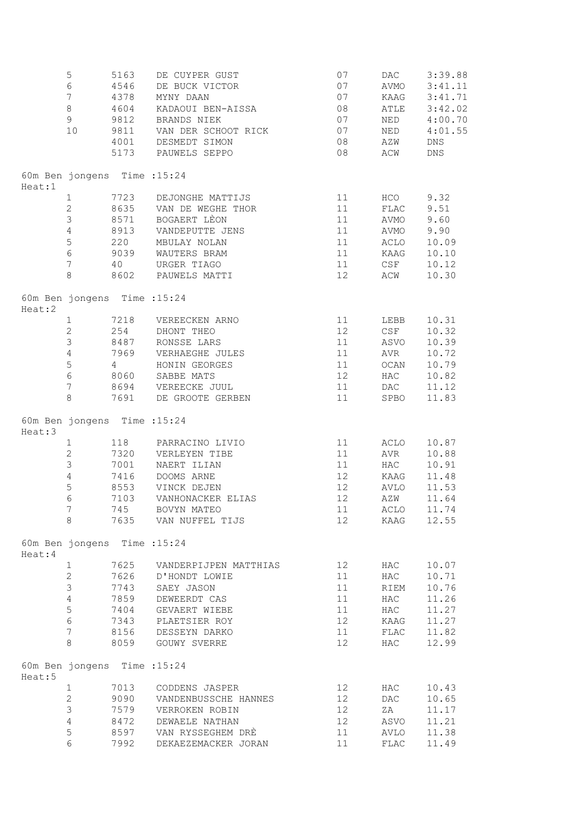|         | $\mathsf S$<br>$6\,$         | 5163<br>4546 | DE CUYPER GUST<br>DE BUCK VICTOR | 07<br>07        | DAC<br>AVMO | 3:39.88<br>3:41.11 |
|---------|------------------------------|--------------|----------------------------------|-----------------|-------------|--------------------|
|         | $\overline{7}$               | 4378         | MYNY DAAN                        | 07              | KAAG        | 3:41.71            |
|         | $\,8\,$                      | 4604         | KADAOUI BEN-AISSA                | 08              | ATLE        | 3:42.02            |
|         | 9                            | 9812         | BRANDS NIEK                      | 07              | NED         | 4:00.70            |
|         | 10                           | 9811         | VAN DER SCHOOT RICK              | 07              | NED         | 4:01.55            |
|         |                              |              | 4001 DESMEDT SIMON               | 08              | AZW         | DNS                |
|         |                              |              | 5173 PAUWELS SEPPO               | 08              | ACW         | DNS                |
|         |                              |              |                                  |                 |             |                    |
| Heat:1  | 60m Ben jongens Time : 15:24 |              |                                  |                 |             |                    |
|         | 1                            | 7723         | DEJONGHE MATTIJS                 | 11              | HCO         | 9.32               |
|         | $\overline{2}$               | 8635         | VAN DE WEGHE THOR                | 11              | FLAC        | 9.51               |
|         | $\mathsf S$                  | 8571         | BOGAERT LÈON                     | 11              | AVMO        | 9.60               |
|         | $\overline{4}$               | 8913         | VANDEPUTTE JENS                  | 11              | AVMO        | 9.90               |
|         | $\mathsf S$                  | 220          | MBULAY NOLAN                     | 11              | ACLO        | 10.09              |
|         | $\epsilon$                   |              | 9039 WAUTERS BRAM                | 11              | KAAG        | 10.10              |
|         | $\overline{7}$               | 40           | URGER TIAGO                      | 11              | CSE         | 10.12              |
|         | 8                            |              | 8602 PAUWELS MATTI               | 12 <sup>°</sup> | ACW         | 10.30              |
|         | 60m Ben jongens Time : 15:24 |              |                                  |                 |             |                    |
| Heat:2  |                              |              |                                  |                 |             |                    |
|         | $\mathbf{1}$                 | 7218         | VEREECKEN ARNO                   | 11              | LEBB        | 10.31              |
|         | $\mathbf{2}$                 | 254          | DHONT THEO                       | 12              | CSF         | 10.32              |
|         | $\mathfrak{Z}$               | 8487         | RONSSE LARS                      | 11              | ASVO        | 10.39              |
|         | $\sqrt{4}$                   |              | 7969 VERHAEGHE JULES             | 11              | AVR         | 10.72              |
|         | 5                            | 4            | HONIN GEORGES                    | 11              | OCAN        | 10.79              |
|         | $\sqrt{6}$                   |              | 8060 SABBE MATS                  | 12              | <b>HAC</b>  | 10.82              |
|         | $\overline{7}$               |              | 8694 VEREECKE JUUL               | 11              | DAC         | 11.12              |
|         | 8                            | 7691         | DE GROOTE GERBEN                 | 11              | SPBO        | 11.83              |
| Heat:3  | 60m Ben jongens Time : 15:24 |              |                                  |                 |             |                    |
|         | $\mathbf 1$                  |              | 118 PARRACINO LIVIO              | 11              | ACLO        | 10.87              |
|         | $\overline{c}$               | 7320         | VERLEYEN TIBE                    | 11              | AVR         | 10.88              |
|         | $\mathsf S$                  | 7001         | NAERT ILIAN                      | 11              | HAC         | 10.91              |
|         | $\overline{4}$               | 7416         | DOOMS ARNE                       | 12 <sup>°</sup> | KAAG        | 11.48              |
|         | 5                            | 8553         | VINCK DEJEN                      | 12              | AVLO        | 11.53              |
|         | $6\,$                        | 7103         | VANHONACKER ELIAS                | 12              | AZW         | 11.64              |
|         | $\overline{7}$               | 745          | BOVYN MATEO                      | 11              | ACLO        | 11.74              |
|         | 8                            | 7635         | VAN NUFFEL TIJS                  | 12              | KAAG        | 12.55              |
|         |                              |              |                                  |                 |             |                    |
| Heat: 4 | 60m Ben jongens Time : 15:24 |              |                                  |                 |             |                    |
|         | $\mathbf{1}$                 | 7625         | VANDERPIJPEN MATTHIAS            | 12 <sup>°</sup> | HAC         | 10.07              |
|         | $\overline{2}$               | 7626         | D'HONDT LOWIE                    | 11              | HAC         | 10.71              |
|         | 3                            | 7743         | SAEY JASON                       | 11              | RIEM        | 10.76              |
|         | $\overline{4}$               | 7859         | DEWEERDT CAS                     | 11              | HAC         | 11.26              |
|         | 5                            | 7404         | GEVAERT WIEBE                    | 11              | HAC         | 11.27              |
|         | $\epsilon$                   | 7343         | PLAETSIER ROY                    | 12              | KAAG        | 11.27              |
|         | $\overline{7}$               |              | 8156 DESSEYN DARKO               | 11              | FLAC        | 11.82              |
|         | 8                            | 8059         | GOUWY SVERRE                     | 12              | HAC         | 12.99              |
| Heat:5  | 60m Ben jongens Time : 15:24 |              |                                  |                 |             |                    |
|         | 1                            | 7013         | CODDENS JASPER                   | 12              | HAC         | 10.43              |
|         | $\overline{c}$               | 9090         | VANDENBUSSCHE HANNES             | 12              | DAC         | 10.65              |
|         | 3                            | 7579         | VERROKEN ROBIN                   | 12              | ΖA          | 11.17              |
|         | $\sqrt{4}$                   | 8472         | DEWAELE NATHAN                   | 12              | ASVO        | 11.21              |
|         | $\mathsf S$                  | 8597         | VAN RYSSEGHEM DRÈ                | 11              |             | 11.38              |
|         | 6                            |              |                                  |                 | AVLO        |                    |
|         |                              | 7992         | DEKAEZEMACKER JORAN              | 11              | FLAC        | 11.49              |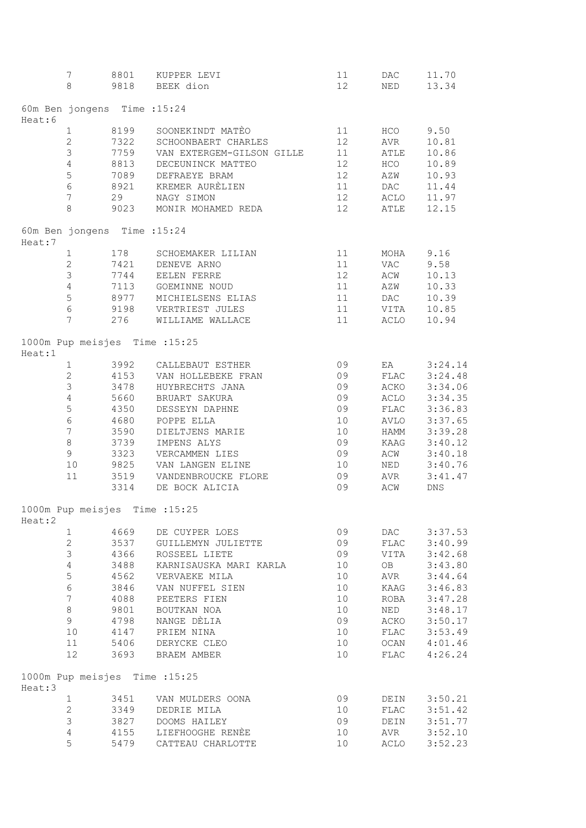|        | 7<br>8           | 8801                         | KUPPER LEVI<br>9818 BEEK dion              | 11<br>12 | DAC<br>NED   | 11.70<br>13.34 |
|--------|------------------|------------------------------|--------------------------------------------|----------|--------------|----------------|
| Heat:6 |                  | 60m Ben jongens Time : 15:24 |                                            |          |              |                |
|        | $\mathbf{1}$     |                              | 8199 SOONEKINDT MATÈO                      | 11       | HCO          | 9.50           |
|        | $\overline{2}$   |                              | 7322 SCHOONBAERT CHARLES                   | 12       | AVR          | 10.81          |
|        | $\mathfrak{Z}$   | 7759                         | VAN EXTERGEM-GILSON GILLE                  | 11       | ATLE         | 10.86          |
|        | $\overline{4}$   | 8813                         | DECEUNINCK MATTEO                          | 12       | HCO          | 10.89          |
|        | 5                |                              | 7089 DEFRAEYE BRAM                         | 12       | AZW          | 10.93          |
|        | $6\,$            | 8921                         | KREMER AURÈLIEN                            | 11       | <b>DAC</b>   | 11.44          |
|        | $\overline{7}$   | 29                           | NAGY SIMON                                 | 12       | ACLO         | 11.97          |
|        | 8                | 9023                         | MONIR MOHAMED REDA                         | 12       | ATLE         | 12.15          |
| Heat:7 |                  | 60m Ben jongens Time : 15:24 |                                            |          |              |                |
|        | $\mathbf 1$      |                              | 178 SCHOEMAKER LILIAN                      | 11       | MOHA         | 9.16           |
|        | $\overline{2}$   |                              | 7421 DENEVE ARNO                           | 11       | <b>VAC</b>   | 9.58           |
|        | 3                | 7744                         | EELEN FERRE                                | 12       | ACW          | 10.13          |
|        | $\overline{4}$   | 7113                         | GOEMINNE NOUD                              | 11       | AZW          | 10.33          |
|        | 5                | 8977                         | MICHIELSENS ELIAS                          | 11       | DAC          | 10.39          |
|        | $\epsilon$       | 9198                         | VERTRIEST JULES                            | 11       | VITA         | 10.85          |
|        | $\overline{7}$   | 276                          | WILLIAME WALLACE                           | 11       | ACLO         | 10.94          |
| Heat:1 |                  |                              | 1000m Pup meisjes Time : 15:25             |          |              |                |
|        | $\mathbf{1}$     |                              | 3992 CALLEBAUT ESTHER                      | 09       | EA           | 3:24.14        |
|        | $\overline{2}$   |                              | 4153 VAN HOLLEBEKE FRAN                    | 09       | FLAC         | 3:24.48        |
|        | 3                | 3478                         | HUYBRECHTS JANA                            | 09       | ACKO         | 3:34.06        |
|        | $\overline{4}$   | 5660                         | BRUART SAKURA                              | 09       | ACLO         | 3:34.35        |
|        | 5                | 4350                         | DESSEYN DAPHNE                             | 09       | FLAC         | 3:36.83        |
|        | $\epsilon$       | 4680                         | POPPE ELLA                                 | 10       | AVLO         | 3:37.65        |
|        | $\boldsymbol{7}$ | 3590                         | DIELTJENS MARIE                            | 10       | HAMM         | 3:39.28        |
|        | 8                | 3739                         | IMPENS ALYS                                | 09       | KAAG         | 3:40.12        |
|        | $\mathfrak g$    | 3323                         | VERCAMMEN LIES                             | 09       | ACW          | 3:40.18        |
|        | 10               |                              | 9825 VAN LANGEN ELINE                      | 10       | NED          | 3:40.76        |
|        | 11               | 3314                         | 3519 VANDENBROUCKE FLORE<br>DE BOCK ALICIA | 09<br>09 | AVR<br>ACW   | 3:41.47<br>DNS |
|        |                  |                              | 1000m Pup meisjes Time : 15:25             |          |              |                |
| Heat:2 |                  |                              |                                            |          |              |                |
|        | $\mathbf{1}$     | 4669                         | DE CUYPER LOES                             | 09       | DAC          | 3:37.53        |
|        | $\mathbf{2}$     |                              | 3537 GUILLEMYN JULIETTE                    | 09       | FLAC         | 3:40.99        |
|        | $\mathfrak{Z}$   | 4366                         | ROSSEEL LIETE                              | 09       | VITA         | 3:42.68        |
|        | $\sqrt{4}$       | 3488                         | KARNISAUSKA MARI KARLA                     | 10       | OB           | 3:43.80        |
|        | 5                | 4562                         | VERVAEKE MILA                              | 10       | AVR          | 3:44.64        |
|        | $\epsilon$       | 3846                         | VAN NUFFEL SIEN                            | 10       | KAAG         | 3:46.83        |
|        | $7\phantom{.}$   | 4088                         | PEETERS FIEN                               | 10       | ROBA         | 3:47.28        |
|        | $8\,$            | 9801                         | BOUTKAN NOA                                | 10       | NED          | 3:48.17        |
|        | 9                | 4798                         | NANGE DÈLIA                                | 09       | ACKO         | 3:50.17        |
|        | 10               | 4147                         | PRIEM NINA                                 | 10       | ${\tt FLAC}$ | 3:53.49        |
|        | 11               |                              | 5406 DERYCKE CLEO                          | 10       | OCAN         | 4:01.46        |
|        | 12 <sup>°</sup>  |                              | 3693 BRAEM AMBER                           | 10       | FLAC         | 4:26.24        |
| Heat:3 |                  |                              | 1000m Pup meisjes Time : 15:25             |          |              |                |
|        | $\mathbf{1}$     | 3451                         | VAN MULDERS OONA                           | 09       | DEIN         | 3:50.21        |
|        | $\overline{2}$   | 3349                         | DEDRIE MILA                                | 10       | FLAC         | 3:51.42        |
|        | $\mathfrak{S}$   | 3827                         | DOOMS HAILEY                               | 09       | DEIN         | 3:51.77        |
|        | $\overline{4}$   |                              | 4155 LIEFHOOGHE RENÈE                      | 10       | AVR          | 3:52.10        |
|        | 5                |                              | 5479 CATTEAU CHARLOTTE                     | 10       | ACLO         | 3:52.23        |
|        |                  |                              |                                            |          |              |                |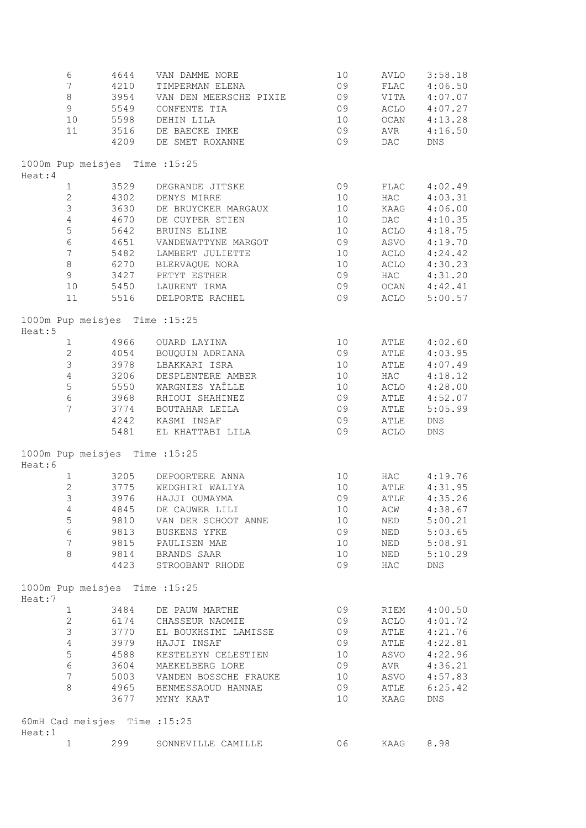|        | $\epsilon$      | 4644                          | VAN DAMME NORE                   | 10 |              | AVLO 3:58.18   |
|--------|-----------------|-------------------------------|----------------------------------|----|--------------|----------------|
|        | $\overline{7}$  | 4210                          | TIMPERMAN ELENA                  | 09 |              | 4:06.50        |
|        | $\,8\,$         | 3954                          | VAN DEN MEERSCHE PIXIE           | 09 | FLAC<br>VITA | 4:07.07        |
|        | 9               | 5549                          | CONFENTE TIA                     | 09 | ACLO         | 4:07.27        |
|        | 10              | 5598                          | DEHIN LILA                       | 10 | OCAN         | 4:13.28        |
|        | 11              | 3516                          | DE BAECKE IMKE                   | 09 | AVR          | 4:16.50        |
|        |                 | 4209                          | DE SMET ROXANNE                  | 09 | <b>DAC</b>   | <b>DNS</b>     |
|        |                 |                               | 1000m Pup meisjes Time : 15:25   |    |              |                |
| Heat:4 |                 |                               |                                  |    |              |                |
|        | $\mathbf{1}$    | 3529                          | DEGRANDE JITSKE                  | 09 | FLAC         | 4:02.49        |
|        | $\sqrt{2}$      | 4302                          | DENYS MIRRE                      | 10 | HAC          | 4:03.31        |
|        | $\mathsf 3$     | 3630                          | DE BRUYCKER MARGAUX              | 10 | KAAG         | 4:06.00        |
|        | $\sqrt{4}$      | 4670                          | DE CUYPER STIEN                  | 10 | DAC          | 4:10.35        |
|        | $\mathbf 5$     | 5642                          | BRUINS ELINE                     | 10 | ACLO         | 4:18.75        |
|        | $\sqrt{6}$      | 4651                          | VANDEWATTYNE MARGOT              | 09 | ASVO         | 4:19.70        |
|        | $\overline{7}$  |                               | 5482 LAMBERT JULIETTE            | 10 | ACLO         | 4:24.42        |
|        | 8               |                               | 6270 BLERVAQUE NORA              | 10 | ACLO         | 4:30.23        |
|        | $\overline{9}$  | 3427                          | PETYT ESTHER                     | 09 | $_{\rm HAC}$ | 4:31.20        |
|        | 10              | 5450                          | LAURENT IRMA                     | 09 |              | OCAN 4:42.41   |
|        | 11              | 5516                          | DELPORTE RACHEL                  | 09 | ACLO         | 5:00.57        |
|        |                 |                               | 1000m Pup meisjes Time : 15:25   |    |              |                |
| Heat:5 |                 |                               |                                  |    |              |                |
|        | $\mathbf{1}$    |                               | 4966 OUARD LAYINA                | 10 | ATLE         | 4:02.60        |
|        | $\overline{c}$  |                               | 4054 BOUQUIN ADRIANA             | 09 | <b>ATLE</b>  | 4:03.95        |
|        | $\mathfrak{Z}$  | 3978                          | LBAKKARI ISRA                    | 10 | <b>ATLE</b>  | 4:07.49        |
|        | $\overline{4}$  | 3206                          | DESPLENTERE AMBER                | 10 | HAC          | 4:18.12        |
|        | 5               |                               | 5550 WARGNIES YAÎLLE             | 10 | ACLO<br>ATLE | 4:28.00        |
|        | $\sqrt{6}$      | 3968                          | RHIOUI SHAHINEZ                  | 09 |              | 4:52.07        |
|        | $7\phantom{.0}$ | 3774                          | BOUTAHAR LEILA                   | 09 | ATLE         | 5:05.99        |
|        |                 |                               | 4242 KASMI INSAF                 | 09 | <b>ATLE</b>  | DNS            |
|        |                 |                               | 5481 EL KHATTABI LILA            | 09 | ACLO         | DNS            |
|        |                 |                               | 1000m Pup meisjes Time : 15:25   |    |              |                |
| Heat:6 |                 |                               |                                  |    |              |                |
|        | $\mathbf{1}$    |                               | 3205 DEPOORTERE ANNA             | 10 | HAC          | 4:19.76        |
|        | $\overline{c}$  | 3775                          | WEDGHIRI WALIYA<br>HAJJI OUMAYMA | 10 | ATLE<br>ATLE | 4:31.95        |
|        | $\mathcal{S}$   | 3976                          |                                  | 09 |              | 4:35.26        |
|        |                 |                               | 4 4845 DE CAUWER LILI            | 10 |              | ACW 4:38.67    |
|        | $\mathsf S$     | 9810                          | VAN DER SCHOOT ANNE              | 10 | NED          | 5:00.21        |
|        | $\epsilon$      |                               | 9813 BUSKENS YFKE                | 09 | NED          | 5:03.65        |
|        | 7               |                               | 9815 PAULISEN MAE                | 10 | NED          | 5:08.91        |
|        | 8               |                               | 9814 BRANDS SAAR                 | 10 | NED          | 5:10.29        |
|        |                 |                               | 4423 STROOBANT RHODE             | 09 | HAC          | <b>DNS</b>     |
|        |                 |                               | 1000m Pup meisjes Time : 15:25   |    |              |                |
| Heat:7 |                 |                               |                                  |    |              |                |
|        | $\mathbf{1}$    | 3484                          | DE PAUW MARTHE                   | 09 |              | RIEM $4:00.50$ |
|        | $\mathbf{2}$    |                               | 6174 CHASSEUR NAOMIE             | 09 | ACLO         | 4:01.72        |
|        | $\mathfrak{Z}$  | 3770                          | EL BOUKHSIMI LAMISSE             | 09 | <b>ATLE</b>  | 4:21.76        |
|        | $\sqrt{4}$      | 3979                          | HAJJI INSAF                      | 09 | ATLE         | 4:22.81        |
|        | 5               | 4588                          | KESTELEYN CELESTIEN              | 10 | ASVO         | 4:22.96        |
|        | $\epsilon$      |                               | 3604 MAEKELBERG LORE             | 09 | AVR          | 4:36.21        |
|        | 7               |                               | 5003 VANDEN BOSSCHE FRAUKE       | 10 | ASVO         | 4:57.83        |
|        | 8               |                               | 4965 BENMESSAOUD HANNAE          | 09 | ATLE         | 6:25.42        |
|        |                 | 3677                          | MYNY KAAT                        | 10 | KAAG         | DNS            |
|        |                 | 60mH Cad meisjes Time : 15:25 |                                  |    |              |                |
| Heat:1 |                 |                               |                                  |    |              |                |
|        | $\mathbf{1}$    | 299                           | SONNEVILLE CAMILLE               | 06 | KAAG         | 8.98           |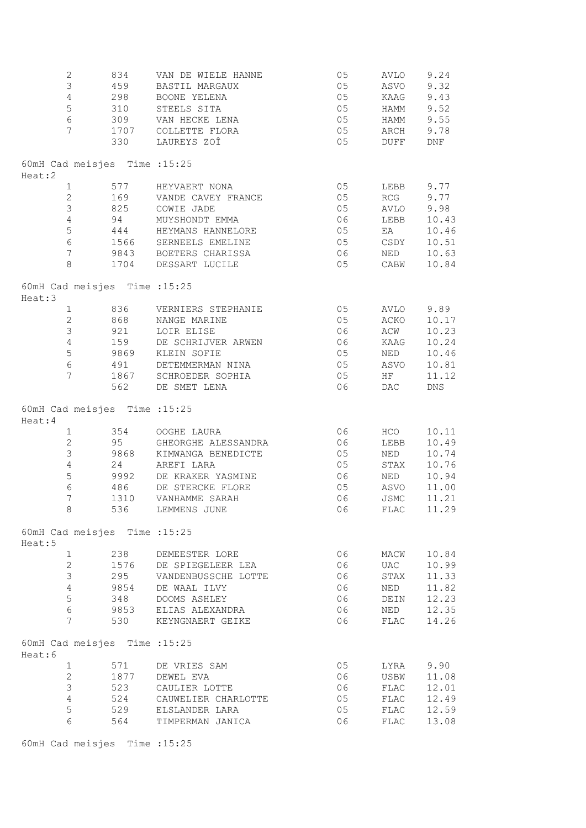| $\overline{2}$                          | 834  | VAN DE WIELE HANNE      | 05 | AVLO         | 9.24  |
|-----------------------------------------|------|-------------------------|----|--------------|-------|
| 3                                       | 459  | BASTIL MARGAUX          | 05 | ASVO         | 9.32  |
| $\overline{4}$                          | 298  | BOONE YELENA            | 05 | KAAG         | 9.43  |
| $\mathsf S$                             | 310  | STEELS SITA             | 05 | <b>HAMM</b>  | 9.52  |
| $6\,$                                   |      | 309 VAN HECKE LENA      | 05 | <b>HAMM</b>  | 9.55  |
| 7                                       |      | 1707 COLLETTE FLORA     | 05 | ARCH         | 9.78  |
|                                         |      | 330 LAUREYS ZOÎ         | 05 | DUFF         | DNF   |
| 60mH Cad meisjes Time : 15:25<br>Heat:2 |      |                         |    |              |       |
| $\mathbf{1}$                            | 577  | HEYVAERT NONA           | 05 | LEBB         | 9.77  |
| $\overline{2}$                          | 169  | VANDE CAVEY FRANCE      | 05 | RCG          | 9.77  |
| 3                                       | 825  | COWIE JADE              | 05 | AVLO         | 9.98  |
| $\overline{4}$                          | 94   | MUYSHONDT EMMA          | 06 | LEBB         | 10.43 |
| 5                                       |      | 444 HEYMANS HANNELORE   | 05 | EA           | 10.46 |
| $6\,$                                   |      | 1566 SERNEELS EMELINE   | 05 | CSDY         | 10.51 |
| $7\phantom{.}$                          |      | 9843 BOETERS CHARISSA   | 06 | NED          | 10.63 |
| 8                                       |      | 1704 DESSART LUCILE     | 05 | CABW         | 10.84 |
| 60mH Cad meisjes Time : 15:25           |      |                         |    |              |       |
| Heat:3                                  |      |                         |    |              |       |
| $\mathbf{1}$                            |      | 836 VERNIERS STEPHANIE  | 05 | AVLO         | 9.89  |
| $\overline{2}$                          | 868  | NANGE MARINE            | 05 | ACKO         | 10.17 |
| $\mathfrak{Z}$                          | 921  | LOIR ELISE              | 06 | ACW          | 10.23 |
| $\overline{4}$                          | 159  | DE SCHRIJVER ARWEN      | 06 | KAAG         | 10.24 |
| 5                                       |      | 9869 KLEIN SOFIE        | 05 | NED          | 10.46 |
| $6\phantom{.0}$                         |      | 491 DETEMMERMAN NINA    | 05 | ASVO         | 10.81 |
| 7                                       |      | 1867 SCHROEDER SOPHIA   | 05 | HF           | 11.12 |
|                                         |      | 562 DE SMET LENA        | 06 | DAC          | DNS   |
| 60mH Cad meisjes Time : 15:25           |      |                         |    |              |       |
| Heat:4                                  |      |                         |    |              |       |
| $\mathbf{1}$                            |      | 354 OOGHE LAURA         | 06 | HCO          | 10.11 |
| $\overline{2}$                          | 95   | GHEORGHE ALESSANDRA     | 06 | LEBB         | 10.49 |
| $\mathfrak{Z}$                          | 9868 | KIMWANGA BENEDICTE      | 05 | NED          | 10.74 |
| $\overline{4}$                          | 24   | AREFI LARA              | 05 | STAX         | 10.76 |
| 5                                       | 9992 | DE KRAKER YASMINE       | 06 | NED          | 10.94 |
| $\epsilon$                              | 486  | DE STERCKE FLORE        | 05 | ASVO         | 11.00 |
| $\boldsymbol{7}$                        | 1310 | VANHAMME SARAH          | 06 | JSMC         | 11.21 |
| 8                                       |      | 536 LEMMENS JUNE        | 06 | FLAC         | 11.29 |
| 60mH Cad meisjes Time : 15:25<br>Heat:5 |      |                         |    |              |       |
| $\mathbf{1}$                            | 238  | DEMEESTER LORE          | 06 | MACW         | 10.84 |
| $\overline{2}$                          |      | 1576 DE SPIEGELEER LEA  | 06 | UAC          | 10.99 |
| 3                                       |      | 295 VANDENBUSSCHE LOTTE | 06 | STAX         | 11.33 |
| $\overline{4}$                          | 9854 | DE WAAL ILVY            | 06 | NED          | 11.82 |
| 5                                       | 348  | DOOMS ASHLEY            | 06 | DEIN         | 12.23 |
| 6                                       | 9853 | ELIAS ALEXANDRA         | 06 | NED          | 12.35 |
| 7                                       |      | 530 KEYNGNAERT GEIKE    | 06 | FLAC         | 14.26 |
| 60mH Cad meisjes Time : 15:25<br>Heat:6 |      |                         |    |              |       |
| $\mathbf 1$                             | 571  | DE VRIES SAM            | 05 | LYRA         | 9.90  |
| $\overline{2}$                          |      | 1877 DEWEL EVA          | 06 | USBW         | 11.08 |
| 3                                       | 523  | CAULIER LOTTE           | 06 | FLAC         | 12.01 |
| $\overline{4}$                          | 524  | CAUWELIER CHARLOTTE     | 05 | FLAC         | 12.49 |
| 5                                       |      | 529 ELSLANDER LARA      | 05 | ${\tt FLAC}$ | 12.59 |
| 6                                       | 564  | TIMPERMAN JANICA        | 06 | FLAC         | 13.08 |
|                                         |      |                         |    |              |       |

60mH Cad meisjes Time :15:25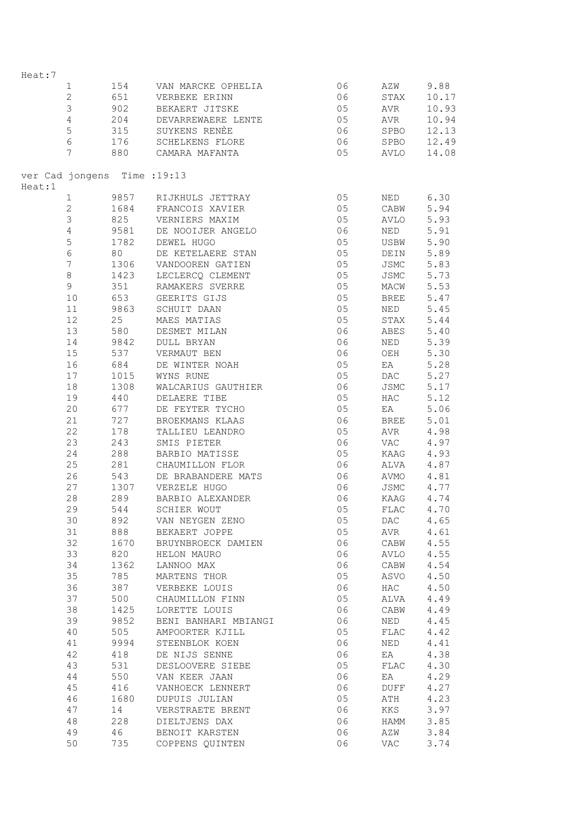| Heat:7 |                |                              |                                   |    |             |              |
|--------|----------------|------------------------------|-----------------------------------|----|-------------|--------------|
|        | $\mathbf{1}$   | 154                          | VAN MARCKE OPHELIA                | 06 | AZW         | 9.88         |
|        | $\overline{2}$ | 651                          | VERBEKE ERINN                     | 06 | STAX        | 10.17        |
|        | 3              | 902                          | BEKAERT JITSKE                    | 05 | AVR         | 10.93        |
|        | $\overline{4}$ | 204                          | DEVARREWAERE LENTE                | 05 | AVR         | 10.94        |
|        | 5              | 315                          | SUYKENS RENEE                     | 06 | SPBO        | 12.13        |
|        | 6              | 176                          | SCHELKENS FLORE                   | 06 | SPBO        | 12.49        |
|        | $\overline{7}$ | 880                          | CAMARA MAFANTA                    | 05 | AVLO        | 14.08        |
| Heat:1 |                | ver Cad jongens Time : 19:13 |                                   |    |             |              |
|        | $\mathbf{1}$   | 9857                         | RIJKHULS JETTRAY                  | 05 | NED         | 6.30         |
|        | $\mathbf{2}$   | 1684                         | FRANCOIS XAVIER                   | 05 | CABW        | 5.94         |
|        | 3              | 825                          | VERNIERS MAXIM                    | 05 | AVLO        | 5.93         |
|        | $\overline{4}$ | 9581                         | DE NOOIJER ANGELO                 | 06 | NED         | 5.91         |
|        | 5              | 1782                         | DEWEL HUGO                        | 05 | USBW        | 5.90         |
|        | 6              | 80                           | DE KETELAERE STAN                 | 05 | DEIN        | 5.89         |
|        | 7              | 1306                         | VANDOOREN GATIEN                  | 05 | JSMC        | 5.83         |
|        | 8              | 1423                         | LECLERCQ CLEMENT                  | 05 | JSMC        | 5.73         |
|        | 9              | 351                          | RAMAKERS SVERRE                   | 05 | MACW        | 5.53         |
|        | 10             | 653                          | GEERITS GIJS                      | 05 | <b>BREE</b> | 5.47         |
|        | 11             | 9863                         | SCHUIT DAAN                       | 05 | NED         | 5.45         |
|        | 12             | 25                           | MAES MATIAS                       | 05 | STAX        | 5.44         |
|        | 13             | 580                          | DESMET MILAN                      | 06 | ABES        | 5.40         |
|        | 14             | 9842                         | DULL BRYAN                        | 06 | NED         | 5.39         |
|        | 15             | 537                          | VERMAUT BEN                       | 06 | OEH         | 5.30         |
|        | 16             | 684                          | DE WINTER NOAH                    | 05 | EA          | 5.28         |
|        | 17             | 1015                         | WYNS RUNE                         | 05 | DAC         | 5.27         |
|        | 18             | 1308                         | WALCARIUS GAUTHIER                | 06 | JSMC        | 5.17         |
|        | 19             | 440                          | DELAERE TIBE                      | 05 | HAC         | 5.12         |
|        | 20             | 677                          | DE FEYTER TYCHO                   | 05 | EA          | 5.06         |
|        | 21             | 727                          | BROEKMANS KLAAS                   | 06 | BREE        | 5.01         |
|        | 22             | 178                          | TALLIEU LEANDRO                   | 05 | AVR         | 4.98         |
|        | 23             | 243                          | SMIS PIETER                       | 06 | VAC         | 4.97         |
|        | 24             | 288                          | BARBIO MATISSE                    | 05 | KAAG        | 4.93         |
|        | 25             | 281                          | CHAUMILLON FLOR                   | 06 | ALVA        | 4.87         |
|        | 26             | 543                          | DE BRABANDERE MATS                | 06 | AVMO        | 4.81         |
|        | 27             | 1307                         | VERZELE HUGO                      | 06 | JSMC        | 4.77         |
|        | 28             | 289                          | BARBIO ALEXANDER                  | 06 | KAAG        | 4.74         |
|        | 29             | 544                          | SCHIER WOUT                       | 05 | FLAC        | 4.70         |
|        | 30             | 892                          | VAN NEYGEN ZENO                   | 05 | DAC         | 4.65         |
|        | 31             | 888                          | BEKAERT JOPPE                     | 05 | AVR         | 4.61         |
|        | 32             | 1670                         |                                   | 06 | CABW        |              |
|        | 33             | 820                          | BRUYNBROECK DAMIEN<br>HELON MAURO | 06 |             | 4.55<br>4.55 |
|        | 34             |                              |                                   |    | AVLO        |              |
|        |                | 1362                         | LANNOO MAX<br>MARTENS THOR        | 06 | CABW        | 4.54         |
|        | 35             | 785                          |                                   | 05 | ASVO        | 4.50         |
|        | 36             | 387                          | VERBEKE LOUIS                     | 06 | HAC         | 4.50         |
|        | 37             | 500                          | CHAUMILLON FINN                   | 05 | ALVA        | 4.49         |
|        | 38             | 1425                         | LORETTE LOUIS                     | 06 | CABW        | 4.49         |
|        | 39             | 9852                         | BENI BANHARI MBIANGI              | 06 | NED         | 4.45         |
|        | 40             | 505                          | AMPOORTER KJILL                   | 05 | FLAC        | 4.42         |
|        | 41             | 9994                         | STEENBLOK KOEN                    | 06 | NED         | 4.41         |
|        | 42             | 418                          | DE NIJS SENNE                     | 06 | EA          | 4.38         |
|        | 43             | 531                          | DESLOOVERE SIEBE                  | 05 | FLAC        | 4.30         |
|        | 44             | 550                          | VAN KEER JAAN                     | 06 | EA          | 4.29         |
|        | 45             | 416                          | VANHOECK LENNERT                  | 06 | DUFF        | 4.27         |
|        | 46             | 1680                         | DUPUIS JULIAN                     | 05 | ATH         | 4.23         |
|        | 47             | 14                           | VERSTRAETE BRENT                  | 06 | KKS         | 3.97         |
|        | 48             | 228                          | DIELTJENS DAX                     | 06 | HAMM        | 3.85         |
|        | 49             | 46                           | BENOIT KARSTEN                    | 06 | AZW         | 3.84         |
|        | 50             | 735                          | COPPENS QUINTEN                   | 06 | VAC         | 3.74         |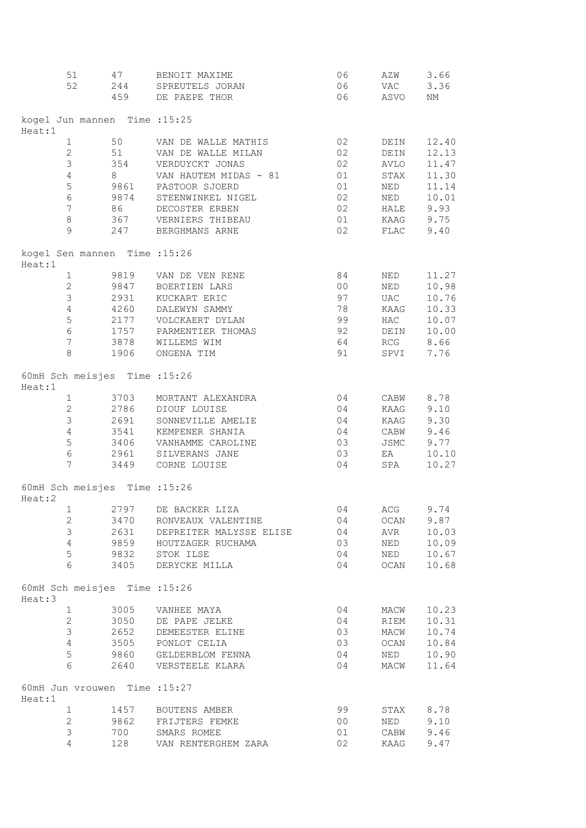|        | 51                               | 47                            | BENOIT MAXIME                | 06             | AZW         | 3.66      |
|--------|----------------------------------|-------------------------------|------------------------------|----------------|-------------|-----------|
|        | 52                               | 244                           | SPREUTELS JORAN              | 06             | VAC         | 3.36      |
|        |                                  | 459                           | DE PAEPE THOR                | 06             | ASVO        | ΝM        |
|        |                                  |                               |                              |                |             |           |
| Heat:1 |                                  | kogel Jun mannen Time : 15:25 |                              |                |             |           |
|        | 1                                | 50                            | VAN DE WALLE MATHIS          | 02             | DEIN        | 12.40     |
|        | $\overline{2}$                   | 51                            | VAN DE WALLE MILAN           | 02             | DEIN        | 12.13     |
|        | 3                                | 354                           | VERDUYCKT JONAS              | 02             | AVLO        | 11.47     |
|        | $\overline{4}$                   | 8                             | VAN HAUTEM MIDAS - 81        | 01             | STAX        | 11.30     |
|        | 5                                | 9861                          | PASTOOR SJOERD               | 01             | NED         | 11.14     |
|        | 6                                | 9874                          | STEENWINKEL NIGEL            | 02             |             |           |
|        |                                  | 86 8                          |                              |                | NED         | 10.01     |
|        | 7                                |                               | DECOSTER ERBEN               | 02             | <b>HALE</b> | 9.93      |
|        | 8                                |                               | 367 VERNIERS THIBEAU         | 01             | KAAG        | 9.75      |
|        | 9                                | 247                           | BERGHMANS ARNE               | 02             | FLAC        | 9.40      |
| Heat:1 |                                  | kogel Sen mannen Time : 15:26 |                              |                |             |           |
|        | $\mathbf{1}$                     | 9819                          | VAN DE VEN RENE              | 84             | NED         | 11.27     |
|        | $\mathbf{2}$                     | 9847                          | BOERTIEN LARS                | 00             | NED         | 10.98     |
|        | $\mathsf 3$                      | 2931                          | KUCKART ERIC                 | 97             | UAC         | 10.76     |
|        | $\overline{4}$                   |                               | 4260 DALEWYN SAMMY           | 78             | KAAG        | 10.33     |
|        | 5                                |                               | 2177 VOLCKAERT DYLAN         | 99             | HAC         | 10.07     |
|        | $\epsilon$                       |                               |                              | 92             |             |           |
|        | $\boldsymbol{7}$                 |                               | 1757 PARMENTIER THOMAS       |                | DEIN        | 10.00     |
|        |                                  |                               | 3878 WILLEMS WIM             | 64             | RCG         | 8.66      |
|        | 8                                | 1906                          | ONGENA TIM                   | 91             | SPVI        | 7.76      |
|        |                                  | 60mH Sch meisjes Time : 15:26 |                              |                |             |           |
| Heat:1 |                                  |                               |                              |                |             |           |
|        | $\mathbf{1}$                     | 3703                          | MORTANT ALEXANDRA            | 04             | CABW        | 8.78      |
|        | $\mathbf{2}$                     |                               | 2786 DIOUF LOUISE            | 04             | KAAG        | 9.10      |
|        | $\mathfrak{Z}$                   |                               | 2691 SONNEVILLE AMELIE       | 04             | KAAG        | 9.30      |
|        | 4                                | 3541                          | KEMPENER SHANIA              | 04             | CABW        | 9.46      |
|        | 5                                |                               | 3406 VANHAMME CAROLINE       | 03             | JSMC        | 9.77      |
|        | $6\,$                            |                               | 2961 SILVERANS JANE          | 03             | EA          | 10.10     |
|        | $\overline{7}$                   | 3449                          | CORNE LOUISE                 | 04             | SPA         | 10.27     |
|        |                                  | 60mH Sch meisjes Time : 15:26 |                              |                |             |           |
| Heat:2 |                                  |                               |                              |                |             |           |
|        | $\sim$ 1.000 $\sim$ 1.000 $\sim$ |                               | 2797 DE BACKER LIZA          | 04             | ACG         | 9.74      |
|        | 2                                |                               | 3470 RONVEAUX VALENTINE      | 04             | OCAN        | 9.87      |
|        | 3                                |                               | 2631 DEPREITER MALYSSE ELISE | 04             | AVR         | 10.03     |
|        | $\overline{4}$                   |                               | 9859 HOUTZAGER RUCHAMA       | 03             | NED         | 10.09     |
|        | 5                                |                               | 9832 STOK ILSE               | 04             | NED         | 10.67     |
|        | 6                                |                               | 3405 DERYCKE MILLA           | 04             | OCAN        | 10.68     |
|        |                                  | 60mH Sch meisjes Time : 15:26 |                              |                |             |           |
| Heat:3 |                                  |                               |                              |                |             |           |
|        | 1                                |                               | 3005 VANHEE MAYA             | 04             | MACW        | 10.23     |
|        |                                  |                               | 2 3050 DE PAPE JELKE         | 04             | RIEM        | 10.31     |
|        | $\mathcal{S}$                    |                               | 2652 DEMEESTER ELINE         | 03             | MACW        | 10.74     |
|        | $\overline{4}$                   |                               | 3505 PONLOT CELIA            | 03             | OCAN        | 10.84     |
|        | 5                                |                               | 9860 GELDERBLOM FENNA        | 04             | NED         | 10.90     |
|        | 6                                | 2640                          | VERSTEELE KLARA              | 04             | MACW        | 11.64     |
|        |                                  | 60mH Jun vrouwen Time : 15:27 |                              |                |             |           |
| Heat:1 |                                  |                               |                              |                |             |           |
|        | $\mathbf{1}$                     |                               | 1457 BOUTENS AMBER           | 99             |             | STAX 8.78 |
|        | $\overline{2}$                   |                               | 9862 FRIJTERS FEMKE          | 0 <sub>0</sub> | NED         | 9.10      |
|        | 3                                |                               | 700 SMARS ROMEE              | 01             | CABW        | 9.46      |
|        | 4                                | 128                           | VAN RENTERGHEM ZARA          | 02             | KAAG        | 9.47      |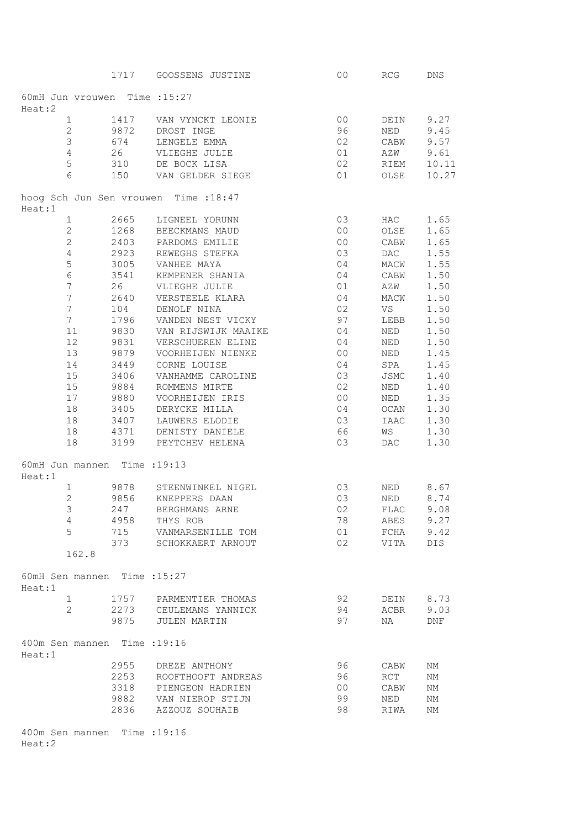|        |                               | 1717 | GOOSSENS JUSTINE                        | 0 <sub>0</sub> | RCG  | DNS   |
|--------|-------------------------------|------|-----------------------------------------|----------------|------|-------|
| Heat:2 | 60mH Jun vrouwen Time : 15:27 |      |                                         |                |      |       |
|        | $\mathbf{1}$                  | 1417 | VAN VYNCKT LEONIE                       | 0 <sub>0</sub> | DEIN | 9.27  |
|        | $\overline{2}$                | 9872 | DROST INGE                              | 96             | NED  | 9.45  |
|        | 3                             | 674  | LENGELE EMMA                            | 02             | CABW | 9.57  |
|        | 4                             | 26   | VLIEGHE JULIE                           | 01             | AZW  | 9.61  |
|        | 5                             | 310  | DE BOCK LISA                            | 02             | RIEM | 10.11 |
|        | 6                             | 150  | VAN GELDER SIEGE                        | 01             | OLSE | 10.27 |
| Heat:1 |                               |      | hoog Sch Jun Sen vrouwen Time : 18:47   |                |      |       |
|        | $\mathbf{1}$                  | 2665 | LIGNEEL YORUNN                          | 03             | HAC  | 1.65  |
|        | $\overline{2}$                | 1268 | BEECKMANS MAUD                          | 00             | OLSE | 1.65  |
|        | $\overline{2}$                |      | PARDOMS EMILIE                          | 00             |      |       |
|        |                               | 2403 |                                         |                | CABW | 1.65  |
|        | $\overline{4}$                | 2923 | REWEGHS STEFKA                          | 03             | DAC  | 1.55  |
|        | 5                             |      | 3005 VANHEE MAYA                        | 04             | MACW | 1.55  |
|        | 6                             | 3541 | KEMPENER SHANIA                         | 04             | CABW | 1.50  |
|        | $\overline{7}$                | 26   | VLIEGHE JULIE                           | 01             | AZW  | 1.50  |
|        | $\overline{7}$                | 2640 | VERSTEELE KLARA                         | 04             | MACW | 1.50  |
|        | $7\phantom{.}$                | 104  | DENOLF NINA                             | 02             | VS   | 1.50  |
|        | $7\overline{ }$               | 1796 | VANDEN NEST VICKY                       | 97             | LEBB | 1.50  |
|        | 11                            | 9830 | VAN RIJSWIJK MAAIKE                     | 04             | NED  | 1.50  |
|        | 12                            | 9831 | VERSCHUEREN ELINE                       | 04             | NED  | 1.50  |
|        | 13                            | 9879 | VOORHEIJEN NIENKE                       | 00             | NED  | 1.45  |
|        | 14                            | 3449 | CORNE LOUISE                            | 04             | SPA  | 1.45  |
|        | 15                            | 3406 | VANHAMME CAROLINE                       | 03             | JSMC | 1.40  |
|        | 15                            | 9884 | ROMMENS MIRTE                           | 02             | NED  | 1.40  |
|        | 17                            | 9880 | VOORHEIJEN IRIS                         | 00             | NED  | 1.35  |
|        | 18                            | 3405 | DERYCKE MILLA                           | 04             | OCAN | 1.30  |
|        |                               |      |                                         |                |      |       |
|        | 18                            | 3407 | LAUWERS ELODIE                          | 03             | IAAC | 1.30  |
|        | 18                            | 4371 | DENISTY DANIELE<br>3199 PEYTCHEV HELENA | 66             | WS   | 1.30  |
|        | 18                            |      |                                         | 03             | DAC  | 1.30  |
| Heat:1 | 60mH Jun mannen Time : 19:13  |      |                                         |                |      |       |
|        | $\mathbf{1}$                  |      | 9878 STEENWINKEL NIGEL                  | 03             | NED  | 8.67  |
|        | $\overline{2}$                | 9856 | KNEPPERS DAAN                           | 03             | NED  | 8.74  |
|        | 3 <sup>7</sup>                | 247  | BERGHMANS ARNE                          | 02             | FLAC | 9.08  |
|        | 4                             | 4958 | THYS ROB                                | 78             | ABES | 9.27  |
|        | 5                             | 715  | VANMARSENILLE TOM                       | 01             | FCHA | 9.42  |
|        |                               |      |                                         | 02             |      |       |
|        | 162.8                         | 373  | SCHOKKAERT ARNOUT                       |                | VITA | DIS   |
| Heat:1 | 60mH Sen mannen Time : 15:27  |      |                                         |                |      |       |
|        | $\mathbf{1}$                  |      | 1757 PARMENTIER THOMAS                  | 92             | DEIN | 8.73  |
|        | $\overline{2}$                |      | 2273 CEULEMANS YANNICK                  | 94             | ACBR | 9.03  |
|        |                               |      |                                         |                |      |       |
|        |                               | 9875 | <b>JULEN MARTIN</b>                     | 97             | NA   | DNF   |
| Heat:1 | 400m Sen mannen Time : 19:16  |      |                                         |                |      |       |
|        |                               | 2955 | DREZE ANTHONY                           | 96             | CABW | ΝM    |
|        |                               | 2253 | ROOFTHOOFT ANDREAS                      | 96             | RCT  | ΝM    |
|        |                               | 3318 | PIENGEON HADRIEN                        | 0 <sup>0</sup> | CABW | ΝM    |
|        |                               | 9882 | VAN NIEROP STIJN                        | 99             | NED  | ΝM    |
|        |                               | 2836 | AZZOUZ SOUHAIB                          | 98             | RIWA | NΜ    |
|        |                               |      |                                         |                |      |       |
|        |                               |      |                                         |                |      |       |

400m Sen mannen Time :19:16 Heat:2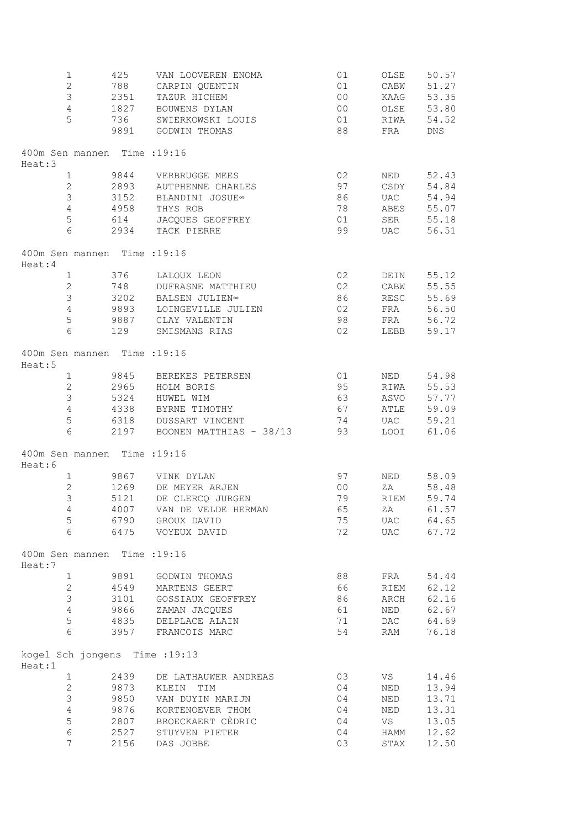|         | $\mathbf{1}$                 | 425  | VAN LOOVEREN ENOMA             | 01             | OLSE        | 50.57    |
|---------|------------------------------|------|--------------------------------|----------------|-------------|----------|
|         | $\overline{2}$               | 788  | CARPIN QUENTIN                 | 01             | CABW        | 51.27    |
|         | 3                            | 2351 | TAZUR HICHEM                   | 00             | KAAG        | 53.35    |
|         | $\overline{4}$               | 1827 | BOUWENS DYLAN                  | 0 <sub>0</sub> | OLSE        | 53.80    |
|         | 5                            | 736  | SWIERKOWSKI LOUIS              | 01             | RIWA        | 54.52    |
|         |                              |      | 9891 GODWIN THOMAS             | 88             | FRA         | DNS      |
|         |                              |      |                                |                |             |          |
|         | 400m Sen mannen Time : 19:16 |      |                                |                |             |          |
| Heat:3  |                              |      |                                |                |             |          |
|         | $\mathbf{1}$                 |      | 9844 VERBRUGGE MEES            | 02             | NED         | 52.43    |
|         | $\overline{2}$               | 2893 | AUTPHENNE CHARLES              | 97             | CSDY        | 54.84    |
|         | $\mathfrak{Z}$               | 3152 | BLANDINI JOSUE∞                | 86             | UAC         | 54.94    |
|         | $\overline{4}$               | 4958 | THYS ROB                       | 78             | ABES        | 55.07    |
|         | $\mathsf S$                  | 614  | JACQUES GEOFFREY               | 01             | SER         | 55.18    |
|         | 6                            |      | 2934 TACK PIERRE               | 99             | UAC         | 56.51    |
|         | 400m Sen mannen Time : 19:16 |      |                                |                |             |          |
| Heat: 4 | $\mathbf{1}$                 | 376  | LALOUX LEON                    | 02             | DEIN        | 55.12    |
|         | $\mathbf{2}$                 | 748  | DUFRASNE MATTHIEU              | 02             | CABW        | 55.55    |
|         | 3                            |      | BALSEN JULIEN∞                 | 86             |             | 55.69    |
|         | $\overline{4}$               | 3202 |                                |                | RESC        |          |
|         |                              | 9893 | LOINGEVILLE JULIEN             | 02             | FRA         | 56.50    |
|         | 5                            |      | 9887 CLAY VALENTIN             | 98             | FRA         | 56.72    |
|         | 6                            | 129  | SMISMANS RIAS                  | 02             | LEBB        | 59.17    |
| Heat:5  | 400m Sen mannen Time : 19:16 |      |                                |                |             |          |
|         | $\mathbf{1}$                 |      | 9845 BEREKES PETERSEN          | 01             | NED         | 54.98    |
|         | $\overline{2}$               | 2965 | HOLM BORIS                     | 95             | RIWA        | 55.53    |
|         | $\mathfrak{Z}$               | 5324 | HUWEL WIM                      | 63             | ASVO        | 57.77    |
|         | $\overline{4}$               |      | 4338 BYRNE TIMOTHY             | 67             | <b>ATLE</b> | 59.09    |
|         | $\mathsf S$                  |      | 6318 DUSSART VINCENT           | 74             | <b>UAC</b>  | 59.21    |
|         | 6                            |      | 2197 BOONEN MATTHIAS - 38/13   | 93             | LOOI        | 61.06    |
|         | 400m Sen mannen Time : 19:16 |      |                                |                |             |          |
| Heat:6  |                              |      |                                |                |             |          |
|         | $\mathbf{1}$                 |      | 9867 VINK DYLAN                | 97             | NED         | 58.09    |
|         | $\overline{2}$               | 1269 | DE MEYER ARJEN                 | 00             | ZA          | 58.48    |
|         | 3                            | 5121 | DE CLERCQ JURGEN               | 79             | RIEM        | 59.74    |
|         | 4                            |      | 4007 VAN DE VELDE HERMAN       | 65             |             | ZA 61.57 |
|         | 5                            |      | 6790 GROUX DAVID               | 75             | <b>UAC</b>  | 64.65    |
|         | 6                            |      | 6475 VOYEUX DAVID              | 72             | <b>UAC</b>  | 67.72    |
| Heat:7  | 400m Sen mannen Time : 19:16 |      |                                |                |             |          |
|         | $\mathbf{1}$                 |      | 9891 GODWIN THOMAS             | 88             | FRA         | 54.44    |
|         | $\mathbf{2}$                 | 4549 | MARTENS GEERT                  | 66             | RIEM        | 62.12    |
|         | 3                            | 3101 | GOSSIAUX GEOFFREY              | 86             | ARCH        | 62.16    |
|         | $\overline{4}$               |      | 9866 ZAMAN JACQUES             | 61             | NED         | 62.67    |
|         | 5                            |      | 4835 DELPLACE ALAIN            | 71             | DAC         | 64.69    |
|         | 6                            |      | 3957 FRANCOIS MARC             | 54             | RAM         | 76.18    |
|         |                              |      | kogel Sch jongens Time : 19:13 |                |             |          |
| Heat:1  |                              |      |                                |                |             |          |
|         | $\mathbf{1}$                 | 2439 | DE LATHAUWER ANDREAS           | 03             | VS          | 14.46    |
|         | $\overline{2}$               | 9873 | KLEIN<br>TIM                   | 04             | NED         | 13.94    |
|         | 3                            | 9850 | VAN DUYIN MARIJN               | 04             | NED         | 13.71    |
|         | $\overline{4}$               | 9876 | KORTENOEVER THOM               | 04             | NED         | 13.31    |
|         | $\mathsf S$                  |      | 2807 BROECKAERT CÈDRIC         | 04             | VS          | 13.05    |
|         | $\epsilon$                   |      | 2527 STUYVEN PIETER            | 04             | HAMM        | 12.62    |
|         | 7                            | 2156 | DAS JOBBE                      | 03             | STAX        | 12.50    |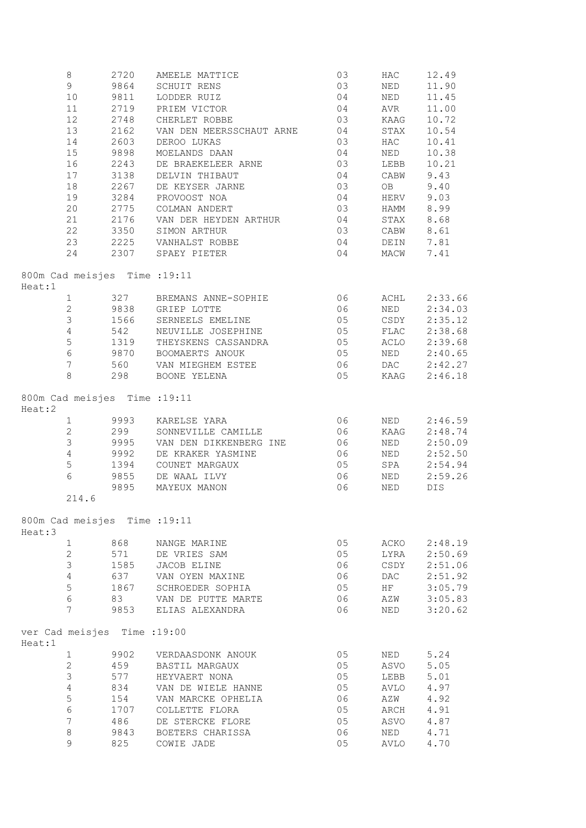|        | 8                 | 2720                          | AMEELE MATTICE                | 03 | HAC  | 12.49     |
|--------|-------------------|-------------------------------|-------------------------------|----|------|-----------|
|        | 9                 | 9864                          | <b>SCHUIT RENS</b>            | 03 | NED  | 11.90     |
|        | 10                |                               | 9811 LODDER RUIZ              | 04 | NED  | 11.45     |
|        | 11                |                               | 2719 PRIEM VICTOR             | 04 | AVR  | 11.00     |
|        | 12                |                               | 2748 CHERLET ROBBE            | 03 | KAAG | 10.72     |
|        | 13                |                               | 2162 VAN DEN MEERSSCHAUT ARNE | 04 | STAX | 10.54     |
|        | 14                | 2603                          | DEROO LUKAS                   | 03 | HAC  | 10.41     |
|        | 15                | 9898                          | MOELANDS DAAN                 | 04 | NED  | 10.38     |
|        | 16                | 2243                          | DE BRAEKELEER ARNE            | 03 | LEBB | 10.21     |
|        | 17                | 3138                          | DELVIN THIBAUT                | 04 | CABW | 9.43      |
|        | 18                | 2267                          | DE KEYSER JARNE               | 03 | OB   | 9.40      |
|        | 19                | 3284                          | PROVOOST NOA                  | 04 | HERV | 9.03      |
|        | 20                |                               | 2775 COLMAN ANDERT            | 03 |      | HAMM 8.99 |
|        | 21                |                               | 2176 VAN DER HEYDEN ARTHUR 04 |    |      | STAX 8.68 |
|        | 22                |                               | 3350 SIMON ARTHUR             | 03 | CABW | 8.61      |
|        | 23                |                               | 2225 VANHALST ROBBE           | 04 | DEIN | 7.81      |
|        | 24                |                               | 2307 SPAEY PIETER             | 04 | MACW | 7.41      |
|        |                   |                               | 800m Cad meisjes Time : 19:11 |    |      |           |
| Heat:1 | 1                 |                               | 327 BREMANS ANNE-SOPHIE       | 06 | ACHL | 2:33.66   |
|        | $2^{\circ}$       |                               | 9838 GRIEP LOTTE              | 06 | NED  | 2:34.03   |
|        | 3                 |                               | 1566 SERNEELS EMELINE         | 05 | CSDY | 2:35.12   |
|        | $\overline{4}$    |                               | 542 NEUVILLE JOSEPHINE        | 05 | FLAC | 2:38.68   |
|        | 5                 |                               | 1319 THEYSKENS CASSANDRA      | 05 | ACLO | 2:39.68   |
|        | $6\overline{6}$   | 9870                          | BOOMAERTS ANOUK               | 05 | NED  | 2:40.65   |
|        | $\boldsymbol{7}$  | 560                           | VAN MIEGHEM ESTEE             | 06 | DAC  | 2:42.27   |
|        | 8                 |                               | 298 BOONE YELENA              | 05 | KAAG | 2:46.18   |
|        |                   |                               | 800m Cad meisjes Time : 19:11 |    |      |           |
| Heat:2 |                   |                               |                               |    |      |           |
|        | 1<br>$\mathbf{2}$ |                               | 9993 - KARELSE YARA           | 06 | NED  | 2:46.59   |
|        | 3                 |                               | 299 SONNEVILLE CAMILLE        | 06 | KAAG | 2:48.74   |
|        | $\overline{4}$    |                               | 9995 VAN DEN DIKKENBERG INE   | 06 | NED  | 2:50.09   |
|        |                   | 9992                          | DE KRAKER YASMINE             | 06 | NED  | 2:52.50   |
|        | 5                 | 1394                          | COUNET MARGAUX                | 05 | SPA  | 2:54.94   |
|        | 6                 |                               | 9855 DE WAAL ILVY             | 06 | NED  | 2:59.26   |
|        | 214.6             | 9895                          | MAYEUX MANON                  | 06 | NED  | DIS       |
|        |                   | 800m Cad meisjes Time : 19:11 |                               |    |      |           |
| Heat:3 |                   |                               |                               |    |      |           |
|        | $\mathbf{1}$      | 868                           | NANGE MARINE                  | 05 | ACKO | 2:48.19   |
|        | $\overline{2}$    | 571                           | DE VRIES SAM                  | 05 | LYRA | 2:50.69   |
|        | 3                 | 1585                          | JACOB ELINE                   | 06 | CSDY | 2:51.06   |
|        | $\overline{4}$    | 637                           | VAN OYEN MAXINE               | 06 | DAC  | 2:51.92   |
|        | 5                 | 1867                          | SCHROEDER SOPHIA              | 05 | HF   | 3:05.79   |
|        | 6                 | 83                            | VAN DE PUTTE MARTE            | 06 | AZW  | 3:05.83   |
|        | 7                 | 9853                          | ELIAS ALEXANDRA               | 06 | NED  | 3:20.62   |
|        |                   | ver Cad meisjes Time : 19:00  |                               |    |      |           |
| Heat:1 | $\mathbf{1}$      | 9902                          | VERDAASDONK ANOUK             | 05 | NED  | 5.24      |
|        | $\overline{2}$    | 459                           | BASTIL MARGAUX                | 05 | ASVO | 5.05      |
|        | 3                 | 577                           | HEYVAERT NONA                 | 05 | LEBB | 5.01      |
|        | $\overline{4}$    | 834                           | VAN DE WIELE HANNE            | 05 | AVLO | 4.97      |
|        | 5                 | 154                           | VAN MARCKE OPHELIA            | 06 | AZW  | 4.92      |
|        | $\epsilon$        | 1707                          | COLLETTE FLORA                | 05 | ARCH | 4.91      |
|        | 7                 | 486                           | DE STERCKE FLORE              | 05 | ASVO | 4.87      |
|        | $\,8\,$           | 9843                          | BOETERS CHARISSA              | 06 | NED  | 4.71      |
|        | 9                 | 825                           | COWIE JADE                    | 05 | AVLO | 4.70      |
|        |                   |                               |                               |    |      |           |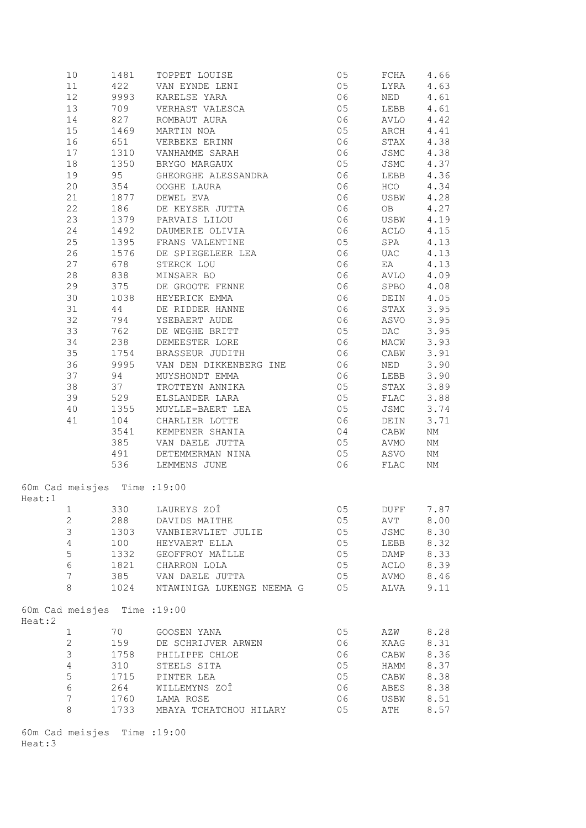|        | 10                           | 1481 | TOPPET LOUISE             | 05 | FCHA      | 4.66 |
|--------|------------------------------|------|---------------------------|----|-----------|------|
|        | 11                           | 422  | VAN EYNDE LENI            | 05 | LYRA      | 4.63 |
|        | 12                           | 9993 | KARELSE YARA              | 06 | NED       | 4.61 |
|        | 13                           | 709  | VERHAST VALESCA           | 05 | LEBB      | 4.61 |
|        | 14                           | 827  | ROMBAUT AURA              | 06 | AVLO      | 4.42 |
|        | 15                           | 1469 | MARTIN NOA                | 05 | ARCH      | 4.41 |
|        | 16                           | 651  | VERBEKE ERINN             | 06 | STAX      | 4.38 |
|        | 17                           | 1310 | VANHAMME SARAH            | 06 | JSMC      | 4.38 |
|        | 18                           | 1350 | BRYGO MARGAUX             | 05 | JSMC      | 4.37 |
|        | 19                           | 95   | GHEORGHE ALESSANDRA       | 06 | LEBB      | 4.36 |
|        | 20                           | 354  |                           | 06 | HCO       |      |
|        |                              |      | OOGHE LAURA               |    |           | 4.34 |
|        | 21                           | 1877 | DEWEL EVA                 | 06 | USBW      | 4.28 |
|        | 22                           | 186  | DE KEYSER JUTTA           | 06 | OB        | 4.27 |
|        | 23                           |      | 1379 PARVAIS LILOU        | 06 | USBW      | 4.19 |
|        | 24                           |      | 1492 DAUMERIE OLIVIA      | 06 | ACLO      | 4.15 |
|        | 25                           |      | 1395 FRANS VALENTINE      | 05 | SPA       | 4.13 |
|        | 26                           | 1576 | DE SPIEGELEER LEA         | 06 | UAC       | 4.13 |
|        | 27                           | 678  | STERCK LOU                | 06 | EA        | 4.13 |
|        | 28                           | 838  | MINSAER BO                | 06 | AVLO      | 4.09 |
|        | 29                           | 375  | DE GROOTE FENNE           | 06 | SPBO      | 4.08 |
|        | 30                           | 1038 | HEYERICK EMMA             | 06 | DEIN      | 4.05 |
|        | 31                           | 44   | DE RIDDER HANNE           | 06 | STAX      | 3.95 |
|        | 32                           | 794  | YSEBAERT AUDE             | 06 | ASVO      | 3.95 |
|        | 33                           | 762  | DE WEGHE BRITT            | 05 | DAC       | 3.95 |
|        | 34                           | 238  | DEMEESTER LORE            | 06 | MACW      | 3.93 |
|        | 35                           | 1754 | BRASSEUR JUDITH           | 06 | CABW      | 3.91 |
|        | 36                           | 9995 |                           | 06 |           | 3.90 |
|        |                              |      | VAN DEN DIKKENBERG INE    |    | NED       |      |
|        | 37                           | 94   | MUYSHONDT EMMA            | 06 | LEBB      | 3.90 |
|        | 38                           | 37   | TROTTEYN ANNIKA           | 05 | STAX      | 3.89 |
|        | 39                           | 529  | ELSLANDER LARA            | 05 | FLAC      | 3.88 |
|        | 40                           | 1355 | MUYLLE-BAERT LEA          | 05 | JSMC      | 3.74 |
|        | 41                           |      | 104 CHARLIER LOTTE        | 06 | DEIN      | 3.71 |
|        |                              | 3541 | KEMPENER SHANIA           | 04 | CABW      | ΝM   |
|        |                              | 385  | VAN DAELE JUTTA           | 05 | AVMO      | ΝM   |
|        |                              | 491  | DETEMMERMAN NINA          | 05 | ASVO      | NΜ   |
|        |                              | 536  | LEMMENS JUNE              | 06 | FLAC      | ΝM   |
| Heat:1 | 60m Cad meisjes Time : 19:00 |      |                           |    |           |      |
|        | $\mathbf{1}$                 |      | 330 LAUREYS ZOÎ           | 05 | DUFF 7.87 |      |
|        | $\mathbf{2}$                 | 288  | DAVIDS MAITHE             | 05 | AVT       | 8.00 |
|        | 3                            | 1303 | VANBIERVLIET JULIE        | 05 | JSMC      | 8.30 |
|        | $\overline{4}$               | 100  | HEYVAERT ELLA             | 05 | LEBB      | 8.32 |
|        | 5                            | 1332 | GEOFFROY MAÎLLE           | 05 |           | 8.33 |
|        |                              |      |                           |    | DAMP      |      |
|        | $6\,$                        | 1821 | CHARRON LOLA              | 05 | ACLO      | 8.39 |
|        | $\boldsymbol{7}$             | 385  | VAN DAELE JUTTA           | 05 | AVMO      | 8.46 |
|        | 8                            | 1024 | NTAWINIGA LUKENGE NEEMA G | 05 | ALVA      | 9.11 |
| Heat:2 | 60m Cad meisjes Time : 19:00 |      |                           |    |           |      |
|        | $\mathbf{1}$                 | 70   | GOOSEN YANA               | 05 | AZW       | 8.28 |
|        | $\overline{2}$               | 159  | DE SCHRIJVER ARWEN        | 06 | KAAG      | 8.31 |
|        | 3                            | 1758 | PHILIPPE CHLOE            | 06 | CABW      | 8.36 |
|        | $\overline{4}$               | 310  | STEELS SITA               | 05 | HAMM      | 8.37 |
|        | 5                            | 1715 | PINTER LEA                | 05 | CABW      | 8.38 |
|        | $\epsilon$                   | 264  | WILLEMYNS ZOÎ             | 06 | ABES      | 8.38 |
|        | $7\phantom{.0}$              | 1760 | LAMA ROSE                 | 06 | USBW      | 8.51 |
|        | 8                            | 1733 | MBAYA TCHATCHOU HILARY    | 05 | ATH       | 8.57 |
|        |                              |      |                           |    |           |      |
|        |                              |      |                           |    |           |      |

60m Cad meisjes Time :19:00 Heat:3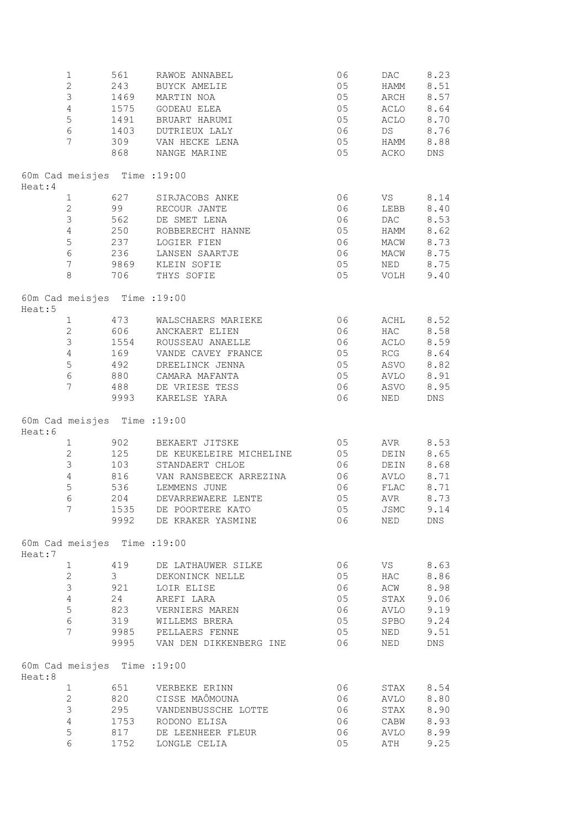|                                        | 1<br>$\overline{2}$          | 561<br>243     | RAWOE ANNABEL<br>BUYCK AMELIE           | 06<br>05 | DAC<br>HAMM  | 8.23<br>8.51 |
|----------------------------------------|------------------------------|----------------|-----------------------------------------|----------|--------------|--------------|
|                                        | $\mathfrak{Z}$               | 1469           | MARTIN NOA                              | 05       | ARCH         | 8.57         |
|                                        | $\overline{4}$               | 1575           | GODEAU ELEA                             | 05       | ACLO         | 8.64         |
|                                        | 5                            | 1491           | BRUART HARUMI                           | 05       | ACLO         | 8.70         |
|                                        | 6                            |                | 1403 DUTRIEUX LALY                      | 06       | DS           | 8.76         |
|                                        | $7\phantom{.0}$              |                | 309 VAN HECKE LENA                      | 05       | <b>HAMM</b>  | 8.88         |
|                                        |                              |                | 868 NANGE MARINE                        | 05       | ACKO         | DNS          |
| Heat:4                                 | 60m Cad meisjes Time : 19:00 |                |                                         |          |              |              |
|                                        | 1                            | 627            | SIRJACOBS ANKE                          | 06       | VS           | 8.14         |
|                                        | $\mathbf{2}^{\prime}$        | 99             | RECOUR JANTE                            | 06       | LEBB         | 8.40         |
|                                        | $\mathfrak{Z}$               | 562            | DE SMET LENA                            | 06       | DAC          | 8.53         |
|                                        | $\overline{4}$               | 250            | ROBBERECHT HANNE                        | 05       | HAMM 8.62    |              |
|                                        | $\mathbf 5$                  |                | 237 LOGIER FIEN                         | 06       | MACW 8.73    |              |
|                                        | 6                            |                | 236 LANSEN SAARTJE                      | 06       | MACW 8.75    |              |
|                                        | $7\phantom{.}$               |                | 9869 KLEIN SOFIE                        | 05       | NED 8.75     |              |
|                                        | 8                            |                | 706 THYS SOFIE                          |          | 05 VOLH 9.40 |              |
| Heat:5                                 | 60m Cad meisjes Time : 19:00 |                |                                         |          |              |              |
|                                        | $\mathbf{1}$                 |                | 473 WALSCHAERS MARIEKE                  | 06       | ACHL         | 8.52         |
|                                        | $\mathbf{2}$                 |                | 606 ANCKAERT ELIEN                      | 06       | <b>HAC</b>   | 8.58         |
|                                        | $\mathfrak{Z}$               |                | 1554 ROUSSEAU ANAELLE                   | 06       | ACLO 8.59    |              |
|                                        | $\overline{4}$               |                | 169 VANDE CAVEY FRANCE                  | 05       | RCG 8.64     |              |
|                                        | 5                            |                | 492 DREELINCK JENNA                     | 05       | ASVO 8.82    |              |
|                                        | $6\phantom{a}$               |                | 880 CAMARA MAFANTA                      |          | 05 AVLO 8.91 |              |
|                                        | $\overline{7}$               |                | 488 DE VRIESE TESS<br>9993 KARELSE YARA | 06<br>06 | ASVO<br>NED  | 8.95<br>DNS  |
| 60m Cad meisjes Time : 19:00<br>Heat:6 |                              |                |                                         |          |              |              |
|                                        | $\mathbf{1}$                 |                | 902 BEKAERT JITSKE                      | 05       | AVR 8.53     |              |
|                                        | $\mathbf{2}$                 |                | 125 DE KEUKELEIRE MICHELINE 05          |          | DEIN 8.65    |              |
|                                        | $\mathfrak{Z}$               | 103            | STANDAERT CHLOE                         | 06 06    | DEIN 8.68    |              |
|                                        | $\overline{4}$               | 816            | VAN RANSBEECK ARREZINA                  | 06       | AVLO 8.71    |              |
|                                        | 5                            | 536            | LEMMENS JUNE                            | 06       | FLAC         | 8.71         |
|                                        | $\epsilon$                   | 204            | DEVARREWAERE LENTE                      | 05       | AVR          | 8.73         |
|                                        | 7                            | 1535           | DE POORTERE KATO                        | 05       | <b>JSMC</b>  | 9.14         |
|                                        |                              |                | 9992 DE KRAKER YASMINE                  | 06       | NED          | DNS          |
| Heat:7                                 | 60m Cad meisjes Time : 19:00 |                |                                         |          |              |              |
|                                        | $\mathbf{1}$                 | 419            | DE LATHAUWER SILKE                      | 06       | VS 8.63      |              |
|                                        | $\overline{2}$               | 3 <sup>7</sup> | DEKONINCK NELLE                         | 05       | HAC          | 8.86         |
|                                        | 3                            | 921            | LOIR ELISE                              | 06       | ACW          | 8.98         |
|                                        | $\overline{4}$               | 24             | AREFI LARA                              | 05       | STAX         | 9.06         |
|                                        | 5                            | 823            | VERNIERS MAREN                          | 06       | AVLO         | 9.19         |
|                                        | $6\phantom{.}6$              | 319            | WILLEMS BRERA                           | 05       | SPBO         | 9.24         |
|                                        | 7                            |                | 9985 PELLAERS FENNE                     | 05       | NED          | 9.51         |
|                                        |                              |                | 9995 VAN DEN DIKKENBERG INE             | 06       | NED          | DNS          |
| Heat:8                                 | 60m Cad meisjes Time : 19:00 |                |                                         |          |              |              |
|                                        | $\mathbf{1}$                 | 651            | VERBEKE ERINN                           | 06       | STAX         | 8.54         |
|                                        | $\mathbf{2}^{\prime}$        | 820            | CISSE MAÔMOUNA                          | 06       | AVLO         | 8.80         |
|                                        | $\mathfrak{Z}$               | 295            | VANDENBUSSCHE LOTTE                     | 06       | STAX         | 8.90         |
|                                        | 4                            | 1753           | RODONO ELISA                            | 06       | CABW         | 8.93         |
|                                        | 5                            |                | 817 DE LEENHEER FLEUR                   | 06       | AVLO         | 8.99         |
|                                        | $\epsilon$                   | 1752           | LONGLE CELIA                            | 05       | ATH          | 9.25         |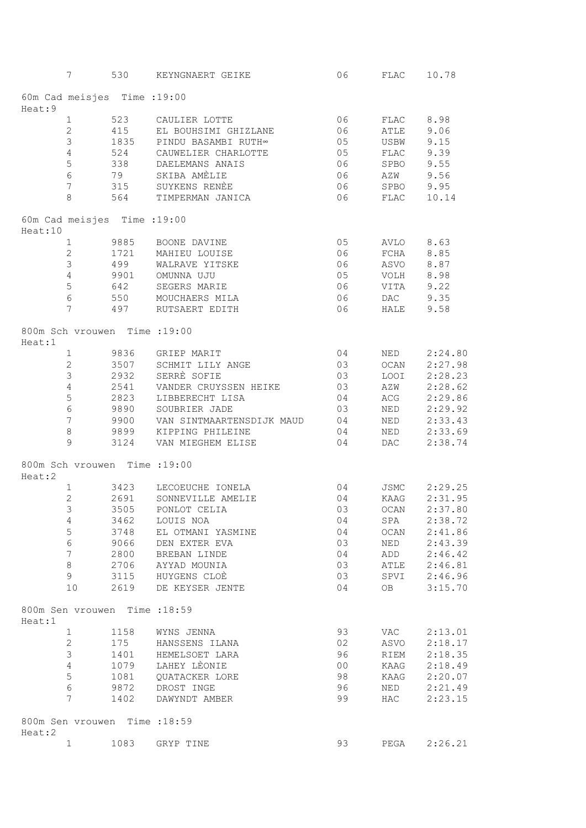|         | $7\phantom{.0}$       |                               | 530 KEYNGNAERT GEIKE                      | 06       | FLAC         | 10.78         |
|---------|-----------------------|-------------------------------|-------------------------------------------|----------|--------------|---------------|
| Heat: 9 |                       | 60m Cad meisjes Time : 19:00  |                                           |          |              |               |
|         | $\mathbf{1}$          |                               | 523 CAULIER LOTTE                         | 06       | FLAC         | 8.98          |
|         | $\overline{2}$        | 415                           | EL BOUHSIMI GHIZLANE                      | 06       | ATLE         | 9.06          |
|         | 3                     | 1835                          | PINDU BASAMBI RUTH∞                       | 05       | USBW         | 9.15          |
|         | 4                     | 524                           | CAUWELIER CHARLOTTE                       | 05       | FLAC         | 9.39          |
|         | $\mathsf S$           | 338                           | DAELEMANS ANAIS                           | 06       | SPBO         | 9.55          |
|         | $\epsilon$            |                               | 79 SKIBA AMÈLIE                           | 06       | AZW          |               |
|         |                       |                               |                                           |          |              | 9.56          |
|         | $\boldsymbol{7}$<br>8 |                               | 315 SUYKENS RENÈE<br>564 TIMPERMAN JANICA | 06<br>06 | SPBO<br>FLAC | 9.95<br>10.14 |
|         |                       | 60m Cad meisjes Time : 19:00  |                                           |          |              |               |
| Heat:10 |                       |                               |                                           |          |              |               |
|         | $\mathbf{1}$          | 9885                          | BOONE DAVINE                              | 05       | AVLO         | 8.63          |
|         | $\overline{c}$        | 1721                          | MAHIEU LOUISE                             | 06       | FCHA         | 8.85          |
|         | $\mathfrak{Z}$        | 499                           | WALRAVE YITSKE                            | 06       | ASVO         | 8.87          |
|         | 4                     | 9901                          | OMUNNA UJU                                | 05       | VOLH         | 8.98          |
|         | $\mathsf S$           |                               | 642 SEGERS MARIE                          | 06       | VITA         | 9.22          |
|         | $6\,$                 |                               | 550 MOUCHAERS MILA                        | 06       | DAC          | 9.35          |
|         | $7\overline{ }$       |                               | 497 RUTSAERT EDITH                        | 06       | HALE         | 9.58          |
|         |                       | 800m Sch vrouwen Time : 19:00 |                                           |          |              |               |
| Heat:1  |                       |                               |                                           |          |              |               |
|         | $1\,$                 |                               | 9836 GRIEP MARIT                          | 04       | NED          | 2:24.80       |
|         | $\overline{c}$        |                               | 3507 SCHMIT LILY ANGE                     | 03       | OCAN         | 2:27.98       |
|         | $\mathfrak{Z}$        |                               | 2932 SERRÈ SOFIE                          | 03       |              | 2:28.23       |
|         |                       |                               |                                           |          | LOOI         |               |
|         | $\overline{4}$        | 2541                          | VANDER CRUYSSEN HEIKE                     | 03       | AZW          | 2:28.62       |
|         | 5                     |                               | 2823 LIBBERECHT LISA                      | 04       | ACG          | 2:29.86       |
|         | $\sqrt{6}$            |                               | 9890 SOUBRIER JADE                        | 03       | NED          | 2:29.92       |
|         | $\overline{7}$        |                               | 9900 VAN SINTMAARTENSDIJK MAUD            | 04       | NED          | 2:33.43       |
|         | $\,8\,$               |                               | 9899 KIPPING PHILEINE                     | 04       | NED          | 2:33.69       |
|         | 9                     | 3124                          | VAN MIEGHEM ELISE                         | 04       | DAC          | 2:38.74       |
|         |                       | 800m Sch vrouwen Time : 19:00 |                                           |          |              |               |
| Heat:2  |                       |                               |                                           |          |              |               |
|         | $\mathbf{1}$          |                               | 3423 LECOEUCHE IONELA                     | 04       | <b>JSMC</b>  | 2:29.25       |
|         | $\overline{2}$        | 2691                          | SONNEVILLE AMELIE                         | 04       | KAAG         | 2:31.95       |
|         | $\mathfrak{Z}$        | 3505                          | PONLOT CELIA                              | 03       | OCAN         | 2:37.80       |
|         | $\overline{4}$        | 3462                          | LOUIS NOA                                 | 04       | SPA          | 2:38.72       |
|         | 5                     | 3748                          | EL OTMANI YASMINE                         | 04       | OCAN         | 2:41.86       |
|         | $\sqrt{6}$            |                               |                                           |          |              |               |
|         |                       | 9066                          | DEN EXTER EVA                             | 03       | NED          | 2:43.39       |
|         | $\boldsymbol{7}$      | 2800                          | BREBAN LINDE                              | 04       | ADD          | 2:46.42       |
|         | $\,8\,$               | 2706                          | AYYAD MOUNIA                              | 03       | ATLE         | 2:46.81       |
|         | 9                     | 3115                          | HUYGENS CLOÈ                              | 03       | SPVI         | 2:46.96       |
|         | 10                    | 2619                          | DE KEYSER JENTE                           | 04       | OB           | 3:15.70       |
| Heat:1  |                       | 800m Sen vrouwen Time : 18:59 |                                           |          |              |               |
|         | $\mathbf{1}$          | 1158                          | WYNS JENNA                                | 93       | VAC          | 2:13.01       |
|         | $\mathbf{2}$          | 175                           |                                           | 02       |              | 2:18.17       |
|         |                       |                               | HANSSENS ILANA                            |          | ASVO         |               |
|         | $\mathsf 3$           | 1401                          | HEMELSOET LARA                            | 96       | RIEM         | 2:18.35       |
|         | $\overline{4}$        | 1079                          | LAHEY LÈONIE                              | 00       | KAAG         | 2:18.49       |
|         | 5                     | 1081                          | QUATACKER LORE                            | 98       | KAAG         | 2:20.07       |
|         | 6                     |                               | 9872 DROST INGE                           | 96       | NED          | 2:21.49       |
|         | 7                     | 1402                          | DAWYNDT AMBER                             | 99       | HAC          | 2:23.15       |
|         |                       | 800m Sen vrouwen Time : 18:59 |                                           |          |              |               |
| Heat:2  | $\mathbf{1}$          | 1083                          | GRYP TINE                                 | 93       | PEGA         | 2:26.21       |
|         |                       |                               |                                           |          |              |               |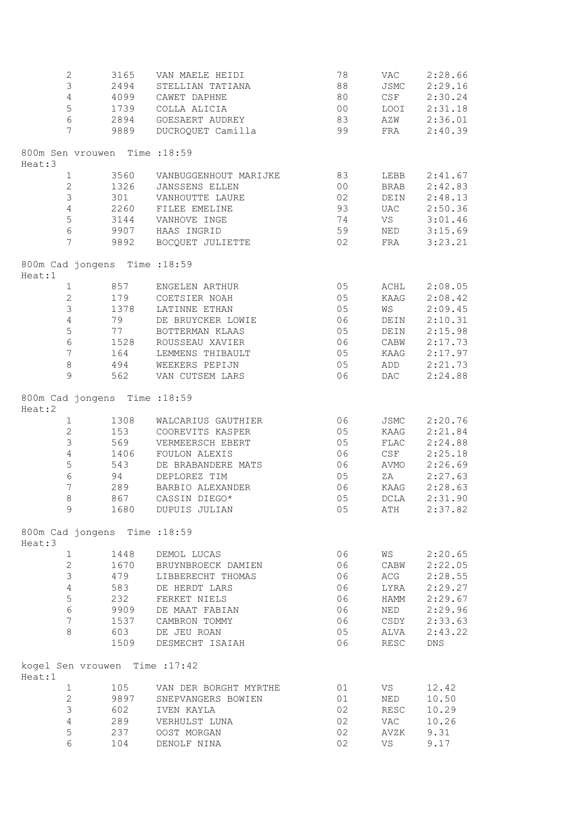|        | $\sqrt{2}$       | 3165                          | VAN MAELE HEIDI                | 78 | VAC                         | 2:28.66 |
|--------|------------------|-------------------------------|--------------------------------|----|-----------------------------|---------|
|        | $\mathsf 3$      | 2494                          | STELLIAN TATIANA               | 88 | JSMC                        | 2:29.16 |
|        | $\overline{4}$   | 4099                          | CAWET DAPHNE                   | 80 | CSE                         | 2:30.24 |
|        | $\mathsf S$      | 1739                          | COLLA ALICIA                   | 00 | LOOI                        | 2:31.18 |
|        | $6\,$            | 2894                          | GOESAERT AUDREY                | 83 | AZW                         | 2:36.01 |
|        | $\overline{7}$   | 9889                          | DUCROQUET Camilla              | 99 | FRA                         | 2:40.39 |
|        |                  | 800m Sen vrouwen Time : 18:59 |                                |    |                             |         |
| Heat:3 |                  |                               |                                |    |                             |         |
|        | $\mathbf{1}$     | 3560                          | VANBUGGENHOUT MARIJKE          | 83 | LEBB                        | 2:41.67 |
|        | $\mathbf{2}$     | 1326                          | JANSSENS ELLEN                 | 00 | BRAB                        | 2:42.83 |
|        | $\mathfrak{Z}$   | 301                           | VANHOUTTE LAURE                | 02 | DEIN                        | 2:48.13 |
|        | $\sqrt{4}$       | 2260                          | FILEE EMELINE                  | 93 | <b>UAC</b>                  | 2:50.36 |
|        | $\mathsf S$      | 3144                          | VANHOVE INGE                   | 74 | <b>VS</b>                   | 3:01.46 |
|        | $\sqrt{6}$       |                               | 9907 HAAS INGRID               | 59 | NED                         | 3:15.69 |
|        | $7\phantom{.0}$  | 9892                          | BOCQUET JULIETTE               | 02 | FRA                         | 3:23.21 |
|        |                  | 800m Cad jongens Time : 18:59 |                                |    |                             |         |
| Heat:1 |                  |                               |                                |    |                             |         |
|        | $1\,$            | 857                           | ENGELEN ARTHUR                 | 05 | ACHL                        | 2:08.05 |
|        | $\sqrt{2}$       | 179                           | COETSIER NOAH                  | 05 | KAAG                        | 2:08.42 |
|        | $\mathcal{S}$    | 1378                          | LATINNE ETHAN                  | 05 | <b>WS</b>                   | 2:09.45 |
|        | $\sqrt{4}$       | 79                            | DE BRUYCKER LOWIE              | 06 | DEIN                        | 2:10.31 |
|        | 5                | 77                            | BOTTERMAN KLAAS                | 05 | DEIN                        | 2:15.98 |
|        | $\sqrt{6}$       | 1528                          | ROUSSEAU XAVIER                | 06 | CABW                        | 2:17.73 |
|        | $\boldsymbol{7}$ | 164                           | LEMMENS THIBAULT               | 05 | KAAG                        | 2:17.97 |
|        | $\,8\,$          | 494                           | WEEKERS PEPIJN                 | 05 | ADD                         | 2:21.73 |
|        | $\mathcal{G}$    | 562                           | VAN CUTSEM LARS                | 06 | DAC                         | 2:24.88 |
|        |                  |                               |                                |    |                             |         |
| Heat:2 |                  | 800m Cad jongens Time : 18:59 |                                |    |                             |         |
|        | $\mathbf{1}$     | 1308                          | WALCARIUS GAUTHIER             | 06 | JSMC                        | 2:20.76 |
|        | $\mathbf{2}$     | 153                           | COOREVITS KASPER               | 05 | KAAG                        | 2:21.84 |
|        | $\mathfrak{Z}$   | 569                           | VERMEERSCH EBERT               | 05 | FLAC                        | 2:24.88 |
|        | $\sqrt{4}$       | 1406                          | FOULON ALEXIS                  | 06 | $\mathop{\rm CSF}\nolimits$ | 2:25.18 |
|        | 5                | 543                           | DE BRABANDERE MATS             | 06 |                             | 2:26.69 |
|        |                  |                               |                                |    | AVMO                        |         |
|        | $\sqrt{6}$       | 94                            | DEPLOREZ TIM                   | 05 | ZA                          | 2:27.63 |
|        | $\boldsymbol{7}$ | 289                           | BARBIO ALEXANDER               | 06 | KAAG                        | 2:28.63 |
|        | $\,8\,$          | 867                           | CASSIN DIEGO*                  | 05 | <b>DCLA</b>                 | 2:31.90 |
|        | 9                | 1680                          | DUPUIS JULIAN                  | 05 | ATH                         | 2:37.82 |
|        |                  | 800m Cad jongens Time : 18:59 |                                |    |                             |         |
| Heat:3 |                  |                               |                                |    |                             |         |
|        | 1                | 1448                          | DEMOL LUCAS                    | 06 | WS                          | 2:20.65 |
|        | $\overline{c}$   | 1670                          | BRUYNBROECK DAMIEN             | 06 | CABW                        | 2:22.05 |
|        | $\mathsf 3$      | 479                           | LIBBERECHT THOMAS              | 06 | ACG                         | 2:28.55 |
|        | $\sqrt{4}$       | 583                           | DE HERDT LARS                  | 06 | LYRA                        | 2:29.27 |
|        | 5                | 232                           | FERKET NIELS                   | 06 | HAMM                        | 2:29.67 |
|        | $\epsilon$       | 9909                          | DE MAAT FABIAN                 | 06 | NED                         | 2:29.96 |
|        | $\boldsymbol{7}$ | 1537                          | CAMBRON TOMMY                  | 06 | CSDY                        | 2:33.63 |
|        | $\,8\,$          | 603                           | DE JEU ROAN                    | 05 | ALVA                        | 2:43.22 |
|        |                  | 1509                          | DESMECHT ISAIAH                | 06 | RESC                        | DNS     |
|        |                  |                               | kogel Sen vrouwen Time : 17:42 |    |                             |         |
| Heat:1 | $\mathbf{1}$     | 105                           | VAN DER BORGHT MYRTHE          | 01 | VS                          | 12.42   |
|        | $\mathbf{2}$     | 9897                          | SNEPVANGERS BOWIEN             | 01 | NED                         | 10.50   |
|        | $\mathfrak{Z}$   |                               |                                | 02 | RESC                        |         |
|        |                  | 602                           | IVEN KAYLA                     |    |                             | 10.29   |
|        | $\sqrt{4}$       | 289                           | VERHULST LUNA                  | 02 | VAC                         | 10.26   |
|        | 5                | 237                           | OOST MORGAN                    | 02 | AVZK                        | 9.31    |
|        | 6                | 104                           | DENOLF NINA                    | 02 | VS                          | 9.17    |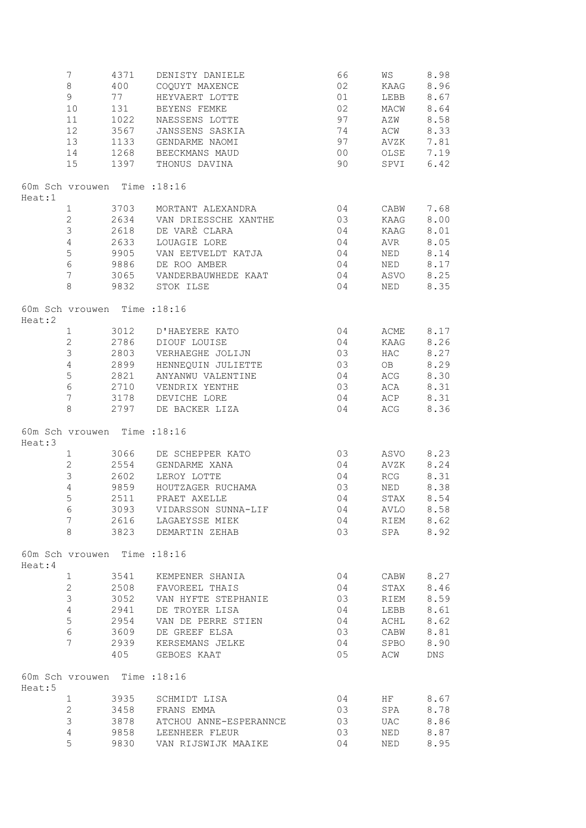|        | 7<br>8                        | 400  | 4371 DENISTY DANIELE<br>COQUYT MAXENCE     | 66<br>02    | WS 8.98<br>KAAG 8.96 |      |
|--------|-------------------------------|------|--------------------------------------------|-------------|----------------------|------|
|        | 9                             | 77   | HEYVAERT LOTTE                             | 01          | LEBB                 | 8.67 |
|        | 10                            | 131  | BEYENS FEMKE                               | 02          | MACW                 | 8.64 |
|        | 11                            | 1022 | NAESSENS LOTTE                             | 97          | AZW                  | 8.58 |
|        | 12                            | 3567 | JANSSENS SASKIA                            | 74          | ACW                  | 8.33 |
|        | 13                            |      | 1133 GENDARME NAOMI                        | 97          | AVZK                 | 7.81 |
|        | 14                            |      | 1268 BEECKMANS MAUD                        | 00          | OLSE                 | 7.19 |
|        | 15                            |      | 1397 THONUS DAVINA                         | 90          | SPVI                 | 6.42 |
|        |                               |      |                                            |             |                      |      |
|        | 60m Sch vrouwen Time : 18:16  |      |                                            |             |                      |      |
| Heat:1 |                               |      |                                            |             |                      |      |
|        | 1                             |      | 3703 MORTANT ALEXANDRA                     | 04          | CABW                 | 7.68 |
|        | 2                             | 2634 | VAN DRIESSCHE XANTHE<br>2618 DE VARÈ CLARA | 03          | KAAG                 | 8.00 |
|        | $\mathsf 3$                   |      |                                            | 04          | KAAG                 | 8.01 |
|        | $\overline{4}$                |      | 2633 LOUAGIE LORE                          | 04          | AVR                  | 8.05 |
|        | $\mathsf S$                   |      | 9905 VAN EETVELDT KATJA                    | 04          | <b>NED</b>           | 8.14 |
|        | $6\,$                         |      | 9886 DE ROO AMBER                          | 04          | NED 8.17             |      |
|        | 7                             |      | 3065 VANDERBAUWHEDE KAAT                   | 04          | ASVO 8.25            |      |
|        | 8                             |      | 9832 STOK ILSE                             | 04 NED 8.35 |                      |      |
| Heat:2 | 60m Sch vrouwen Time : 18:16  |      |                                            |             |                      |      |
|        | $\mathbf{1}$                  |      | 3012 D'HAEYERE KATO                        | 04          | ACME                 | 8.17 |
|        | $\mathbf{2}$                  |      | 2786 DIOUF LOUISE                          | 04          | KAAG                 | 8.26 |
|        | $\mathfrak{Z}$                |      | 2803 VERHAEGHE JOLIJN                      | 03          | HAC                  | 8.27 |
|        | $\overline{4}$                |      | 2899 HENNEQUIN JULIETTE                    | 03          | OB                   | 8.29 |
|        | $\mathsf S$                   |      | 2821 ANYANWU VALENTINE                     | 04          | ACG                  | 8.30 |
|        | $\epsilon$                    |      | 2710 VENDRIX YENTHE                        | 03          | ACA                  | 8.31 |
|        | $7\phantom{.0}$               |      | 3178 DEVICHE LORE                          | 04          | ACP                  | 8.31 |
|        | 8                             |      | 2797 DE BACKER LIZA                        | 04          | ACG                  | 8.36 |
| Heat:3 | 60m Sch vrouwen Time : 18:16  |      |                                            |             |                      |      |
|        | $\mathbf{1}$                  |      | 3066 DE SCHEPPER KATO                      |             | 03 ASVO 8.23         |      |
|        | $\mathbf{2}$                  |      | 2554 GENDARME XANA                         | 04          | AVZK 8.24            |      |
|        |                               |      |                                            |             |                      |      |
|        | $\mathsf 3$<br>$\overline{4}$ |      | 2602 LEROY LOTTE                           | 04          | RCG 8.31             |      |
|        | 5                             |      | 9859 HOUTZAGER RUCHAMA                     | 03          | NED 8.38             |      |
|        |                               |      | 2511 PRAET AXELLE                          | 04          | $STAX$ 8.54          |      |
|        | 6                             |      | 3093 VIDARSSON SUNNA-LIF                   | 04          | AVLO 8.58            |      |
|        | 7                             | 2616 | LAGAEYSSE MIEK<br>3823 DEMARTIN ZEHAB      | 04          | RIEM                 | 8.62 |
|        | 8                             |      |                                            | 03          | SPA                  | 8.92 |
| Heat:4 | 60m Sch vrouwen Time : 18:16  |      |                                            |             |                      |      |
|        | $\mathbf 1$                   |      | 3541 KEMPENER SHANIA                       | 04          | CABW 8.27            |      |
|        | $\overline{2}$                |      | 2508 FAVOREEL THAIS                        | 04          | STAX                 | 8.46 |
|        | $\mathfrak{Z}$                |      | 3052 VAN HYFTE STEPHANIE                   | 03          | RIEM                 | 8.59 |
|        | 4                             | 2941 | DE TROYER LISA                             | 04          | LEBB                 | 8.61 |
|        | 5                             | 2954 | VAN DE PERRE STIEN                         | 04          | ACHL                 | 8.62 |
|        | 6                             | 3609 | DE GREEF ELSA                              | 03          | CABW                 | 8.81 |
|        | 7                             |      | 2939 KERSEMANS JELKE                       | 04          | SPBO                 | 8.90 |
|        |                               |      | 405 GEBOES KAAT                            | 05          | ACW                  | DNS  |
| Heat:5 | 60m Sch vrouwen Time : 18:16  |      |                                            |             |                      |      |
|        | $\mathbf{1}$                  |      | 3935 SCHMIDT LISA                          | 04          | HF                   | 8.67 |
|        | $\mathbf{2}$                  | 3458 | FRANS EMMA                                 | 03          | SPA                  | 8.78 |
|        | $\mathsf 3$                   |      |                                            | 03          |                      |      |
|        |                               | 3878 | ATCHOU ANNE-ESPERANNCE                     |             | UAC                  | 8.86 |
|        | 4                             | 9858 | LEENHEER FLEUR                             | 03          | NED                  | 8.87 |
|        | 5                             |      | 9830 VAN RIJSWIJK MAAIKE                   | 04          | NED                  | 8.95 |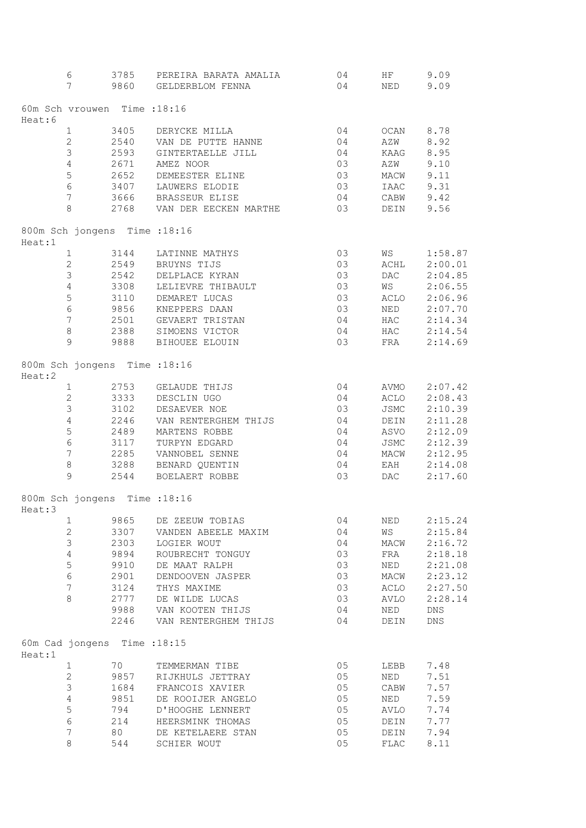|        | 6<br>7           |                               | 3785 PEREIRA BARATA AMALIA 04<br>9860 GELDERBLOM FENNA | 04       | HF<br>NED   | 9.09<br>9.09              |
|--------|------------------|-------------------------------|--------------------------------------------------------|----------|-------------|---------------------------|
|        |                  |                               |                                                        |          |             |                           |
| Heat:6 |                  | 60m Sch vrouwen Time : 18:16  |                                                        |          |             |                           |
|        | $\mathbf{1}$     |                               | 3405 DERYCKE MILLA                                     | 04       | OCAN        | 8.78                      |
|        | $\mathbf{2}$     |                               | 2540 VAN DE PUTTE HANNE                                | 04       | AZW         | 8.92                      |
|        | $\mathfrak{Z}$   |                               | 2593 GINTERTAELLE JILL                                 | 04       | KAAG        | 8.95                      |
|        | $\overline{4}$   |                               | 2671 AMEZ NOOR                                         | 03       | AZW         | 9.10                      |
|        | $\mathsf S$      | 2652                          | DEMEESTER ELINE                                        | 03       | MACW        | 9.11                      |
|        | $\sqrt{6}$       |                               | 3407 LAUWERS ELODIE                                    | 03       | IAAC        | 9.31                      |
|        | $7\phantom{.0}$  |                               | 3666 BRASSEUR ELISE                                    | 04       | CABW        | 9.42                      |
|        | $\,8\,$          |                               | 2768 VAN DER EECKEN MARTHE                             | 03       | DEIN        | 9.56                      |
|        |                  | 800m Sch jongens Time : 18:16 |                                                        |          |             |                           |
| Heat:1 |                  |                               |                                                        |          |             |                           |
|        | $\mathbf{1}$     |                               | 3144 LATINNE MATHYS                                    | 03       | <b>WS</b>   | 1:58.87                   |
|        | $\overline{2}$   |                               | 2549 BRUYNS TIJS                                       | 03       | ACHL        | 2:00.01                   |
|        | $\mathfrak{Z}$   | 2542                          | DELPLACE KYRAN                                         | 03       | DAC         | 2:04.85                   |
|        | $\overline{4}$   | 3308                          | LELIEVRE THIBAULT                                      | 03       | WS          | 2:06.55                   |
|        | $\mathsf S$      | 3110                          | DEMARET LUCAS                                          | 03       | ACLO        | 2:06.96                   |
|        | $\epsilon$       | 9856                          | KNEPPERS DAAN                                          | 03       | NED         | 2:07.70                   |
|        | $\boldsymbol{7}$ | 2501                          | GEVAERT TRISTAN                                        | 04       | HAC         | 2:14.34                   |
|        | $\,8\,$          |                               | 2388 SIMOENS VICTOR                                    | 04       | <b>HAC</b>  | 2:14.54                   |
|        | 9                |                               | 9888 BIHOUEE ELOUIN                                    | 03       | FRA         | 2:14.69                   |
| Heat:2 |                  | 800m Sch jongens Time : 18:16 |                                                        |          |             |                           |
|        | $\mathbf{1}$     |                               | 2753 GELAUDE THIJS                                     | 04       | AVMO        | 2:07.42                   |
|        | $\mathbf{2}$     | 3333                          | DESCLIN UGO                                            | 04       | ACLO        | 2:08.43                   |
|        | $\mathfrak{Z}$   | 3102                          | DESAEVER NOE                                           | 03       | JSMC        | 2:10.39                   |
|        | $\overline{4}$   | 2246                          | VAN RENTERGHEM THIJS                                   | 04       | DEIN        | 2:11.28                   |
|        | $\mathsf S$      | 2489                          | MARTENS ROBBE                                          | 04       | ASVO        | 2:12.09                   |
|        | $\sqrt{6}$       | 3117                          | TURPYN EDGARD                                          | 04       | JSMC        | 2:12.39                   |
|        | $7\phantom{.0}$  |                               | 2285 VANNOBEL SENNE                                    | 04       | MACW        | 2:12.95                   |
|        | $\,8\,$          |                               | 3288 BENARD QUENTIN                                    | 04       | EAH         | 2:14.08                   |
|        | $\overline{9}$   | 2544                          | BOELAERT ROBBE                                         | 03       | <b>DAC</b>  | 2:17.60                   |
|        | Heat:3           | 800m Sch jongens Time : 18:16 |                                                        |          |             |                           |
|        | $\mathbf{1}$     | 9865                          | DE ZEEUW TOBIAS                                        | 04       | NED         | 2:15.24                   |
|        | $\mathbf{2}$     | 3307                          | VANDEN ABEELE MAXIM                                    | 04       | WS          | 2:15.84                   |
|        | $\mathfrak{Z}$   | 2303                          | LOGIER WOUT                                            | 04       | MACW        | 2:16.72                   |
|        | $\sqrt{4}$       | 9894                          | ROUBRECHT TONGUY                                       | 03       | FRA         | 2:18.18                   |
|        | 5                | 9910                          | DE MAAT RALPH                                          | 03       | NED         | 2:21.08                   |
|        | 6                |                               |                                                        |          |             |                           |
|        |                  | 2901                          | DENDOOVEN JASPER                                       | 03       | MACW        | 2:23.12                   |
|        | $7\phantom{.0}$  | 3124                          | THYS MAXIME                                            | 03       | ACLO        | 2:27.50                   |
|        | $\,8\,$          | 2777                          | DE WILDE LUCAS                                         | 03       | AVLO        | 2:28.14                   |
|        |                  | 9988<br>2246                  | VAN KOOTEN THIJS<br>VAN RENTERGHEM THIJS               | 04<br>04 | NED<br>DEIN | $\mathop{\rm DNS}$<br>DNS |
|        |                  | 60m Cad jongens Time : 18:15  |                                                        |          |             |                           |
| Heat:1 | $\mathbf{1}$     | 70                            | TEMMERMAN TIBE                                         | 05       | LEBB        | 7.48                      |
|        | $\mathbf{2}$     | 9857                          | RIJKHULS JETTRAY                                       | 05       | NED         | 7.51                      |
|        | $\mathsf 3$      | 1684                          | FRANCOIS XAVIER                                        | 05       | CABW        | 7.57                      |
|        | $\sqrt{4}$       | 9851                          | DE ROOIJER ANGELO                                      | 05       | NED         | 7.59                      |
|        | 5                | 794                           | D'HOOGHE LENNERT                                       | 05       | AVLO        | 7.74                      |
|        | $\epsilon$       | 214                           | HEERSMINK THOMAS                                       | 05       | DEIN        | 7.77                      |
|        | 7                |                               |                                                        |          |             |                           |
|        |                  | 80                            | DE KETELAERE STAN                                      | 05       | DEIN        | 7.94                      |
|        | 8                | 544                           | SCHIER WOUT                                            | 05       | FLAC        | 8.11                      |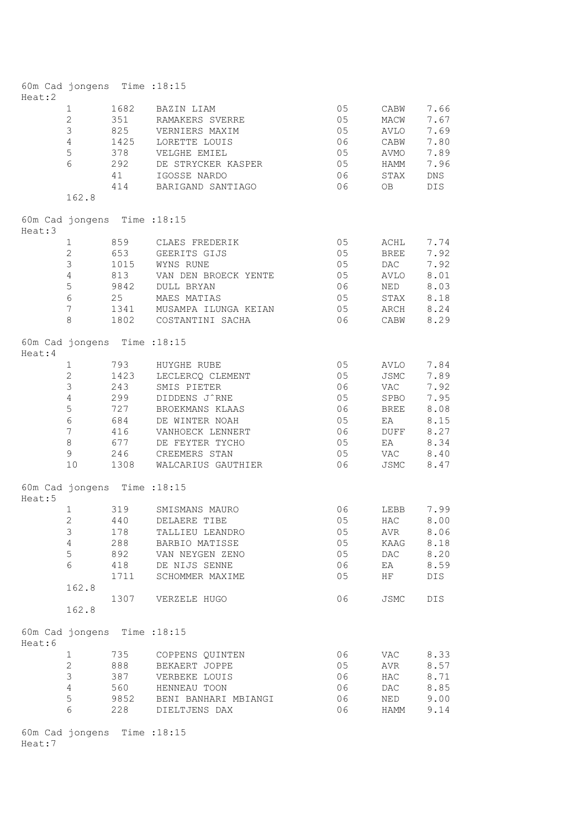| Heat:2 | 60m Cad jongens Time : 18:15 |      |                           |             |                   |      |
|--------|------------------------------|------|---------------------------|-------------|-------------------|------|
|        | $\mathbf{1}$                 |      | 1682 BAZIN LIAM           | 05          | CABW              | 7.66 |
|        | $\overline{2}$               |      | 351 RAMAKERS SVERRE       | 05          | MACW              | 7.67 |
|        | 3                            |      | 825 VERNIERS MAXIM        | 05          | AVLO              | 7.69 |
|        | $\overline{4}$               | 1425 | LORETTE LOUIS             | 06          | CABW              | 7.80 |
|        | 5                            | 378  | VELGHE EMIEL              | 05          | AVMO              | 7.89 |
|        | $6\phantom{.}6$              | 292  | DE STRYCKER KASPER        | 05          | HAMM              | 7.96 |
|        |                              | 41   | IGOSSE NARDO              | 06          | STAX              | DNS  |
|        |                              | 414  | BARIGAND SANTIAGO         | 06          | OB                | DIS  |
|        | 162.8                        |      |                           |             |                   |      |
| Heat:3 | 60m Cad jongens Time : 18:15 |      |                           |             |                   |      |
|        | $\mathbf{1}$                 | 859  | CLAES FREDERIK            | 05          | ACHL 7.74         |      |
|        | $\overline{2}$               | 653  | GEERITS GIJS              | 05          | BREE              | 7.92 |
|        | $\mathfrak{Z}$               | 1015 | WYNS RUNE                 | 05          | DAC               | 7.92 |
|        | $\overline{4}$               | 813  | VAN DEN BROECK YENTE      | 05          | AVLO              | 8.01 |
|        | 5                            | 9842 | <b>DULL BRYAN</b>         | 06          | NED               | 8.03 |
|        | $6\,$                        | 25   | MAES MATIAS               | 05          | STAX 8.18         |      |
|        | $7\phantom{.0}$              |      | 1341 MUSAMPA ILUNGA KEIAN |             |                   |      |
|        | 8                            |      | 1802 COSTANTINI SACHA     | 05<br>06 06 | ARCH 8.24<br>CABW | 8.29 |
|        | 60m Cad jongens Time : 18:15 |      |                           |             |                   |      |
| Heat:4 |                              |      |                           |             |                   |      |
|        | $\mathbf{1}$                 | 793  | HUYGHE RUBE               | 05          | AVLO 7.84         |      |
|        | $\mathbf{2}$                 | 1423 | LECLERCQ CLEMENT          | 05          | JSMC              | 7.89 |
|        | $\mathfrak{Z}$               | 243  | SMIS PIETER               | 06          | <b>VAC</b>        | 7.92 |
|        | $\overline{4}$               | 299  | DIDDENS J^RNE             | 05          | SPB0 7.95         |      |
|        | 5                            | 727  | BROEKMANS KLAAS           | 06 06       | BREE              | 8.08 |
|        | $\epsilon$                   | 684  | DE WINTER NOAH            | 05          | ΕA                | 8.15 |
|        | $7\phantom{.0}$              | 416  | VANHOECK LENNERT          | 06 06       | DUFF 8.27         |      |
|        | 8                            | 677  | DE FEYTER TYCHO           | 05          | EA                | 8.34 |
|        | 9                            | 246  | CREEMERS STAN             | 05          | <b>VAC</b>        | 8.40 |
|        | 10                           | 1308 | WALCARIUS GAUTHIER        | 06          | JSMC              | 8.47 |
|        | 60m Cad jongens Time : 18:15 |      |                           |             |                   |      |
| Heat:5 |                              |      |                           |             |                   |      |
|        | $\mathbf{1}$                 | 319  | SMISMANS MAURO            | 06          | LEBB 7.99         |      |
|        |                              |      | 2 440 DELAERE TIBE        |             | 05 HAC 8.00       |      |
|        | 3                            | 178  | TALLIEU LEANDRO           | 05          | AVR               | 8.06 |
|        | $\overline{4}$               | 288  | BARBIO MATISSE            | 05          | KAAG              | 8.18 |
|        | 5                            | 892  | VAN NEYGEN ZENO           | 05          | DAC               | 8.20 |
|        | $6\,$                        | 418  | DE NIJS SENNE             | 06          | EA                | 8.59 |
|        |                              | 1711 | SCHOMMER MAXIME           | 05          | HF                | DIS  |
|        | 162.8                        |      |                           |             |                   |      |
|        |                              | 1307 | VERZELE HUGO              | 06          | JSMC              | DIS  |
|        | 162.8                        |      |                           |             |                   |      |
| Heat:6 | 60m Cad jongens Time : 18:15 |      |                           |             |                   |      |
|        | $\mathbf{1}$                 | 735  | COPPENS QUINTEN           | 06          | VAC               | 8.33 |
|        | $\overline{2}$               | 888  | BEKAERT JOPPE             | 05          | AVR               | 8.57 |
|        | $\mathfrak{Z}$               | 387  | VERBEKE LOUIS             | 06          | HAC               | 8.71 |
|        | $\overline{4}$               | 560  | HENNEAU TOON              | 06          | DAC               | 8.85 |
|        | 5                            | 9852 | BENI BANHARI MBIANGI      | 06          | NED               | 9.00 |
|        | 6                            | 228  | DIELTJENS DAX             | 06          | HAMM              | 9.14 |
|        |                              |      |                           |             |                   |      |
| Heat:7 | 60m Cad jongens Time : 18:15 |      |                           |             |                   |      |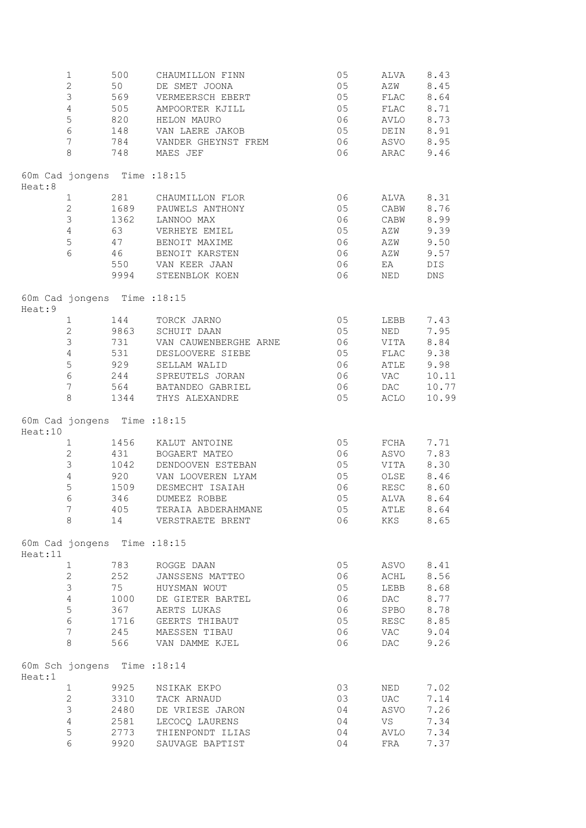|         | $\mathbf 1$<br>$\overline{c}$ | 500<br>50 | CHAUMILLON FINN<br>DE SMET JOONA            | 05<br>05 | ALVA<br>AZW   | 8.43<br>8.45   |
|---------|-------------------------------|-----------|---------------------------------------------|----------|---------------|----------------|
|         | 3                             | 569       | VERMEERSCH EBERT                            | 05       | FLAC          | 8.64           |
|         | $\overline{4}$                | 505       | AMPOORTER KJILL                             | 05       | FLAC          | 8.71           |
|         | 5                             | 820       | HELON MAURO                                 | 06       | AVLO          | 8.73           |
|         | 6                             | 148       | VAN LAERE JAKOB                             | 05       | DEIN          | 8.91           |
|         | $\overline{7}$                | 784       | VANDER GHEYNST FREM                         | 06       | ASVO          | 8.95           |
|         | 8                             | 748       | MAES JEF                                    | 06       | ARAC          | 9.46           |
| Heat:8  | 60m Cad jongens Time : 18:15  |           |                                             |          |               |                |
|         | $1 \quad$                     | 281       | CHAUMILLON FLOR                             | 06       | ALVA          | 8.31           |
|         | $\overline{c}$                | 1689      | PAUWELS ANTHONY                             | 05       | CABW          | 8.76           |
|         | 3                             | 1362      | LANNOO MAX                                  | 06       | CABW          | 8.99           |
|         | $\overline{4}$                | 63        | VERHEYE EMIEL                               | 05       | AZW           | 9.39           |
|         | 5                             | 47        | BENOIT MAXIME                               | 06       | AZW           | 9.50           |
|         | 6                             |           | 46 BENOIT KARSTEN                           | 06       | AZW           | 9.57           |
|         |                               |           | 550 VAN KEER JAAN<br>9994 STEENBLOK KOEN    | 06<br>06 | EA<br>NED     | DIS<br>DNS     |
|         |                               |           |                                             |          |               |                |
| Heat: 9 | 60m Cad jongens Time : 18:15  |           |                                             |          |               |                |
|         | $\mathbf{1}$                  | 144       | TORCK JARNO                                 | 05       | LEBB          | 7.43           |
|         | $\overline{2}$                | 9863      | SCHUIT DAAN                                 | 05       | NED           | 7.95           |
|         | 3                             | 731       | VAN CAUWENBERGHE ARNE                       | 06       | VITA          | 8.84           |
|         | $\overline{4}$                | 531       | DESLOOVERE SIEBE                            | 05       | FLAC          | 9.38           |
|         | 5                             |           | 929 SELLAM WALID                            | 06       | ATLE          | 9.98           |
|         | $6\phantom{.0}$               | 244       | SPREUTELS JORAN                             | 06       | <b>VAC</b>    | 10.11          |
|         | $7\phantom{.}$<br>8           |           | 564 BATANDEO GABRIEL<br>1344 THYS ALEXANDRE | 06<br>05 | <b>DAC</b>    | 10.77<br>10.99 |
|         |                               |           |                                             |          | ACLO          |                |
| Heat:10 | 60m Cad jongens Time : 18:15  |           |                                             |          |               |                |
|         | $\mathbf{1}$                  |           | 1456 KALUT ANTOINE                          | 05       | FCHA          | 7.71           |
|         | $\overline{c}$                | 431       | BOGAERT MATEO                               | 06       | ASVO          | 7.83           |
|         | $\mathfrak{Z}$                | 1042      | DENDOOVEN ESTEBAN                           | 05       | VITA          | 8.30           |
|         | $\overline{4}$                | 920       | VAN LOOVEREN LYAM                           | 05       | OLSE          | 8.46           |
|         | 5                             | 1509      | DESMECHT ISAIAH                             | 06       | RESC 8.60     |                |
|         | $\epsilon$                    | 346       | DUMEEZ ROBBE                                | 05       | ALVA          | 8.64           |
|         | 7                             | 405       | TERAIA ABDERAHMANE                          | 05       | ATLE 8.64     |                |
|         | 8                             | 14        | VERSTRAETE BRENT                            | 06       | KKS           | 8.65           |
| Heat:11 | 60m Cad jongens Time : 18:15  |           |                                             |          |               |                |
|         | 1                             | 783       | ROGGE DAAN                                  | 05       | ASVO          | 8.41           |
|         | $\overline{2}$                | 252       | JANSSENS MATTEO                             | 06       | ACHL          | 8.56           |
|         | 3                             | 75        | HUYSMAN WOUT                                | 05       | LEBB          | 8.68           |
|         | $\overline{4}$                | 1000      | DE GIETER BARTEL                            | 06       | DAC           | 8.77           |
|         | 5                             | 367       | AERTS LUKAS                                 | 06       | SPBO          | 8.78           |
|         | 6                             | 1716      | GEERTS THIBAUT                              | 05       | RESC          | 8.85           |
|         | 7                             | 245       | MAESSEN TIBAU                               | 06       | VAC           | 9.04           |
|         | 8                             | 566       | VAN DAMME KJEL                              | 06       | DAC           | 9.26           |
| Heat:1  | 60m Sch jongens Time : 18:14  |           |                                             |          |               |                |
|         | $\mathbf{1}$                  | 9925      | NSIKAK EKPO                                 | 03       | NED           | 7.02           |
|         | $\overline{2}$                | 3310      | TACK ARNAUD                                 | 03       | UAC           | 7.14           |
|         | 3                             | 2480      | DE VRIESE JARON                             | 04       | ASVO          | 7.26           |
|         | $\overline{4}$                | 2581      | LECOCQ LAURENS                              | 04       | VS            | 7.34           |
|         | 5                             | 2773      | THIENPONDT ILIAS                            | 04       | $\hbox{AVLO}$ | 7.34           |
|         | 6                             | 9920      | SAUVAGE BAPTIST                             | 04       | FRA           | 7.37           |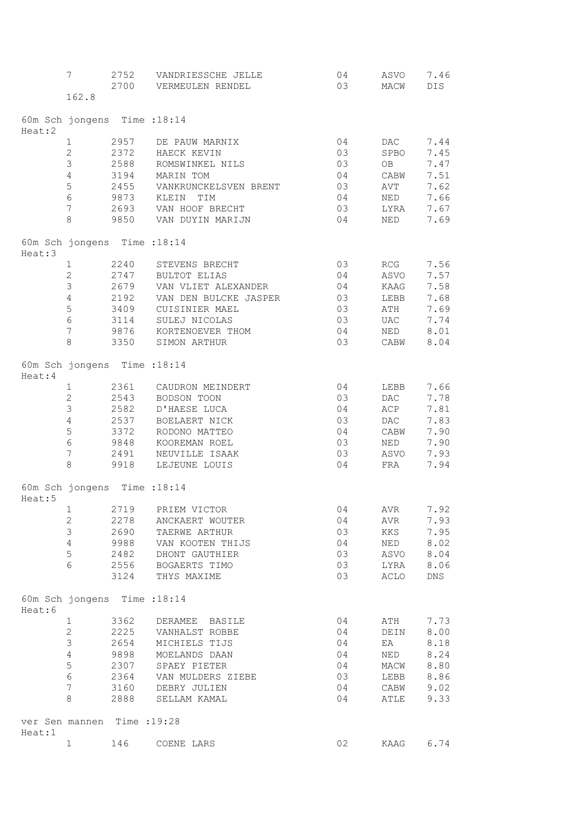|        | $7\phantom{.0}$              | 2700 | 2752 VANDRIESSCHE JELLE<br>VERMEULEN RENDEL | 04<br>03 | ASVO<br>MACW | 7.46<br>DIS |
|--------|------------------------------|------|---------------------------------------------|----------|--------------|-------------|
|        | 162.8                        |      |                                             |          |              |             |
| Heat:2 | 60m Sch jongens Time : 18:14 |      |                                             |          |              |             |
|        | $\mathbf{1}$                 | 2957 | DE PAUW MARNIX                              | 04       | DAC          | 7.44        |
|        | $\overline{2}$               |      | 2372 HAECK KEVIN                            | 03       | SPBO         | 7.45        |
|        | 3                            | 2588 | ROMSWINKEL NILS                             | 03       | OB           | 7.47        |
|        | $\overline{4}$               | 3194 | MARIN TOM                                   | 04       | CABW         | 7.51        |
|        | 5                            | 2455 | VANKRUNCKELSVEN BRENT                       | 03       | AVT          | 7.62        |
|        | $6\,$                        | 9873 | KLEIN<br>TIM                                | 04       | NED          | 7.66        |
|        | $7\phantom{.}$               |      | 2693 VAN HOOF BRECHT                        | 03       | LYRA         | 7.67        |
|        | 8                            |      | 9850 VAN DUYIN MARIJN                       | 04       | NED          | 7.69        |
| Heat:3 | 60m Sch jongens Time : 18:14 |      |                                             |          |              |             |
|        | $\mathbf{1}$                 |      | 2240 STEVENS BRECHT                         | 03       | RCG          | 7.56        |
|        | $\overline{2}$               |      | 2747 BULTOT ELIAS                           | 04       | ASVO         | 7.57        |
|        | $\mathfrak{Z}$               | 2679 | VAN VLIET ALEXANDER                         | 04       | KAAG         | 7.58        |
|        | $\overline{4}$               | 2192 | VAN DEN BULCKE JASPER                       | 03       | LEBB         | 7.68        |
|        | 5                            | 3409 | CUISINIER MAEL                              | 03       | ATH          | 7.69        |
|        | $6\phantom{.}$               | 3114 | SULEJ NICOLAS                               | 03       | UAC          | 7.74        |
|        | 7                            | 9876 | KORTENOEVER THOM                            | 04       | NED          | 8.01        |
|        | 8                            |      | 3350 SIMON ARTHUR                           | 03       | CABW         | 8.04        |
| Heat:4 | 60m Sch jongens Time : 18:14 |      |                                             |          |              |             |
|        | $\mathbf{1}$                 |      | 2361 CAUDRON MEINDERT                       | 04       | LEBB         | 7.66        |
|        | $\overline{2}$               | 2543 | BODSON TOON                                 | 03       | DAC          | 7.78        |
|        | 3                            | 2582 | D'HAESE LUCA                                | 04       | ACP          | 7.81        |
|        | $\overline{4}$               | 2537 | BOELAERT NICK                               | 03       | DAC          | 7.83        |
|        | 5                            | 3372 | RODONO MATTEO                               | 04       | CABW         | 7.90        |
|        | 6                            | 9848 | KOOREMAN ROEL                               | 03       | NED          | 7.90        |
|        | $\overline{7}$               | 2491 | NEUVILLE ISAAK                              | 03       | ASVO         | 7.93        |
|        | 8                            | 9918 | LEJEUNE LOUIS                               | 04       | FRA          | 7.94        |
| Heat:5 | 60m Sch jongens Time : 18:14 |      |                                             |          |              |             |
|        |                              |      | 2719 PRIEM VICTOR                           | 04       | AVR          | 7.92        |
|        | 2                            | 2278 | ANCKAERT WOUTER                             | 04       | AVR          | 7.93        |
|        | 3                            |      | 2690 TAERWE ARTHUR                          | 03       | KKS          | 7.95        |
|        | 4                            | 9988 | VAN KOOTEN THIJS                            | 04       | NED          | 8.02        |
|        | 5                            |      | 2482 DHONT GAUTHIER                         | 03       | ASVO         | 8.04        |
|        | 6                            | 2556 | BOGAERTS TIMO                               | 03       | LYRA         | 8.06        |
|        |                              | 3124 | THYS MAXIME                                 | 03       | ACLO         | DNS         |
| Heat:6 | 60m Sch jongens Time : 18:14 |      |                                             |          |              |             |
|        | $\mathbf{1}$                 | 3362 | DERAMEE BASILE                              | 04       | ATH          | 7.73        |
|        | $\mathbf{2}^{\prime}$        |      | 2225 VANHALST ROBBE                         | 04       | DEIN         | 8.00        |
|        | 3                            | 2654 | MICHIELS TIJS                               | 04       | EA           | 8.18        |
|        | 4                            | 9898 | MOELANDS DAAN                               | 04       | NED          | 8.24        |
|        | 5                            |      | 2307 SPAEY PIETER                           | 04       | MACW         | 8.80        |
|        | 6                            | 2364 | VAN MULDERS ZIEBE                           | 03       | LEBB         | 8.86        |
|        | 7                            |      | 3160 DEBRY JULIEN                           | 04       | CABW         | 9.02        |
|        | 8                            | 2888 | SELLAM KAMAL                                | 04       | ATLE         | 9.33        |
| Heat:1 | ver Sen mannen Time : 19:28  |      |                                             |          |              |             |
|        | 1                            | 146  | COENE LARS                                  | 02       | KAAG         | 6.74        |
|        |                              |      |                                             |          |              |             |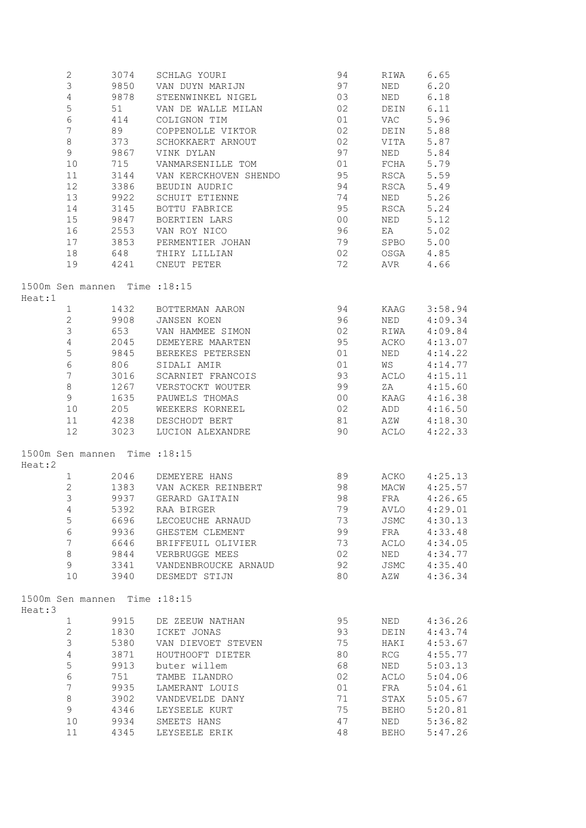|        | $\mathbf{2}$    | 3074                          | SCHLAG YOURI                                       | 94 | RIWA | 6.65         |
|--------|-----------------|-------------------------------|----------------------------------------------------|----|------|--------------|
|        | 3               | 9850                          | VAN DUYN MARIJN                                    | 97 | NED  | 6.20         |
|        | $\overline{4}$  | 9878                          | STEENWINKEL NIGEL                                  | 03 | NED  | 6.18         |
|        | $\mathsf S$     | 51                            | VAN DE WALLE MILAN                                 | 02 | DEIN | 6.11         |
|        | 6               | 414                           | COLIGNON TIM                                       | 01 | VAC  | 5.96         |
|        | 7               |                               |                                                    | 02 |      |              |
|        |                 | 89                            | COPPENOLLE VIKTOR                                  |    | DEIN | 5.88         |
|        | 8               | 373                           | SCHOKKAERT ARNOUT                                  | 02 | VITA | 5.87         |
|        | 9               | 9867                          | VINK DYLAN                                         | 97 | NED  | 5.84         |
|        | 10              | 715                           | VANMARSENILLE TOM                                  | 01 | FCHA | 5.79         |
|        | 11              | 3144                          | VAN KERCKHOVEN SHENDO                              | 95 | RSCA | 5.59         |
|        | 12              | 3386                          | BEUDIN AUDRIC                                      | 94 | RSCA | 5.49         |
|        | 13              | 9922                          | SCHUIT ETIENNE                                     | 74 | NED  | 5.26         |
|        | 14              | 3145                          | BOTTU FABRICE                                      | 95 | RSCA | 5.24         |
|        | 15              | 9847                          | BOERTIEN LARS                                      | 00 | NED  | 5.12         |
|        | 16              | 2553                          | VAN ROY NICO                                       | 96 | EA   | 5.02         |
|        | 17              | 3853                          | PERMENTIER JOHAN                                   | 79 | SPBO | 5.00         |
|        | 18              | 648 — 10                      | THIRY LILLIAN                                      | 02 | OSGA | 4.85         |
|        |                 |                               |                                                    |    |      |              |
|        | 19              |                               | 4241 CNEUT PETER                                   | 72 | AVR  | 4.66         |
|        |                 | 1500m Sen mannen Time : 18:15 |                                                    |    |      |              |
| Heat:1 |                 |                               |                                                    |    |      |              |
|        | $\mathbf{1}$    |                               | 1432 BOTTERMAN AARON                               | 94 | KAAG | 3:58.94      |
|        | $\overline{2}$  |                               | 9908 JANSEN KOEN                                   | 96 | NED  | 4:09.34      |
|        | 3               | 653                           | VAN HAMMEE SIMON                                   | 02 | RIWA | 4:09.84      |
|        | $\overline{4}$  | 2045                          | DEMEYERE MAARTEN                                   | 95 | ACKO | 4:13.07      |
|        | $\mathsf S$     | 9845                          | BEREKES PETERSEN                                   | 01 | NED  | 4:14.22      |
|        | $6\phantom{a}$  |                               |                                                    |    |      |              |
|        |                 | 806                           | SIDALI AMIR                                        | 01 | WS   | 4:14.77      |
|        | $7\phantom{.0}$ | 3016                          | SCARNIET FRANCOIS                                  | 93 | ACLO | 4:15.11      |
|        | 8               | 1267                          | VERSTOCKT WOUTER                                   | 99 | ZA   | 4:15.60      |
|        | 9               | 1635                          | PAUWELS THOMAS                                     | 00 | KAAG | 4:16.38      |
|        | 10              | 205                           | WEEKERS KORNEEL                                    | 02 | ADD  | 4:16.50      |
|        | 11              |                               | 4238 DESCHODT BERT                                 | 81 | AZW  | 4:18.30      |
|        | 12              |                               | 3023 LUCION ALEXANDRE                              | 90 | ACLO | 4:22.33      |
|        |                 |                               |                                                    |    |      |              |
| Heat:2 |                 | 1500m Sen mannen Time : 18:15 |                                                    |    |      |              |
|        |                 |                               |                                                    |    |      |              |
|        | $\mathbf{1}$    |                               | 2046 DEMEYERE HANS                                 | 89 | ACKO | 4:25.13      |
|        | $\mathbf{2}$    |                               | 1383 - VAN ACKER REINBERT<br>9937 - GERARD GAITAIN | 98 | MACW | 4:25.57      |
|        | 3               | 9937                          | GERARD GAITAIN                                     | 98 | FRA  | 4:26.65      |
|        | $4\overline{ }$ |                               | 5392 RAA BIRGER                                    | 79 |      | AVLO 4:29.01 |
|        | 5               | 6696                          | LECOEUCHE ARNAUD                                   | 73 | JSMC | 4:30.13      |
|        | 6               | 9936                          | GHESTEM CLEMENT                                    | 99 | FRA  | 4:33.48      |
|        | 7               | 6646                          | BRIFFEUIL OLIVIER                                  | 73 | ACLO | 4:34.05      |
|        | 8               | 9844                          | VERBRUGGE MEES                                     | 02 | NED  | 4:34.77      |
|        | 9               |                               | 3341 VANDENBROUCKE ARNAUD                          | 92 | JSMC | 4:35.40      |
|        | 10              |                               | 3940 DESMEDT STIJN                                 | 80 | AZW  | 4:36.34      |
|        |                 |                               |                                                    |    |      |              |
|        |                 | 1500m Sen mannen Time : 18:15 |                                                    |    |      |              |
| Heat:3 |                 |                               |                                                    |    |      |              |
|        | $\mathbf{1}$    |                               | 9915 DE ZEEUW NATHAN                               | 95 | NED  | 4:36.26      |
|        | $\overline{2}$  |                               | 1830 ICKET JONAS                                   | 93 | DEIN | 4:43.74      |
|        | 3               | 5380                          | VAN DIEVOET STEVEN                                 | 75 | HAKI | 4:53.67      |
|        | 4               | 3871                          | HOUTHOOFT DIETER                                   | 80 | RCG  | 4:55.77      |
|        | 5               | 9913                          | buter willem                                       | 68 | NED  | 5:03.13      |
|        | $6\phantom{.}$  | 751                           | TAMBE ILANDRO                                      | 02 | ACLO | 5:04.06      |
|        | $\overline{7}$  | 9935                          | LAMERANT LOUIS                                     | 01 | FRA  | 5:04.61      |
|        | 8               | 3902                          | VANDEVELDE DANY                                    | 71 | STAX | 5:05.67      |
|        | 9               | 4346                          | LEYSEELE KURT                                      | 75 | BEHO | 5:20.81      |
|        | 10              | 9934                          | SMEETS HANS                                        | 47 | NED  | 5:36.82      |
|        | 11              |                               | 4345 LEYSEELE ERIK                                 | 48 | BEHO | 5:47.26      |
|        |                 |                               |                                                    |    |      |              |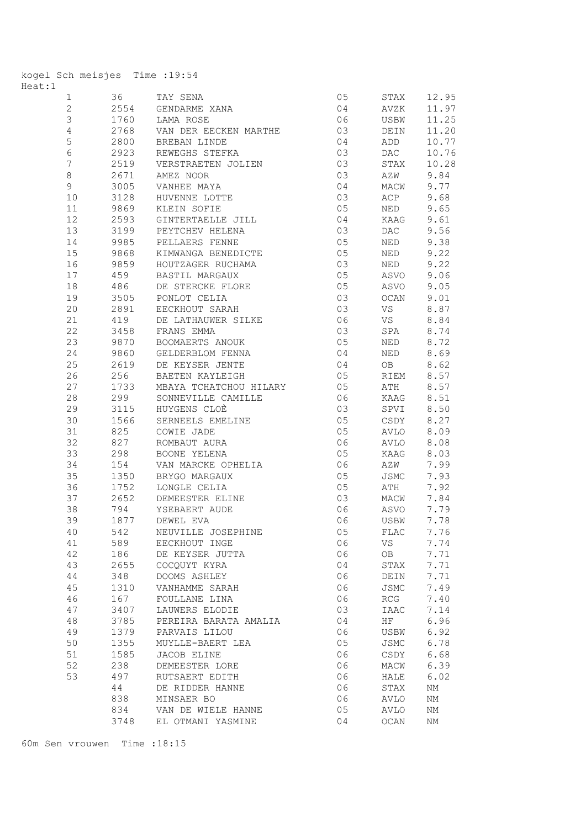| kogel Sch meisjes Time : 19:54<br>Heat:1 |              |                                        |    |      |       |
|------------------------------------------|--------------|----------------------------------------|----|------|-------|
| 1                                        | 36           | TAY SENA                               | 05 | STAX | 12.95 |
| $\overline{c}$                           | 2554         | GENDARME XANA                          | 04 | AVZK | 11.97 |
| 3                                        | 1760         | LAMA ROSE                              | 06 | USBW | 11.25 |
| $\sqrt{4}$                               | 2768         | VAN DER EECKEN MARTHE                  | 03 | DEIN | 11.20 |
| $\mathsf S$                              | 2800         | BREBAN LINDE                           | 04 | ADD  | 10.77 |
| $\epsilon$                               | 2923         | REWEGHS STEFKA                         | 03 | DAC  | 10.76 |
| $\boldsymbol{7}$                         | 2519         | VERSTRAETEN JOLIEN                     | 03 | STAX | 10.28 |
| $\,8\,$                                  | 2671         | AMEZ NOOR                              | 03 | AZW  | 9.84  |
| 9                                        | 3005         | VANHEE MAYA                            | 04 | MACW | 9.77  |
| 10                                       | 3128         | HUVENNE LOTTE                          | 03 | ACP  | 9.68  |
| 11                                       | 9869         | KLEIN SOFIE                            | 05 | NED  | 9.65  |
| 12                                       | 2593         | GINTERTAELLE JILL                      | 04 | KAAG | 9.61  |
| 13                                       | 3199         | PEYTCHEV HELENA                        | 03 | DAC  | 9.56  |
| 14                                       | 9985         | PELLAERS FENNE                         | 05 | NED  | 9.38  |
| 15                                       | 9868         | KIMWANGA BENEDICTE                     | 05 | NED  | 9.22  |
| 16                                       | 9859         | HOUTZAGER RUCHAMA                      | 03 | NED  | 9.22  |
| 17                                       | 459          | BASTIL MARGAUX                         | 05 | ASVO | 9.06  |
| 18                                       | 486          | DE STERCKE FLORE                       | 05 | ASVO | 9.05  |
| 19                                       | 3505         | PONLOT CELIA                           | 03 | OCAN | 9.01  |
| 20                                       | 2891         | EECKHOUT SARAH                         | 03 | VS   | 8.87  |
| 21                                       | 419          | DE LATHAUWER SILKE                     | 06 | VS   | 8.84  |
| 22                                       | 3458         | FRANS EMMA                             | 03 | SPA  | 8.74  |
| 23                                       | 9870         | BOOMAERTS ANOUK                        | 05 | NED  | 8.72  |
| 24                                       | 9860         | GELDERBLOM FENNA                       | 04 | NED  | 8.69  |
| 25                                       | 2619         | DE KEYSER JENTE                        | 04 | OB   | 8.62  |
| 26                                       | 256          | BAETEN KAYLEIGH                        | 05 | RIEM | 8.57  |
| 27                                       | 1733         | MBAYA TCHATCHOU HILARY                 | 05 | ATH  | 8.57  |
| 28                                       | 299          | SONNEVILLE CAMILLE                     | 06 | KAAG | 8.51  |
| 29                                       | 3115         | HUYGENS CLOÈ                           | 03 | SPVI | 8.50  |
| 30                                       | 1566         | SERNEELS EMELINE                       | 05 | CSDY | 8.27  |
| 31                                       | 825          | COWIE JADE                             | 05 | AVLO | 8.09  |
| 32                                       | 827          | ROMBAUT AURA                           | 06 | AVLO | 8.08  |
| 33                                       | 298          | BOONE YELENA                           | 05 | KAAG | 8.03  |
| 34                                       | 154          | VAN MARCKE OPHELIA                     | 06 | AZW  | 7.99  |
| 35                                       | 1350         | BRYGO MARGAUX                          | 05 | JSMC | 7.93  |
| 36                                       | 1752         | LONGLE CELIA                           | 05 | ATH  | 7.92  |
| 37                                       | 2652         | DEMEESTER ELINE                        | 03 | MACW | 7.84  |
| 38                                       | 794          | YSEBAERT AUDE                          | 06 | ASVO | 7.79  |
| 39                                       | 1877         | DEWEL EVA                              | 06 | USBW | 7.78  |
| 40                                       | 542          | NEUVILLE JOSEPHINE                     | 05 | FLAC | 7.76  |
| 41                                       | 589          | EECKHOUT INGE                          | 06 | VS   | 7.74  |
| 42                                       | 186          | DE KEYSER JUTTA                        | 06 | OB   | 7.71  |
| 43                                       | 2655         | COCQUYT KYRA                           | 04 | STAX | 7.71  |
| 44                                       | 348          | DOOMS ASHLEY                           | 06 | DEIN | 7.71  |
| 45                                       | 1310         | VANHAMME SARAH                         | 06 | JSMC | 7.49  |
| 46                                       | 167          | FOULLANE LINA                          | 06 | RCG  | 7.40  |
| 47                                       | 3407         | LAUWERS ELODIE                         | 03 | IAAC | 7.14  |
| 48                                       |              |                                        | 04 |      |       |
| 49                                       | 3785<br>1379 | PEREIRA BARATA AMALIA<br>PARVAIS LILOU |    | ΗF   | 6.96  |
|                                          |              |                                        | 06 | USBW | 6.92  |
| 50                                       | 1355         | MUYLLE-BAERT LEA                       | 05 | JSMC | 6.78  |
| 51                                       | 1585         | JACOB ELINE                            | 06 | CSDY | 6.68  |
| 52                                       | 238          | DEMEESTER LORE                         | 06 | MACW | 6.39  |
| 53                                       | 497          | RUTSAERT EDITH                         | 06 | HALE | 6.02  |
|                                          | 44           | DE RIDDER HANNE                        | 06 | STAX | NΜ    |
|                                          | 838          | MINSAER BO                             | 06 | AVLO | ΝM    |
|                                          | 834          | VAN DE WIELE HANNE                     | 05 | AVLO | NΜ    |
|                                          | 3748         | EL OTMANI YASMINE                      | 04 | OCAN | ΝM    |

60m Sen vrouwen Time :18:15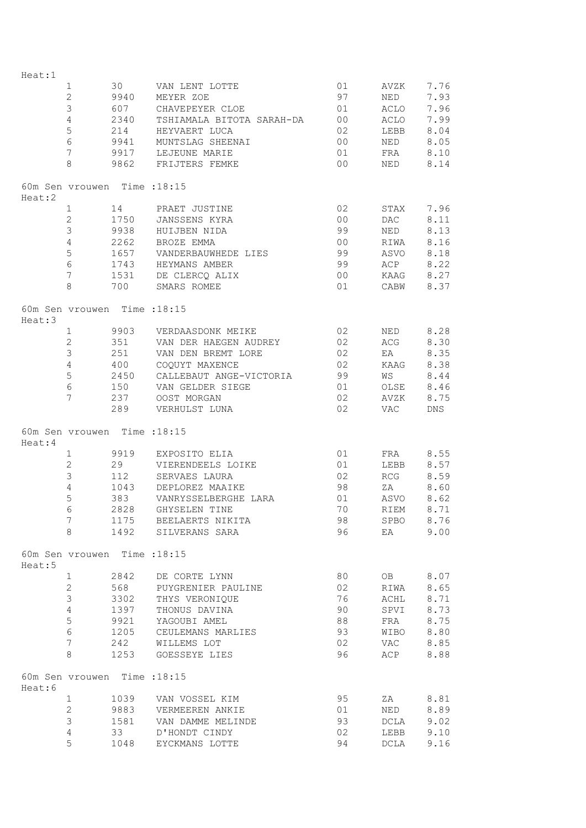| Heat:1 |                              |            |                                         |                 |             |              |
|--------|------------------------------|------------|-----------------------------------------|-----------------|-------------|--------------|
|        | $\mathbf{1}$                 | 30         | VAN LENT LOTTE                          | 01              | AVZK        | 7.76         |
|        | $\overline{2}$               | 9940       | MEYER ZOE                               | 97              | NED         | 7.93         |
|        | 3                            | 607        | CHAVEPEYER CLOE                         | 01              | ACLO        | 7.96         |
|        | $\overline{4}$               | 2340       | TSHIAMALA BITOTA SARAH-DA               | 00              | ACLO        | 7.99         |
|        | 5                            | 214        | HEYVAERT LUCA                           | 02              | LEBB        | 8.04         |
|        | 6                            | 9941       | MUNTSLAG SHEENAI                        | 0 <sub>0</sub>  | NED         | 8.05         |
|        | 7                            |            | 9917 LEJEUNE MARIE                      | 01              | FRA         | 8.10         |
|        | 8                            |            | 9862 FRIJTERS FEMKE                     | 0 <sub>0</sub>  | NED         | 8.14         |
| Heat:2 | 60m Sen vrouwen Time : 18:15 |            |                                         |                 |             |              |
|        | 1                            | 14         | PRAET JUSTINE                           | 02              | STAX        | 7.96         |
|        | $\overline{2}$               | 1750       | JANSSENS KYRA                           | 0 <sub>0</sub>  | DAC         | 8.11         |
|        | 3                            | 9938       | HUIJBEN NIDA                            | 99              | NED         | 8.13         |
|        | $\overline{4}$               | 2262       | BROZE EMMA                              | 00 <sup>o</sup> | RIWA        | 8.16         |
|        | 5                            |            | 1657 VANDERBAUWHEDE LIES                | 99              | ASVO        | 8.18         |
|        | 6                            |            | 1743 HEYMANS AMBER                      | 99              | ACP         | 8.22         |
|        | $7\phantom{.0}$              |            | 1531 DE CLERCQ ALIX                     | 0 <sup>0</sup>  | KAAG        | 8.27         |
|        | 8                            |            | 700 SMARS ROMEE                         | 01              | CABW        | 8.37         |
| Heat:3 | 60m Sen vrouwen Time : 18:15 |            |                                         |                 |             |              |
|        | $\mathbf{1}$                 | 9903       | VERDAASDONK MEIKE                       | 02              | NED         | 8.28         |
|        | $\overline{2}$               | 351        | VAN DER HAEGEN AUDREY                   | 02              | ACG         | 8.30         |
|        | 3                            | 251        |                                         | 02              |             |              |
|        |                              |            | VAN DEN BREMT LORE                      |                 | EA          | 8.35         |
|        | $\overline{4}$               | 400        | COQUYT MAXENCE                          | 02              | KAAG        | 8.38         |
|        | 5                            | 2450       | CALLEBAUT ANGE-VICTORIA 99              |                 | WS          | 8.44         |
|        | $6\phantom{.}6$              | 150        | VAN GELDER SIEGE                        | 01              | OLSE        | 8.46         |
|        | 7                            | 237<br>289 | OOST MORGAN<br>VERHULST LUNA            | 02<br>02        | AVZK<br>VAC | 8.75<br>DNS  |
| Heat:4 | 60m Sen vrouwen Time : 18:15 |            |                                         |                 |             |              |
|        | $\mathbf{1}$                 |            | 9919 EXPOSITO ELIA                      | 01              | FRA 8.55    |              |
|        | $\overline{2}$               | 29         | VIERENDEELS LOIKE                       | 01              | LEBB        | 8.57         |
|        | $\mathfrak{Z}$               | 112        | SERVAES LAURA                           | 02              | RCG         | 8.59         |
|        | $\overline{4}$               |            | 1043 DEPLOREZ MAAIKE                    | 98              | ZA          | 8.60         |
|        | 5                            | 383        | VANRYSSELBERGHE LARA                    | 01              | ASVO        | 8.62         |
|        | 6                            | 2828       | GHYSELEN TINE                           | 70              | RIEM        | 8.71         |
|        |                              |            |                                         |                 |             |              |
|        | 7<br>$8\,$                   | 1175       | BEELAERTS NIKITA<br>1492 SILVERANS SARA | 98<br>96        | SPBO<br>EA  | 8.76<br>9.00 |
|        | 60m Sen vrouwen Time : 18:15 |            |                                         |                 |             |              |
| Heat:5 |                              |            |                                         |                 |             |              |
|        | $\mathbf{1}$                 | 2842       | DE CORTE LYNN                           | 80              | OB          | 8.07         |
|        | $\overline{2}$               | 568        | PUYGRENIER PAULINE                      | 02              | RIWA        | 8.65         |
|        | 3                            | 3302       | THYS VERONIOUE                          | 76              | ACHL        | 8.71         |
|        | $\overline{4}$               | 1397       | THONUS DAVINA                           | 90              | SPVI        | 8.73         |
|        | 5                            | 9921       | YAGOUBI AMEL                            | 88              | FRA         | 8.75         |
|        | $\epsilon$                   | 1205       | CEULEMANS MARLIES                       | 93              | WIBO        | 8.80         |
|        | 7                            | 242        | WILLEMS LOT                             | 02              | VAC         | 8.85         |
|        | 8                            | 1253       | GOESSEYE LIES                           | 96              | ACP         | 8.88         |
| Heat:6 | 60m Sen vrouwen Time : 18:15 |            |                                         |                 |             |              |
|        | $\mathbf 1$                  |            | 1039 VAN VOSSEL KIM                     | 95              | ΖA          | 8.81         |
|        | $\overline{2}$               | 9883       | VERMEEREN ANKIE                         | 01              | NED         | 8.89         |
|        | 3                            | 1581       | VAN DAMME MELINDE                       | 93              | DCLA        | 9.02         |
|        | $\overline{4}$               | 33         | D'HONDT CINDY                           | 02              | LEBB        | 9.10         |
|        | 5                            | 1048       | EYCKMANS LOTTE                          | 94              | DCLA        | 9.16         |
|        |                              |            |                                         |                 |             |              |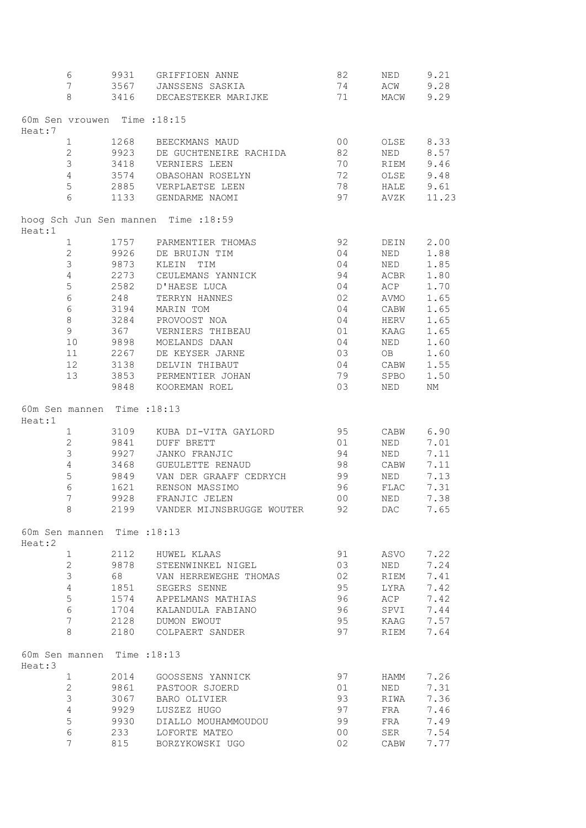|        | 6                            | 9931 | GRIFFIOEN ANNE                       | 82             | NED  | 9.21  |
|--------|------------------------------|------|--------------------------------------|----------------|------|-------|
|        | $\boldsymbol{7}$             | 3567 | JANSSENS SASKIA                      | 74             | ACW  | 9.28  |
|        | 8                            | 3416 | DECAESTEKER MARIJKE                  | 71             | MACW | 9.29  |
| Heat:7 | 60m Sen vrouwen Time : 18:15 |      |                                      |                |      |       |
|        | 1                            | 1268 | BEECKMANS MAUD                       | 0 <sub>0</sub> | OLSE | 8.33  |
|        | $\overline{c}$               | 9923 | DE GUCHTENEIRE RACHIDA               | 82             | NED  | 8.57  |
|        | 3                            | 3418 | VERNIERS LEEN                        | 70             | RIEM | 9.46  |
|        | $\overline{4}$               | 3574 | OBASOHAN ROSELYN                     | 72             | OLSE | 9.48  |
|        | $\mathsf S$                  | 2885 | VERPLAETSE LEEN                      | 78             | HALE | 9.61  |
|        | 6                            | 1133 | GENDARME NAOMI                       | 97             | AVZK | 11.23 |
| Heat:1 |                              |      | hoog Sch Jun Sen mannen Time : 18:59 |                |      |       |
|        | $\mathbf{1}$                 |      | 1757 PARMENTIER THOMAS               | 92             | DEIN | 2.00  |
|        | $\overline{c}$               | 9926 | DE BRUIJN TIM                        | 04             | NED  | 1.88  |
|        | 3                            | 9873 | KLEIN<br>TIM                         | 04             | NED  | 1.85  |
|        | $\overline{4}$               | 2273 | CEULEMANS YANNICK                    | 94             | ACBR | 1.80  |
|        | 5                            | 2582 | D'HAESE LUCA                         | 04             | ACP  | 1.70  |
|        | $\epsilon$                   | 248  | TERRYN HANNES                        | 02             | AVMO | 1.65  |
|        | $\epsilon$                   | 3194 | MARIN TOM                            | 04             | CABW | 1.65  |
|        | $\,8\,$                      | 3284 | PROVOOST NOA                         | 04             | HERV | 1.65  |
|        | 9                            | 367  | VERNIERS THIBEAU                     | 01             | KAAG | 1.65  |
|        | 10                           | 9898 | MOELANDS DAAN                        | 04             | NED  | 1.60  |
|        | 11                           | 2267 | DE KEYSER JARNE                      | 03             | OB   | 1.60  |
|        | 12                           | 3138 | DELVIN THIBAUT                       | 04             | CABW | 1.55  |
|        | 13                           | 3853 | PERMENTIER JOHAN                     | 79             | SPBO | 1.50  |
|        |                              | 9848 | KOOREMAN ROEL                        | 03             | NED  | NΜ    |
| Heat:1 | 60m Sen mannen Time : 18:13  |      |                                      |                |      |       |
|        | 1                            |      | 3109 KUBA DI-VITA GAYLORD            | 95             | CABW | 6.90  |
|        | $\overline{c}$               | 9841 | <b>DUFF BRETT</b>                    | 01             | NED  | 7.01  |
|        | 3                            | 9927 | JANKO FRANJIC                        | 94             | NED  | 7.11  |
|        | $\overline{4}$               | 3468 | GUEULETTE RENAUD                     | 98             | CABW | 7.11  |
|        | 5                            | 9849 | VAN DER GRAAFF CEDRYCH               | 99             | NED  | 7.13  |
|        | $\epsilon$                   | 1621 | RENSON MASSIMO                       | 96             | FLAC | 7.31  |
|        | $\overline{7}$               | 9928 | FRANJIC JELEN                        | 0 <sub>0</sub> | NED  | 7.38  |
|        | 8                            |      | 2199 VANDER MIJNSBRUGGE WOUTER       | 92             | DAC  | 7.65  |
| Heat:2 | 60m Sen mannen Time : 18:13  |      |                                      |                |      |       |
|        | $\mathbf 1$                  |      | 2112 HUWEL KLAAS                     | 91             | ASVO | 7.22  |
|        | $\mathbf{2}$                 | 9878 | STEENWINKEL NIGEL                    | 03             | NED  | 7.24  |
|        | $\mathfrak{Z}$               | 68   | VAN HERREWEGHE THOMAS                | 02             | RIEM | 7.41  |
|        | $\overline{4}$               | 1851 | SEGERS SENNE                         | 95             | LYRA | 7.42  |
|        | 5                            | 1574 | APPELMANS MATHIAS                    | 96             | ACP  | 7.42  |
|        | 6                            | 1704 | KALANDULA FABIANO                    | 96             | SPVI | 7.44  |
|        | 7                            |      | 2128 DUMON EWOUT                     | 95             | KAAG | 7.57  |
|        | 8                            |      | 2180 COLPAERT SANDER                 | 97             | RIEM | 7.64  |
| Heat:3 | 60m Sen mannen Time : 18:13  |      |                                      |                |      |       |
|        | $\mathbf{1}$                 | 2014 | GOOSSENS YANNICK                     | 97             | HAMM | 7.26  |
|        | $\mathbf{2}$                 | 9861 | PASTOOR SJOERD                       | 01             | NED  | 7.31  |
|        | 3                            | 3067 | BARO OLIVIER                         | 93             | RIWA | 7.36  |
|        | 4                            | 9929 | LUSZEZ HUGO                          | 97             | FRA  | 7.46  |
|        | $\mathsf S$                  | 9930 | DIALLO MOUHAMMOUDOU                  | 99             | FRA  | 7.49  |
|        | 6                            | 233  | LOFORTE MATEO                        | 0 <sup>0</sup> | SER  | 7.54  |
|        | 7                            | 815  | BORZYKOWSKI UGO                      | 02             | CABW | 7.77  |
|        |                              |      |                                      |                |      |       |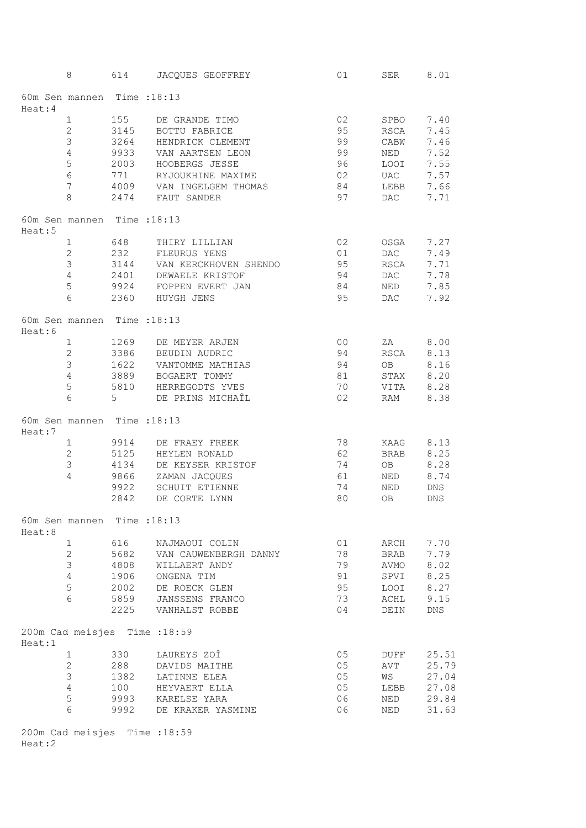|                                        | 8                | 614  | JACQUES GEOFFREY              | 01             | SER        | 8.01  |
|----------------------------------------|------------------|------|-------------------------------|----------------|------------|-------|
| 60m Sen mannen Time : 18:13<br>Heat: 4 |                  |      |                               |                |            |       |
|                                        | $\mathbf{1}$     | 155  | DE GRANDE TIMO                | 02             | SPBO       | 7.40  |
|                                        | $\overline{c}$   | 3145 | BOTTU FABRICE                 | 95             | RSCA       | 7.45  |
|                                        | $\mathsf 3$      | 3264 | HENDRICK CLEMENT              | 99             | CABW       | 7.46  |
|                                        | $\overline{4}$   | 9933 | VAN AARTSEN LEON              | 99             | NED        | 7.52  |
|                                        | 5                | 2003 | HOOBERGS JESSE                | 96             | LOOI       | 7.55  |
|                                        | $\sqrt{6}$       | 771  | RYJOUKHINE MAXIME             | 02             | UAC        | 7.57  |
|                                        | $\boldsymbol{7}$ | 4009 | VAN INGELGEM THOMAS           | 84             | LEBB       | 7.66  |
|                                        | 8                | 2474 | FAUT SANDER                   | 97             | DAC        | 7.71  |
| 60m Sen mannen Time : 18:13<br>Heat:5  |                  |      |                               |                |            |       |
|                                        | 1                | 648  | THIRY LILLIAN                 | 02             | OSGA       | 7.27  |
|                                        | $\overline{c}$   | 232  | FLEURUS YENS                  | 01             | <b>DAC</b> | 7.49  |
|                                        | 3                | 3144 | VAN KERCKHOVEN SHENDO         | 95             | RSCA       | 7.71  |
|                                        | $\overline{4}$   | 2401 | DEWAELE KRISTOF               | 94             | DAC        | 7.78  |
|                                        | $\mathsf S$      | 9924 | FOPPEN EVERT JAN              | 84             | NED        | 7.85  |
|                                        | 6                | 2360 | HUYGH JENS                    | 95             | <b>DAC</b> | 7.92  |
| 60m Sen mannen Time : 18:13<br>Heat:6  |                  |      |                               |                |            |       |
|                                        | 1                | 1269 | DE MEYER ARJEN                | 0 <sub>0</sub> | ΖA         | 8.00  |
|                                        | $\overline{c}$   | 3386 | BEUDIN AUDRIC                 | 94             | RSCA       | 8.13  |
|                                        | $\mathfrak{Z}$   | 1622 | VANTOMME MATHIAS              | 94             | OB         | 8.16  |
|                                        | $\overline{4}$   | 3889 | BOGAERT TOMMY                 | 81             | STAX       | 8.20  |
|                                        | $\mathsf S$      | 5810 | HERREGODTS YVES               | 70             | VITA       | 8.28  |
|                                        | $\sqrt{6}$       | 5    | DE PRINS MICHAÎL              | 02             | RAM        | 8.38  |
| 60m Sen mannen Time : 18:13<br>Heat:7  |                  |      |                               |                |            |       |
|                                        | 1                | 9914 | DE FRAEY FREEK                | 78             | KAAG       | 8.13  |
|                                        | $\mathbf{2}$     | 5125 | HEYLEN RONALD                 | 62             | BRAB       | 8.25  |
|                                        | $\mathfrak{Z}$   | 4134 | DE KEYSER KRISTOF             | 74             | ОB         | 8.28  |
|                                        | $\overline{4}$   | 9866 | ZAMAN JACQUES                 | 61             | <b>NED</b> | 8.74  |
|                                        |                  | 9922 | <b>SCHUIT ETIENNE</b>         | 74             | NED        | DNS   |
|                                        |                  | 2842 | DE CORTE LYNN                 | 80             | OВ         | DNS   |
| 60m Sen mannen Time : 18:13<br>Heat:8  |                  |      |                               |                |            |       |
|                                        | 1                | 616  | NAJMAOUI COLIN                | 01             | ARCH       | 7.70  |
|                                        | $\mathbf{2}$     | 5682 | VAN CAUWENBERGH DANNY         | 78             | BRAB       | 7.79  |
|                                        | $\mathfrak{Z}$   | 4808 | WILLAERT ANDY                 | 79             | AVMO       | 8.02  |
|                                        | $\overline{4}$   | 1906 | ONGENA TIM                    | 91             | SPVI       | 8.25  |
|                                        | $\mathsf S$      | 2002 | DE ROECK GLEN                 | 95             | LOOI       | 8.27  |
|                                        | 6                | 5859 | --<br>JANSSENS FRANCO         | 73             | ACHL       | 9.15  |
|                                        |                  |      | 2225 VANHALST ROBBE           | 04             | DEIN       | DNS   |
| Heat:1                                 |                  |      | 200m Cad meisjes Time : 18:59 |                |            |       |
|                                        | $\mathbf{1}$     | 330  | LAUREYS ZOÎ                   | 05             | DUFF       | 25.51 |
|                                        | $\overline{2}$   | 288  | DAVIDS MAITHE                 | 05             | AVT        | 25.79 |
|                                        | $\mathfrak{Z}$   | 1382 | LATINNE ELEA                  | 05             | WS         | 27.04 |
|                                        | $\overline{4}$   | 100  | HEYVAERT ELLA                 | 05             | LEBB       | 27.08 |
|                                        | 5                | 9993 | KARELSE YARA                  | 06             | NED        | 29.84 |
|                                        | 6                |      | 9992 DE KRAKER YASMINE        | 06             | NED        | 31.63 |
|                                        |                  |      |                               |                |            |       |
|                                        |                  |      |                               |                |            |       |

200m Cad meisjes Time :18:59 Heat:2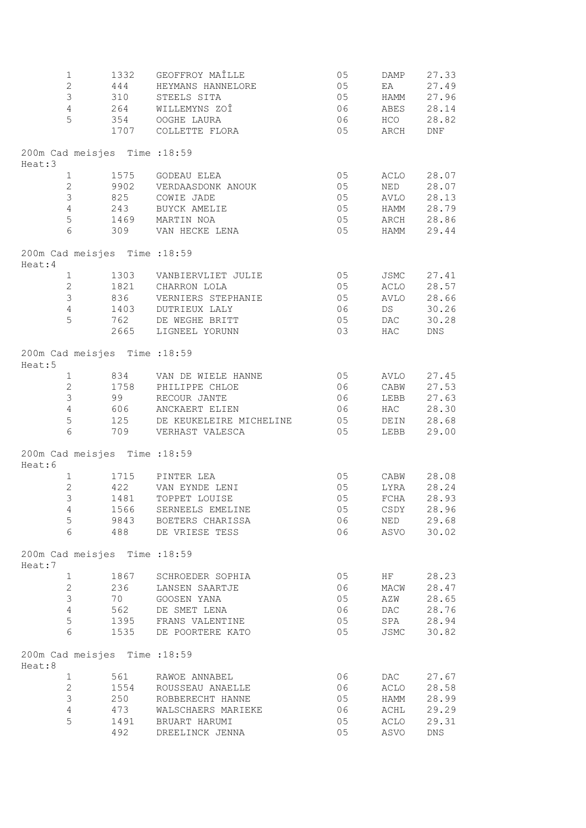|         | $\mathbf{1}$           |      | 1332 GEOFFROY MAÎLLE                   | 05 | DAMP                | 27.33 |
|---------|------------------------|------|----------------------------------------|----|---------------------|-------|
|         | $\overline{2}$         | 444  | HEYMANS HANNELORE                      | 05 | EA                  | 27.49 |
|         | $\mathfrak{Z}$         |      | 310 STEELS SITA                        | 05 | HAMM                | 27.96 |
|         | $\overline{4}$         |      | 264 WILLEMYNS ZOÎ                      | 06 | ABES                | 28.14 |
|         | 5                      |      | 354 OOGHE LAURA                        | 06 | HCO                 | 28.82 |
|         |                        |      | 1707 COLLETTE FLORA                    | 05 | ARCH                | DNF   |
|         |                        |      | 200m Cad meisjes Time : 18:59          |    |                     |       |
| Heat:3  |                        |      |                                        |    |                     |       |
|         | $1 \quad$              |      | 1575 GODEAU ELEA                       | 05 | ACLO                | 28.07 |
|         | $\mathbf{2}$           |      | 9902 VERDAASDONK ANOUK                 | 05 | NED                 | 28.07 |
|         | $\mathfrak{Z}$         |      | 825 COWIE JADE                         | 05 | AVLO                | 28.13 |
|         | $\overline{4}$         |      | 243 BUYCK AMELIE                       | 05 | <b>HAMM</b>         | 28.79 |
|         | $\overline{5}$         |      | 1469 MARTIN NOA                        | 05 | ARCH                | 28.86 |
|         | 6                      |      | 309 VAN HECKE LENA                     | 05 | <b>HAMM</b>         | 29.44 |
| Heat: 4 |                        |      | 200m Cad meisjes Time : 18:59          |    |                     |       |
|         | 1                      |      | 1303 VANBIERVLIET JULIE                | 05 | JSMC                | 27.41 |
|         | $\mathbf{2}$           | 1821 | CHARRON LOLA                           | 05 | ACLO                | 28.57 |
|         | $\mathfrak{Z}$         |      | 836 VERNIERS STEPHANIE                 | 05 | <b>AVLO</b>         | 28.66 |
|         | $\overline{4}$         |      | 1403 DUTRIEUX LALY                     | 06 | <b>DS</b>           | 30.26 |
|         | 5                      |      | 762 DE WEGHE BRITT                     | 05 | DAC                 | 30.28 |
|         |                        |      | 2665 LIGNEEL YORUNN                    | 03 | HAC                 | DNS   |
| Heat:5  |                        |      | 200m Cad meisjes Time : 18:59          |    |                     |       |
|         | $1 \quad \blacksquare$ |      | 834 VAN DE WIELE HANNE                 | 05 | AVLO                | 27.45 |
|         | $\mathbf{2}$           |      |                                        | 06 | CABW                | 27.53 |
|         | $\mathfrak{Z}$         |      | 1758 PHILIPPE CHLOE<br>99 RECOUR JANTE | 06 | LEBB                | 27.63 |
|         | $\overline{4}$         |      | 606 ANCKAERT ELIEN                     | 06 | HAC                 | 28.30 |
|         | $\mathsf S$            |      | 125 DE KEUKELEIRE MICHELINE            | 05 | DEIN                | 28.68 |
|         | 6                      | 709  | VERHAST VALESCA                        | 05 | LEBB                | 29.00 |
|         |                        |      | 200m Cad meisjes Time : 18:59          |    |                     |       |
| Heat:6  |                        |      |                                        |    |                     |       |
|         | $\mathbf{1}$           |      |                                        | 05 |                     | 28.08 |
|         | $\mathbf{2}$           |      |                                        | 05 | CABW<br>LYRA        | 28.24 |
|         | 3                      | 1481 | TOPPET LOUISE                          | 05 | ${\tt FCHA}$        | 28.93 |
|         |                        |      | 4 1566 SERNEELS EMELINE                | 05 | CSDY                | 28.96 |
|         | 5                      |      | 9843 BOETERS CHARISSA                  | 06 | NED                 | 29.68 |
|         | 6                      |      | 488 DE VRIESE TESS                     | 06 | ASVO                | 30.02 |
| Heat:7  |                        |      | 200m Cad meisjes Time : 18:59          |    |                     |       |
|         | $\mathbf{1}$           | 1867 | SCHROEDER SOPHIA                       | 05 | HF                  | 28.23 |
|         | $\mathbf{2}$           | 236  | LANSEN SAARTJE                         | 06 | MACW                | 28.47 |
|         | $\mathfrak{Z}$         | 70   | GOOSEN YANA                            | 05 | AZW                 | 28.65 |
|         | $\overline{4}$         | 562  | DE SMET LENA                           | 06 | DAC                 | 28.76 |
|         | 5                      |      | 1395 FRANS VALENTINE                   | 05 | SPA                 | 28.94 |
|         | 6                      |      | 1535 DE POORTERE KATO                  | 05 | JSMC                | 30.82 |
| Heat:8  |                        |      | 200m Cad meisjes Time : 18:59          |    |                     |       |
|         | $\mathbf{1}$           | 561  | RAWOE ANNABEL                          | 06 | DAC                 | 27.67 |
|         | $\mathbf{2}$           | 1554 | ROUSSEAU ANAELLE                       | 06 | ACLO                | 28.58 |
|         | $\mathfrak{Z}$         |      | 250 ROBBERECHT HANNE                   | 05 | HAMM                | 28.99 |
|         | 4                      |      | 473 WALSCHAERS MARIEKE                 | 06 | $\mathop{\rm ACHL}$ | 29.29 |
|         | 5                      |      | 1491 BRUART HARUMI                     | 05 | ACLO                | 29.31 |
|         |                        |      | 492 DREELINCK JENNA                    | 05 | ASVO                | DNS   |
|         |                        |      |                                        |    |                     |       |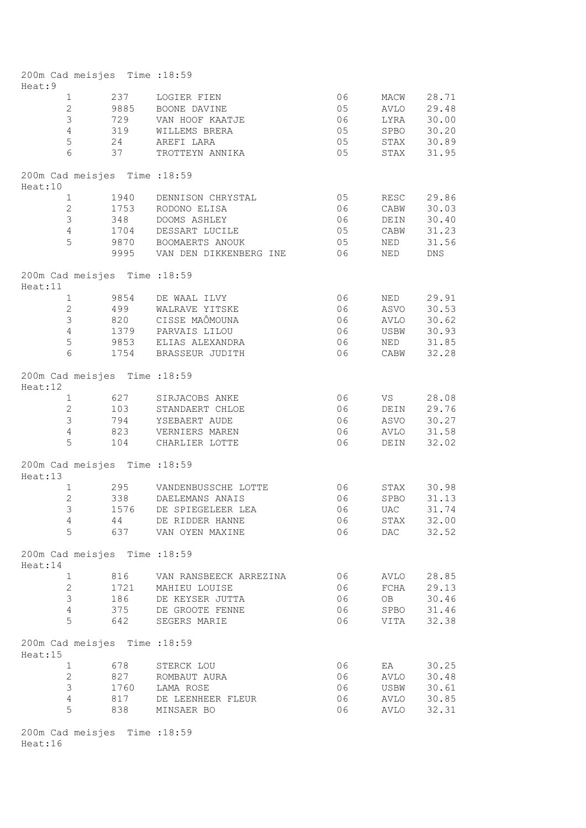| Heat: 9        | 200m Cad meisjes Time : 18:59 |      |                             |    |             |       |
|----------------|-------------------------------|------|-----------------------------|----|-------------|-------|
| $\mathbf{1}$   |                               | 237  | LOGIER FIEN                 | 06 | MACW        | 28.71 |
|                | $\mathbf{2}$                  |      | 9885 BOONE DAVINE           | 05 | AVLO        | 29.48 |
| $\mathfrak{Z}$ |                               | 729  | VAN HOOF KAATJE             | 06 | LYRA        | 30.00 |
|                | $\overline{4}$<br>319         |      | WILLEMS BRERA               | 05 | SPBO        | 30.20 |
| 5              | 24                            |      | AREFI LARA                  | 05 | STAX        | 30.89 |
| $\sqrt{6}$     | 37                            |      | TROTTEYN ANNIKA             | 05 | STAX        | 31.95 |
| Heat:10        | 200m Cad meisjes Time : 18:59 |      |                             |    |             |       |
| $\mathbf{1}$   |                               | 1940 | DENNISON CHRYSTAL           | 05 | RESC        | 29.86 |
|                | $\mathbf{2}$                  | 1753 | RODONO ELISA                | 06 | CABW        | 30.03 |
|                | $\mathfrak{Z}$                | 348  | DOOMS ASHLEY                | 06 | DEIN        | 30.40 |
|                | $\overline{4}$                |      | 1704 DESSART LUCILE         | 05 | CABW        | 31.23 |
| 5              |                               |      | 9870 BOOMAERTS ANOUK        | 05 | NED         | 31.56 |
|                |                               |      | 9995 VAN DEN DIKKENBERG INE | 06 | NED         | DNS   |
| Heat:11        | 200m Cad meisjes Time : 18:59 |      |                             |    |             |       |
|                | $\mathbf{1}$                  | 9854 | DE WAAL ILVY                | 06 | NED         | 29.91 |
|                | $\mathbf{2}$                  |      | 499 WALRAVE YITSKE          | 06 | ASVO        | 30.53 |
|                | $\mathfrak{Z}$                |      | 820 CISSE MAÔMOUNA          | 06 | AVLO        | 30.62 |
|                | $\overline{4}$                |      | 1379 PARVAIS LILOU          | 06 | USBW        | 30.93 |
| 5              |                               |      | 9853 ELIAS ALEXANDRA        | 06 | NED         | 31.85 |
| $\sqrt{6}$     |                               |      | 1754 BRASSEUR JUDITH        | 06 | CABW        | 32.28 |
| Heat:12        | 200m Cad meisjes Time : 18:59 |      |                             |    |             |       |
| $\mathbf{1}$   | 627                           |      | SIRJACOBS ANKE              | 06 | VS <b>V</b> | 28.08 |
|                | $\mathbf{2}$<br>103           |      | STANDAERT CHLOE             | 06 | DEIN        | 29.76 |
| $\mathfrak{Z}$ | 794                           |      | YSEBAERT AUDE               | 06 | ASVO        | 30.27 |
|                | $\overline{4}$<br>823         |      | VERNIERS MAREN              | 06 | AVLO        | 31.58 |
| 5              | 104                           |      | CHARLIER LOTTE              | 06 | DEIN        | 32.02 |
| Heat:13        | 200m Cad meisjes Time : 18:59 |      |                             |    |             |       |
| $\mathbf{1}$   |                               |      | 295 VANDENBUSSCHE LOTTE     | 06 | STAX        | 30.98 |
| $\overline{2}$ | 338                           |      | DAELEMANS ANAIS             | 06 | SPBO        | 31.13 |
|                | 3                             |      | 1576 DE SPIEGELEER LEA      | 06 | <b>UAC</b>  | 31.74 |
| 4              |                               |      | 44 DE RIDDER HANNE          | 06 | STAX        | 32.00 |
| 5              |                               |      | 637 VAN OYEN MAXINE         | 06 | DAC         | 32.52 |
| Heat:14        | 200m Cad meisjes Time : 18:59 |      |                             |    |             |       |
| $\mathbf{1}$   |                               | 816  | VAN RANSBEECK ARREZINA      | 06 | AVLO        | 28.85 |
| $\mathbf{2}$   |                               | 1721 | MAHIEU LOUISE               | 06 | FCHA        | 29.13 |
| 3              |                               | 186  | DE KEYSER JUTTA             | 06 | OB          | 30.46 |
| 4              |                               |      | 375 DE GROOTE FENNE         | 06 | SPBO        | 31.46 |
| 5              |                               | 642  | SEGERS MARIE                | 06 | VITA        | 32.38 |
| Heat:15        | 200m Cad meisjes Time : 18:59 |      |                             |    |             |       |
| $\mathbf{1}$   |                               | 678  | STERCK LOU                  | 06 | EA          | 30.25 |
| $\mathbf{2}$   |                               | 827  | ROMBAUT AURA                | 06 | AVLO        | 30.48 |
| $\mathsf 3$    |                               | 1760 | LAMA ROSE                   | 06 | USBW        | 30.61 |
| 4              |                               | 817  | DE LEENHEER FLEUR           | 06 | AVLO        | 30.85 |
| 5              |                               | 838  | MINSAER BO                  | 06 | AVLO        | 32.31 |
|                |                               |      |                             |    |             |       |

200m Cad meisjes Time :18:59 Heat:16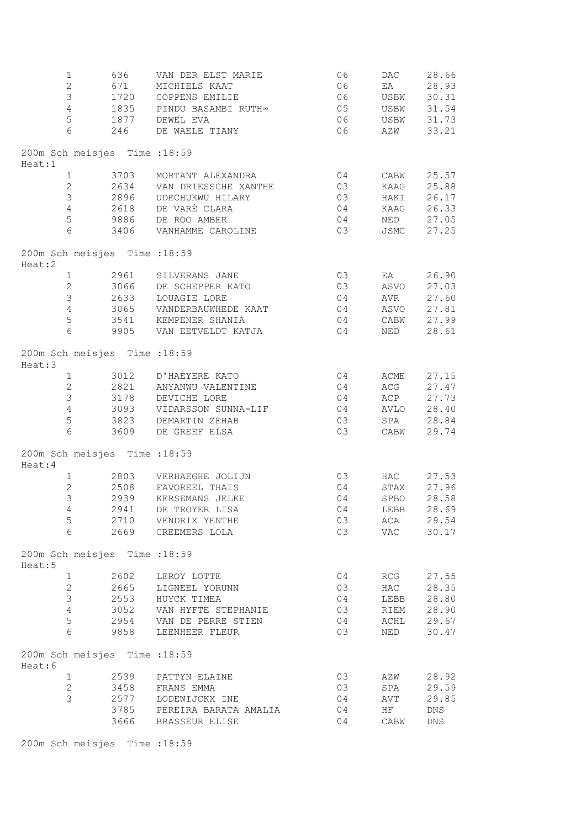|                                          | $1\,$           | 636  | VAN DER ELST MARIE         | 06 | DAC            | 28.66     |
|------------------------------------------|-----------------|------|----------------------------|----|----------------|-----------|
|                                          | $\mathbf{2}$    | 671  | MICHIELS KAAT              | 06 | EA             | 28.93     |
|                                          | 3               | 1720 | COPPENS EMILIE             | 06 | USBW           | 30.31     |
|                                          | $\overline{4}$  |      | 1835 PINDU BASAMBI RUTH∞   | 05 | <b>USBW</b>    | 31.54     |
|                                          | 5               |      | 1877 DEWEL EVA             | 06 | USBW           | 31.73     |
|                                          | $6\overline{6}$ |      | 246 DE WAELE TIANY         | 06 | AZW            | 33.21     |
|                                          |                 |      |                            |    |                |           |
| 200m Sch meisjes Time : 18:59            |                 |      |                            |    |                |           |
| Heat:1                                   | $\mathbf{1}$    |      | 3703 MORTANT ALEXANDRA     | 04 | CABW           | 25.57     |
|                                          | $\overline{2}$  |      | 2634 VAN DRIESSCHE XANTHE  | 03 | KAAG           |           |
|                                          | $\mathcal{S}$   |      | 2896 UDECHUKWU HILARY      |    | HAKI           | 25.88     |
|                                          |                 |      |                            | 03 |                | 26.17     |
|                                          | $4\overline{ }$ |      | 2618 DE VARÈ CLARA         | 04 | KAAG           | 26.33     |
|                                          | 5               |      | 9886 DE ROO AMBER          | 04 | <b>NED</b>     | 27.05     |
|                                          | $6\overline{6}$ |      | 3406 VANHAMME CAROLINE     | 03 | JSMC           | 27.25     |
| 200m Sch meisjes Time : 18:59            |                 |      |                            |    |                |           |
| Heat:2                                   |                 |      |                            |    |                |           |
|                                          | 1               |      | 2961 SILVERANS JANE        | 03 | EA             | 26.90     |
|                                          | $\overline{2}$  |      | 3066 DE SCHEPPER KATO      | 03 | ASVO           | 27.03     |
|                                          | $\mathfrak{Z}$  |      | 2633 LOUAGIE LORE          | 04 | AVR            | 27.60     |
|                                          | $\overline{4}$  |      | 3065 VANDERBAUWHEDE KAAT   | 04 | ASVO           | 27.81     |
|                                          | 5               |      | 3541 KEMPENER SHANIA       | 04 | CABW           | 27.99     |
|                                          | 6               |      | 9905 VAN EETVELDT KATJA    | 04 |                | 28.61     |
|                                          |                 |      |                            |    | NED            |           |
| 200m Sch meisjes Time : 18:59            |                 |      |                            |    |                |           |
| Heat:3                                   |                 |      |                            |    |                |           |
|                                          |                 |      | 1 3012 D'HAEYERE KATO      | 04 | ACME           | 27.15     |
|                                          | $\overline{2}$  |      | 2821 ANYANWU VALENTINE     | 04 | $\mathbb{ACG}$ | 27.47     |
|                                          | $\mathcal{S}$   |      | 3178 DEVICHE LORE          | 04 | ACP            | 27.73     |
|                                          | $4\overline{ }$ |      | 3093 VIDARSSON SUNNA-LIF   | 04 | AVLO           | 28.40     |
|                                          | 5               |      | 3823 DEMARTIN ZEHAB        | 03 | SPA            | 28.84     |
|                                          | $6\overline{6}$ |      | 3609 DE GREEF ELSA         | 03 | CABW           | 29.74     |
|                                          |                 |      |                            |    |                |           |
| 200m Sch meisjes Time : 18:59<br>Heat: 4 |                 |      |                            |    |                |           |
|                                          | $\mathbf{1}$    |      | 2803 VERHAEGHE JOLIJN      | 03 | HAC            | 27.53     |
|                                          |                 |      | 2508 FAVOREEL THAIS        | 04 | STAX           |           |
|                                          | $\mathbf{2}$    |      | 2939 KERSEMANS JELKE       |    | SPBO           | 27.96     |
|                                          | $\mathfrak{Z}$  |      |                            | 04 |                | 28.58     |
|                                          | $\overline{4}$  |      | 2941 DE TROYER LISA        |    | 04 LEBB        | 28.69     |
|                                          |                 |      | 5 2710 VENDRIX YENTHE      |    | 03 ACA 29.54   |           |
|                                          | $6\overline{}$  |      | 2669 CREEMERS LOLA         | 03 |                | VAC 30.17 |
| 200m Sch meisjes Time : 18:59            |                 |      |                            |    |                |           |
| Heat:5                                   |                 |      |                            |    |                |           |
|                                          | 1               |      | 2602 LEROY LOTTE           | 04 | RCG            | 27.55     |
|                                          | $2^{\circ}$     |      | 2665 LIGNEEL YORUNN        | 03 | HAC            | 28.35     |
|                                          | 3               |      | 2553 HUYCK TIMEA           | 04 | LEBB           | 28.80     |
|                                          | $4\overline{ }$ |      | 3052 VAN HYFTE STEPHANIE   | 03 | RIEM           | 28.90     |
|                                          | 5 <sup>5</sup>  |      | 2954 VAN DE PERRE STIEN    | 04 | ACHL           | 29.67     |
|                                          | $6\overline{6}$ |      | 9858 LEENHEER FLEUR        | 03 | NED            | 30.47     |
|                                          |                 |      |                            |    |                |           |
| 200m Sch meisjes Time : 18:59            |                 |      |                            |    |                |           |
| Heat:6                                   |                 |      |                            |    |                |           |
|                                          | 1               |      |                            | 03 | AZW            | 28.92     |
|                                          | $2^{\circ}$     |      |                            | 03 | SPA            | 29.59     |
|                                          | $\mathcal{S}$   |      | 2577 LODEWIJCKX INE        | 04 | AVT            | 29.85     |
|                                          |                 |      | 3785 PEREIRA BARATA AMALIA | 04 | HF 1           | DNS       |
|                                          |                 |      | 3666 BRASSEUR ELISE        | 04 | CABW           | DNS       |
|                                          |                 |      |                            |    |                |           |

200m Sch meisjes Time :18:59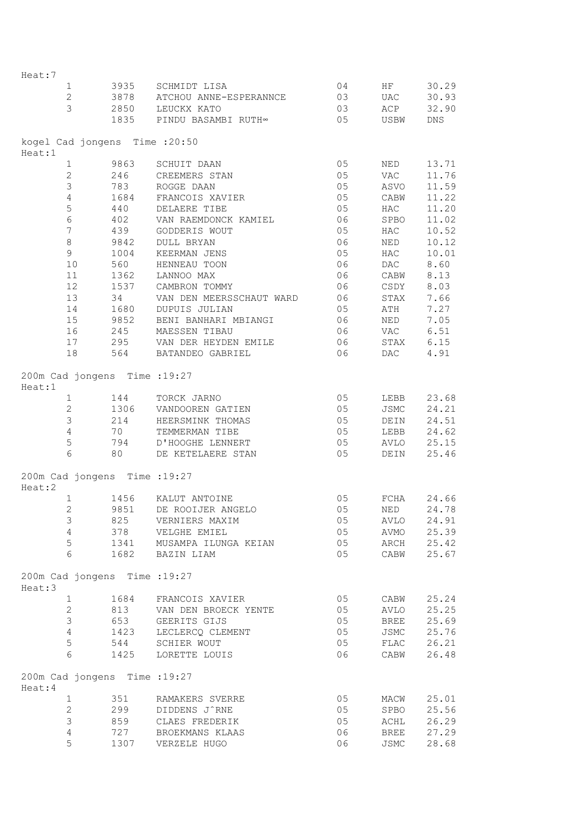| Heat:7  |                                |                               |                                |    |              |       |
|---------|--------------------------------|-------------------------------|--------------------------------|----|--------------|-------|
|         | $\mathbf{1}$                   | 3935                          | SCHMIDT LISA                   | 04 | HF           | 30.29 |
|         | $\overline{2}$                 |                               | 3878 ATCHOU ANNE-ESPERANNCE    | 03 | UAC          | 30.93 |
|         | $\mathfrak{Z}$                 | 2850                          | LEUCKX KATO                    | 03 | ACP          | 32.90 |
|         |                                |                               | 1835 PINDU BASAMBI RUTH∞       | 05 | USBW         | DNS   |
|         |                                |                               |                                |    |              |       |
|         |                                |                               | kogel Cad jongens Time : 20:50 |    |              |       |
| Heat:1  | $\mathbf{1}$                   | 9863                          | SCHUIT DAAN                    | 05 | NED          | 13.71 |
|         | $\overline{c}$                 | 246                           | CREEMERS STAN                  | 05 | VAC          | 11.76 |
|         | $\mathfrak{Z}$                 | 783                           | ROGGE DAAN                     | 05 | ASVO         | 11.59 |
|         | $\overline{4}$                 | 1684                          | FRANCOIS XAVIER                | 05 | CABW         | 11.22 |
|         | 5                              | 440                           | DELAERE TIBE                   | 05 | HAC          | 11.20 |
|         | $\epsilon$                     | 402                           | VAN RAEMDONCK KAMIEL           | 06 | SPBO         | 11.02 |
|         | $7\phantom{.}$                 | 439                           | GODDERIS WOUT                  | 05 | HAC          | 10.52 |
|         | 8                              | 9842                          | <b>DULL BRYAN</b>              | 06 | NED          | 10.12 |
|         | 9                              | 1004                          | KEERMAN JENS                   | 05 | HAC          | 10.01 |
|         | 10                             | 560                           | HENNEAU TOON                   | 06 | DAC          | 8.60  |
|         | 11                             | 1362                          | LANNOO MAX                     | 06 | CABW         | 8.13  |
|         | 12                             | 1537                          | CAMBRON TOMMY                  | 06 | CSDY         | 8.03  |
|         | 13                             | 34                            | VAN DEN MEERSSCHAUT WARD       | 06 | STAX         | 7.66  |
|         | 14                             | 1680                          | DUPUIS JULIAN                  | 05 | ATH          | 7.27  |
|         | 15                             | 9852                          | BENI BANHARI MBIANGI           | 06 | NED          | 7.05  |
|         | 16                             | 245                           | MAESSEN TIBAU                  | 06 | VAC          | 6.51  |
|         | 17                             | 295                           | VAN DER HEYDEN EMILE           | 06 | STAX         | 6.15  |
|         | 18                             | 564                           | BATANDEO GABRIEL               | 06 | DAC          | 4.91  |
|         |                                |                               |                                |    |              |       |
|         |                                | 200m Cad jongens Time : 19:27 |                                |    |              |       |
| Heat:1  |                                |                               |                                |    |              |       |
|         | $\mathbf{1}$                   | 144                           | TORCK JARNO                    | 05 | LEBB         | 23.68 |
|         | $\overline{2}$                 | 1306                          | VANDOOREN GATIEN               | 05 | JSMC         | 24.21 |
|         | 3                              | 214                           | HEERSMINK THOMAS               | 05 | DEIN         | 24.51 |
|         | $\overline{4}$                 | 70                            | TEMMERMAN TIBE                 | 05 | LEBB         | 24.62 |
|         | 5                              | 794                           | D'HOOGHE LENNERT               | 05 | AVLO         | 25.15 |
|         | $6\phantom{.}6$                | 80                            | DE KETELAERE STAN              | 05 | DEIN         | 25.46 |
|         |                                |                               |                                |    |              |       |
| Heat:2  |                                | 200m Cad jongens Time : 19:27 |                                |    |              |       |
|         | $\mathbf{1}$                   | 1456                          | KALUT ANTOINE                  | 05 | FCHA         | 24.66 |
|         | $2 \left( \frac{1}{2} \right)$ |                               | 9851 DE ROOIJER ANGELO         | 05 | NED 24.78    |       |
|         | 3                              | 825                           | VERNIERS MAXIM                 | 05 | AVLO         | 24.91 |
|         | $\overline{4}$                 | 378                           | VELGHE EMIEL                   | 05 | AVMO         | 25.39 |
|         | 5                              |                               | 1341 MUSAMPA ILUNGA KEIAN      | 05 | ARCH         | 25.42 |
|         | 6                              |                               | 1682 BAZIN LIAM                | 05 | CABW         | 25.67 |
|         |                                |                               |                                |    |              |       |
| Heat:3  |                                | 200m Cad jongens Time : 19:27 |                                |    |              |       |
|         | $\mathbf{1}$                   | 1684                          | FRANCOIS XAVIER                | 05 | CABW         | 25.24 |
|         | $\overline{2}$                 | 813                           | VAN DEN BROECK YENTE           | 05 | AVLO         | 25.25 |
|         | 3                              | 653                           | GEERITS GIJS                   | 05 | <b>BREE</b>  | 25.69 |
|         | $\overline{4}$                 |                               | 1423 LECLERCQ CLEMENT          | 05 | JSMC         | 25.76 |
|         | 5                              |                               | 544 SCHIER WOUT                | 05 | ${\tt FLAC}$ | 26.21 |
|         | 6                              |                               | 1425 LORETTE LOUIS             | 06 | CABW         | 26.48 |
|         |                                |                               |                                |    |              |       |
| Heat: 4 |                                | 200m Cad jongens Time : 19:27 |                                |    |              |       |
|         | $\mathbf{1}$                   | 351                           | RAMAKERS SVERRE                | 05 | MACW         | 25.01 |
|         | $\overline{2}$                 | 299                           | DIDDENS J^RNE                  | 05 | SPBO         | 25.56 |
|         | 3                              | 859                           | CLAES FREDERIK                 | 05 | ACHL         | 26.29 |
|         | 4                              | 727                           | BROEKMANS KLAAS                | 06 | BREE         | 27.29 |
|         | 5                              |                               | 1307 VERZELE HUGO              | 06 | JSMC         | 28.68 |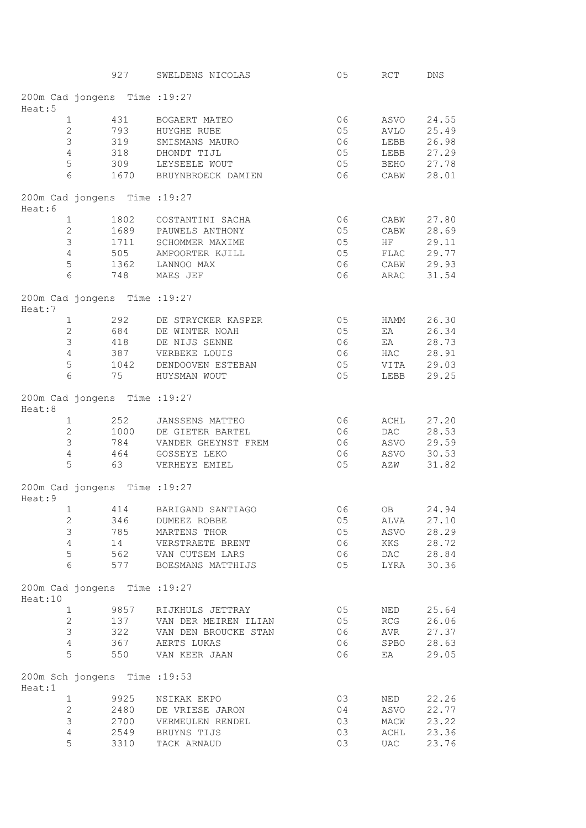| 200m Cad jongens Time : 19:27<br>Heat:5<br>431<br>06<br>$\mathbf{1}$<br>BOGAERT MATEO<br>ASVO<br>$\overline{2}$<br>AVLO<br>793<br>05<br>HUYGHE RUBE<br>3<br>319<br>06<br>SMISMANS MAURO<br>LEBB<br>$\overline{4}$<br>318 DHONDT TIJL<br>05<br>LEBB<br>5<br>05<br>309 LEYSEELE WOUT<br><b>BEHO</b><br>$6\phantom{.}6$<br>06<br>1670<br>BRUYNBROECK DAMIEN<br>CABW<br>200m Cad jongens Time : 19:27<br>Heat:6 | 24.55<br>25.49<br>26.98<br>27.29<br>27.78<br>28.01 |
|-------------------------------------------------------------------------------------------------------------------------------------------------------------------------------------------------------------------------------------------------------------------------------------------------------------------------------------------------------------------------------------------------------------|----------------------------------------------------|
|                                                                                                                                                                                                                                                                                                                                                                                                             |                                                    |
|                                                                                                                                                                                                                                                                                                                                                                                                             |                                                    |
|                                                                                                                                                                                                                                                                                                                                                                                                             |                                                    |
|                                                                                                                                                                                                                                                                                                                                                                                                             |                                                    |
|                                                                                                                                                                                                                                                                                                                                                                                                             |                                                    |
|                                                                                                                                                                                                                                                                                                                                                                                                             |                                                    |
|                                                                                                                                                                                                                                                                                                                                                                                                             |                                                    |
|                                                                                                                                                                                                                                                                                                                                                                                                             |                                                    |
| 1802 COSTANTINI SACHA<br>06<br>$\mathbf{1}$<br>CABW                                                                                                                                                                                                                                                                                                                                                         | 27.80                                              |
| 1689 PAUWELS ANTHONY<br>$\overline{2}$<br>CABW<br>05                                                                                                                                                                                                                                                                                                                                                        | 28.69                                              |
| 05<br>3<br>1711 SCHOMMER MAXIME<br>$HF$ and $H$ $F$                                                                                                                                                                                                                                                                                                                                                         | 29.11                                              |
| 05<br>$\overline{4}$<br>505 AMPOORTER KJILL<br>FLAC                                                                                                                                                                                                                                                                                                                                                         | 29.77                                              |
| 5<br>06<br>1362 LANNOO MAX<br>CABW                                                                                                                                                                                                                                                                                                                                                                          | 29.93                                              |
| 6<br>06<br>748 MAES JEF<br>ARAC                                                                                                                                                                                                                                                                                                                                                                             | 31.54                                              |
| 200m Cad jongens Time : 19:27<br>Heat:7                                                                                                                                                                                                                                                                                                                                                                     |                                                    |
| $\mathbf{1}$<br>292<br>05<br>DE STRYCKER KASPER<br>HAMM                                                                                                                                                                                                                                                                                                                                                     | 26.30                                              |
| $\mathbf{2}$<br>684<br>05<br>DE WINTER NOAH<br>EA                                                                                                                                                                                                                                                                                                                                                           | 26.34                                              |
| 3<br>418<br>06<br>DE NIJS SENNE<br>EA                                                                                                                                                                                                                                                                                                                                                                       | 28.73                                              |
| $\overline{4}$<br>387 VERBEKE LOUIS<br>06<br>HAC                                                                                                                                                                                                                                                                                                                                                            | 28.91                                              |
| 5<br>05<br>1042 DENDOOVEN ESTEBAN<br>VITA                                                                                                                                                                                                                                                                                                                                                                   | 29.03                                              |
| $6\phantom{.}6$<br>75<br>HUYSMAN WOUT<br>05<br>LEBB                                                                                                                                                                                                                                                                                                                                                         | 29.25                                              |
| 200m Cad jongens Time : 19:27<br>Heat:8                                                                                                                                                                                                                                                                                                                                                                     |                                                    |
| 252<br>06<br>$\mathbf{1}$<br>JANSSENS MATTEO<br>ACHL                                                                                                                                                                                                                                                                                                                                                        | 27.20                                              |
| $\mathbf{2}$<br>1000 DE GIETER BARTEL<br><b>DAC</b><br>06                                                                                                                                                                                                                                                                                                                                                   | 28.53                                              |
| 3<br>784<br>06<br>VANDER GHEYNST FREM<br>ASVO                                                                                                                                                                                                                                                                                                                                                               | 29.59                                              |
| $\overline{4}$<br>464<br>06<br>GOSSEYE LEKO<br>ASVO                                                                                                                                                                                                                                                                                                                                                         | 30.53                                              |
| 5<br>63 VERHEYE EMIEL<br>05<br>AZW                                                                                                                                                                                                                                                                                                                                                                          | 31.82                                              |
| 200m Cad jongens Time : 19:27<br>Heat: 9                                                                                                                                                                                                                                                                                                                                                                    |                                                    |
| 1 414 BARIGAND SANTIAGO<br>06<br>OB                                                                                                                                                                                                                                                                                                                                                                         | 24.94                                              |
| $\mathbf{2}$<br>346<br>05<br>DUMEEZ ROBBE<br>ALVA                                                                                                                                                                                                                                                                                                                                                           | 27.10                                              |
| ASVO<br>785 MARTENS THOR<br>3<br>05                                                                                                                                                                                                                                                                                                                                                                         | 28.29                                              |
| 06<br>KKS<br>$\overline{4}$<br>14 VERSTRAETE BRENT                                                                                                                                                                                                                                                                                                                                                          | 28.72                                              |
| 5<br>562 VAN CUTSEM LARS<br>06<br>DAC                                                                                                                                                                                                                                                                                                                                                                       | 28.84                                              |
| 6<br>577 BOESMANS MATTHIJS<br>05<br>LYRA                                                                                                                                                                                                                                                                                                                                                                    | 30.36                                              |
| 200m Cad jongens Time : 19:27<br>Heat:10                                                                                                                                                                                                                                                                                                                                                                    |                                                    |
| 05<br>$\mathbf{1}$<br>9857<br>RIJKHULS JETTRAY<br>NED                                                                                                                                                                                                                                                                                                                                                       | 25.64                                              |
| 137 VAN DER MEIREN ILIAN<br>$\overline{2}$<br>05<br>RCG                                                                                                                                                                                                                                                                                                                                                     | 26.06                                              |
| 322 VAN DEN BROUCKE STAN<br>3<br>06<br>AVR                                                                                                                                                                                                                                                                                                                                                                  | 27.37                                              |
| 367 AERTS LUKAS<br>06<br>$4\overline{ }$<br>SPBO                                                                                                                                                                                                                                                                                                                                                            | 28.63                                              |
| 5<br>550<br>06<br>VAN KEER JAAN<br>EA                                                                                                                                                                                                                                                                                                                                                                       | 29.05                                              |
| 200m Sch jongens Time : 19:53<br>Heat:1                                                                                                                                                                                                                                                                                                                                                                     |                                                    |
| 03<br>$\mathbf{1}$<br>9925<br>NSIKAK EKPO<br>NED                                                                                                                                                                                                                                                                                                                                                            | 22.26                                              |
| 2480 DE VRIESE JARON<br>$\overline{2}$<br>04<br>ASVO                                                                                                                                                                                                                                                                                                                                                        | 22.77                                              |
| 2700 VERMEULEN RENDEL<br>MACW<br>3<br>03                                                                                                                                                                                                                                                                                                                                                                    | 23.22                                              |
| 2549 BRUYNS TIJS<br>ACHL<br>03<br>4                                                                                                                                                                                                                                                                                                                                                                         | 23.36                                              |
| 5<br>3310<br>03<br>TACK ARNAUD<br>UAC                                                                                                                                                                                                                                                                                                                                                                       | 23.76                                              |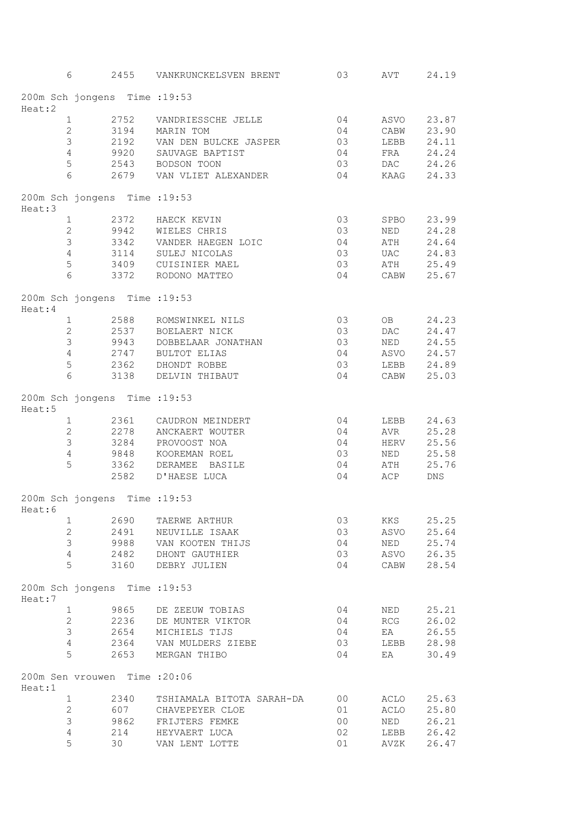|         | 6               |                               | 2455 VANKRUNCKELSVEN BRENT | 03             | AVT        | 24.19      |
|---------|-----------------|-------------------------------|----------------------------|----------------|------------|------------|
| Heat:2  |                 | 200m Sch jongens Time : 19:53 |                            |                |            |            |
|         | $\mathbf{1}$    |                               | 2752 VANDRIESSCHE JELLE    | 04             | ASVO       | 23.87      |
|         | $\overline{c}$  |                               | 3194 MARIN TOM             | 04             | CABW       | 23.90      |
|         | 3               |                               | 2192 VAN DEN BULCKE JASPER | 03             | LEBB       | 24.11      |
|         | $\overline{4}$  |                               | 9920 SAUVAGE BAPTIST       | 04             | FRA        | 24.24      |
|         | 5               |                               | 2543 BODSON TOON           | 03             | <b>DAC</b> | 24.26      |
|         | $6\overline{6}$ |                               | 2679 VAN VLIET ALEXANDER   | 04             | KAAG       | 24.33      |
| Heat:3  |                 | 200m Sch jongens Time : 19:53 |                            |                |            |            |
|         | $\mathbf{1}$    | 2372                          | HAECK KEVIN                | 03             | SPBO       | 23.99      |
|         | $\mathbf{2}$    |                               | 9942 WIELES CHRIS          | 03             | NED        | 24.28      |
|         | 3               |                               | 3342 VANDER HAEGEN LOIC    | 04             | ATH        | 24.64      |
|         | $\overline{4}$  |                               | 3114 SULEJ NICOLAS         | 03             | UAC        | 24.83      |
|         | 5               |                               | 3409 CUISINIER MAEL        | 03             | ATH        | 25.49      |
|         | 6               |                               | 3372 RODONO MATTEO         | 04             | CABW       | 25.67      |
| Heat: 4 |                 | 200m Sch jongens Time : 19:53 |                            |                |            |            |
|         | $\mathbf{1}$    |                               | 2588 ROMSWINKEL NILS       | 03             | OB         | 24.23      |
|         | $\mathbf{2}$    |                               | 2537 BOELAERT NICK         | 03             | DAC        | 24.47      |
|         | 3               |                               | 9943 DOBBELAAR JONATHAN    | 03             | NED        | 24.55      |
|         | $\overline{4}$  |                               | 2747 BULTOT ELIAS          | 04             | ASVO       | 24.57      |
|         | 5               |                               | 2362 DHONDT ROBBE          | 03             | LEBB       | 24.89      |
|         | $6\overline{6}$ |                               | 3138 DELVIN THIBAUT        | 04             | CABW       | 25.03      |
| Heat:5  |                 | 200m Sch jongens Time : 19:53 |                            |                |            |            |
|         | $\mathbf{1}$    |                               | 2361 CAUDRON MEINDERT      | 04             | LEBB       | 24.63      |
|         | $\mathbf{2}$    |                               | 2278 ANCKAERT WOUTER       | 04             | AVR        | 25.28      |
|         | 3               |                               | 3284 PROVOOST NOA          | 04             | HERV       | 25.56      |
|         | 4               |                               | 9848 KOOREMAN ROEL         | 03             | NED        | 25.58      |
|         | 5               |                               | 3362 DERAMEE BASILE        | 04             | ATH        | 25.76      |
|         |                 |                               | 2582 D'HAESE LUCA          | 04             | ACP        | <b>DNS</b> |
| Heat:6  |                 | 200m Sch jongens Time : 19:53 |                            |                |            |            |
|         | $\mathbf{1}$    | 2690                          | TAERWE ARTHUR              | 03             | KKS        | 25.25      |
|         | $\overline{2}$  | 2491                          | NEUVILLE ISAAK             | 03             | ASVO       | 25.64      |
|         | 3               | 9988                          | VAN KOOTEN THIJS           | 04             | NED        | 25.74      |
|         | $\overline{4}$  | 2482                          | DHONT GAUTHIER             | 03             | ASVO       | 26.35      |
|         | 5               | 3160                          | DEBRY JULIEN               | 04             | CABW       | 28.54      |
| Heat:7  |                 | 200m Sch jongens Time : 19:53 |                            |                |            |            |
|         | $\mathbf{1}$    | 9865                          | DE ZEEUW TOBIAS            | 04             | NED        | 25.21      |
|         | $\overline{2}$  | 2236                          | DE MUNTER VIKTOR           | 04             | RCG        | 26.02      |
|         | 3               | 2654                          | MICHIELS TIJS              | 04             | EA         | 26.55      |
|         | 4               |                               | 2364 VAN MULDERS ZIEBE     | 03             | LEBB       | 28.98      |
|         | 5               |                               | 2653 MERGAN THIBO          | 04             | ΕA         | 30.49      |
| Heat:1  |                 | 200m Sen vrouwen Time : 20:06 |                            |                |            |            |
|         | $\mathbf{1}$    | 2340                          | TSHIAMALA BITOTA SARAH-DA  | 0 <sup>0</sup> | ACLO       | 25.63      |
|         | $\mathbf{2}$    | 607                           | CHAVEPEYER CLOE            | 01             | ACLO       | 25.80      |
|         | $\mathsf 3$     | 9862                          | FRIJTERS FEMKE             | 00             | NED        | 26.21      |
|         | $\overline{4}$  | 214                           | HEYVAERT LUCA              | 02             | LEBB       | 26.42      |
|         | 5               | 30                            | VAN LENT LOTTE             | 01             | AVZK       | 26.47      |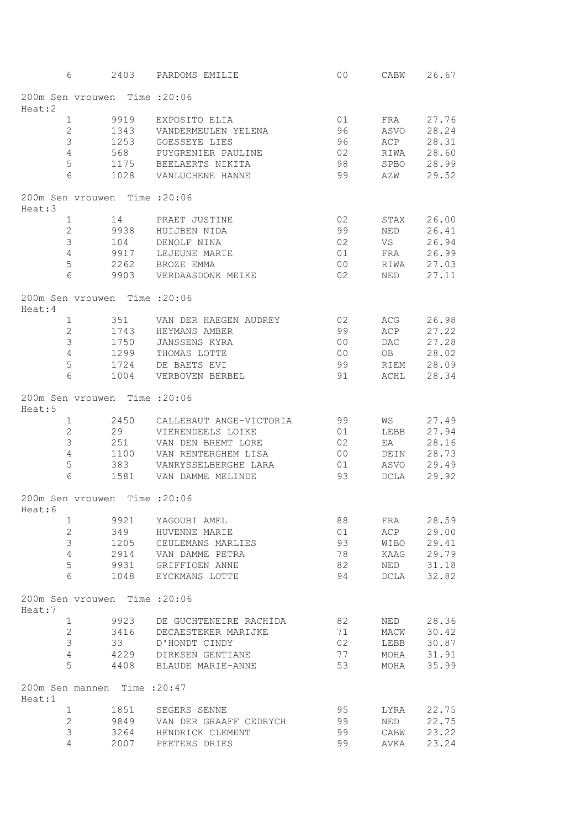|         | 6              |                               | 2403 PARDOMS EMILIE          | 0 <sub>0</sub>  |             | CABW 26.67 |
|---------|----------------|-------------------------------|------------------------------|-----------------|-------------|------------|
| Heat:2  |                | 200m Sen vrouwen Time : 20:06 |                              |                 |             |            |
|         | $\mathbf{1}$   |                               | 9919 EXPOSITO ELIA           | 01              | FRA         | 27.76      |
|         | 2              |                               | 1343 VANDERMEULEN YELENA     | 96              | ASVO        | 28.24      |
|         | $\mathfrak{Z}$ |                               | 1253 GOESSEYE LIES           | 96              | ACP         | 28.31      |
|         | $\overline{4}$ |                               | 568 PUYGRENIER PAULINE       | 02              | RIWA        | 28.60      |
|         | 5              |                               | 1175 BEELAERTS NIKITA        | 98              | SPBO        | 28.99      |
|         | 6              |                               | 1028 VANLUCHENE HANNE        | 99              | AZW         | 29.52      |
| Heat:3  |                | 200m Sen vrouwen Time : 20:06 |                              |                 |             |            |
|         | 1              | 14                            | PRAET JUSTINE                | 02              | STAX        | 26.00      |
|         | 2              |                               | 9938 HUIJBEN NIDA            | 99              | <b>NED</b>  | 26.41      |
|         | $\mathcal{E}$  |                               | 104 DENOLF NINA              | 02              | VS          | 26.94      |
|         | 4              |                               | 9917 LEJEUNE MARIE           | 01              | FRA         | 26.99      |
|         | 5              |                               | 2262 BROZE EMMA              | 00 <sub>o</sub> | RIWA        | 27.03      |
|         | 6              |                               | 9903 VERDAASDONK MEIKE       | 02              | NED         | 27.11      |
| Heat: 4 |                | 200m Sen vrouwen Time : 20:06 |                              |                 |             |            |
|         | $\mathbf{1}$   |                               | 351 VAN DER HAEGEN AUDREY    | 02              | ACG         | 26.98      |
|         | 2              |                               | 1743 HEYMANS AMBER           | 99              | ACP         | 27.22      |
|         | 3              |                               | 1750 JANSSENS KYRA           | 0 <sub>0</sub>  | DAC         | 27.28      |
|         | $\overline{4}$ |                               | 1299 THOMAS LOTTE            | 0 <sub>0</sub>  | OB          | 28.02      |
|         | 5              |                               | 1724 DE BAETS EVI            | 99              | RIEM        | 28.09      |
|         | 6              |                               | 1004 VERBOVEN BERBEL         | 91              | ACHL        | 28.34      |
| Heat:5  |                | 200m Sen vrouwen Time : 20:06 |                              |                 |             |            |
|         | $\mathbf{1}$   |                               | 2450 CALLEBAUT ANGE-VICTORIA | 99              | WS          | 27.49      |
|         | 2              |                               | 29 VIERENDEELS LOIKE         | 01              | LEBB        | 27.94      |
|         | $\mathcal{E}$  |                               | 251 VAN DEN BREMT LORE       | 02              | EA          | 28.16      |
|         | 4              |                               | 1100 VAN RENTERGHEM LISA     | 00              | DEIN        | 28.73      |
|         | 5              |                               | 383 VANRYSSELBERGHE LARA     | 01              | ASVO        | 29.49      |
|         | 6              |                               | 1581 VAN DAMME MELINDE       | 93              | <b>DCLA</b> | 29.92      |
| Heat:6  |                | 200m Sen vrouwen Time : 20:06 |                              |                 |             |            |
|         | 1              |                               | 9921 YAGOUBI AMEL            | 88              | FRA         | 28.59      |
|         | 2              | 349                           | HUVENNE MARIE                | 01              | ACP         | 29.00      |
|         | 3              |                               | 1205 CEULEMANS MARLIES       | 93              | WIBO        | 29.41      |
|         | $\overline{4}$ |                               | 2914 VAN DAMME PETRA         | 78              | KAAG        | 29.79      |
|         | 5              |                               | 9931 GRIFFIOEN ANNE          | 82              | NED         | 31.18      |
|         | 6              |                               | 1048 EYCKMANS LOTTE          | 94              | DCLA        | 32.82      |
| Heat:7  |                | 200m Sen vrouwen Time : 20:06 |                              |                 |             |            |
|         | $\mathbf{1}$   |                               | 9923 DE GUCHTENEIRE RACHIDA  | 82              | NED         | 28.36      |
|         | $\overline{2}$ |                               | 3416 DECAESTEKER MARIJKE     | 71              | MACW        | 30.42      |
|         | 3              |                               | 33 D'HONDT CINDY             | 02              | LEBB        | 30.87      |
|         | 4              |                               | 4229 DIRKSEN GENTIANE        | 77              | MOHA        | 31.91      |
|         | 5              |                               | 4408 BLAUDE MARIE-ANNE       | 53              | MOHA        | 35.99      |
| Heat:1  |                | 200m Sen mannen Time : 20:47  |                              |                 |             |            |
|         | $\mathbf 1$    |                               | 1851 SEGERS SENNE            | 95              | LYRA        | 22.75      |
|         | 2              |                               | 9849 VAN DER GRAAFF CEDRYCH  | 99              | NED         | 22.75      |
|         | 3              |                               | 3264 HENDRICK CLEMENT        | 99              | CABW        | 23.22      |
|         | 4              |                               | 2007 PEETERS DRIES           | 99              | AVKA        | 23.24      |
|         |                |                               |                              |                 |             |            |